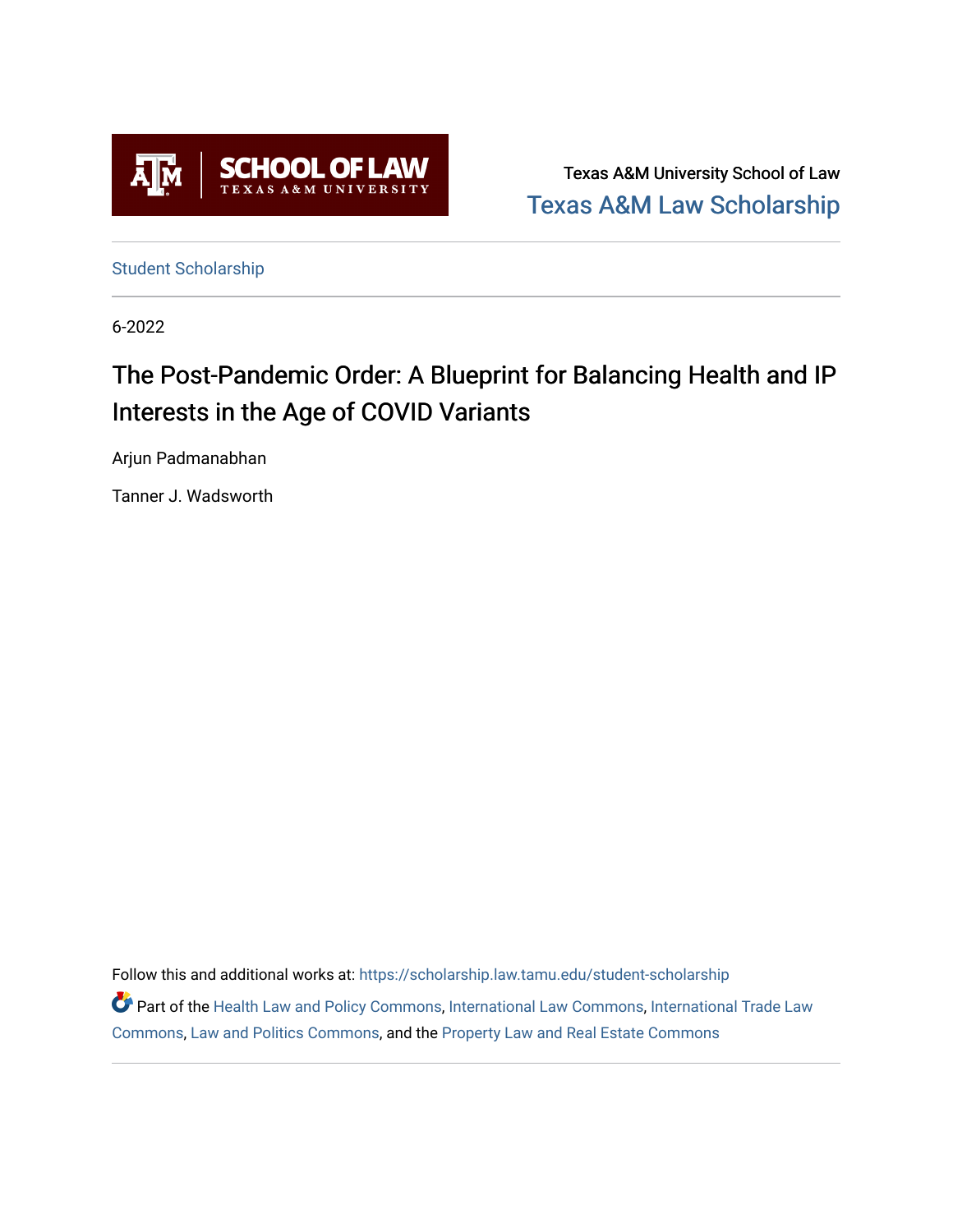

Texas A&M University School of Law [Texas A&M Law Scholarship](https://scholarship.law.tamu.edu/) 

[Student Scholarship](https://scholarship.law.tamu.edu/student-scholarship)

6-2022

# The Post-Pandemic Order: A Blueprint for Balancing Health and IP Interests in the Age of COVID Variants

Arjun Padmanabhan

Tanner J. Wadsworth

Follow this and additional works at: [https://scholarship.law.tamu.edu/student-scholarship](https://scholarship.law.tamu.edu/student-scholarship?utm_source=scholarship.law.tamu.edu%2Fstudent-scholarship%2F40&utm_medium=PDF&utm_campaign=PDFCoverPages)  Part of the [Health Law and Policy Commons](https://network.bepress.com/hgg/discipline/901?utm_source=scholarship.law.tamu.edu%2Fstudent-scholarship%2F40&utm_medium=PDF&utm_campaign=PDFCoverPages), [International Law Commons,](https://network.bepress.com/hgg/discipline/609?utm_source=scholarship.law.tamu.edu%2Fstudent-scholarship%2F40&utm_medium=PDF&utm_campaign=PDFCoverPages) International Trade Law [Commons](https://network.bepress.com/hgg/discipline/848?utm_source=scholarship.law.tamu.edu%2Fstudent-scholarship%2F40&utm_medium=PDF&utm_campaign=PDFCoverPages), [Law and Politics Commons,](https://network.bepress.com/hgg/discipline/867?utm_source=scholarship.law.tamu.edu%2Fstudent-scholarship%2F40&utm_medium=PDF&utm_campaign=PDFCoverPages) and the [Property Law and Real Estate Commons](https://network.bepress.com/hgg/discipline/897?utm_source=scholarship.law.tamu.edu%2Fstudent-scholarship%2F40&utm_medium=PDF&utm_campaign=PDFCoverPages)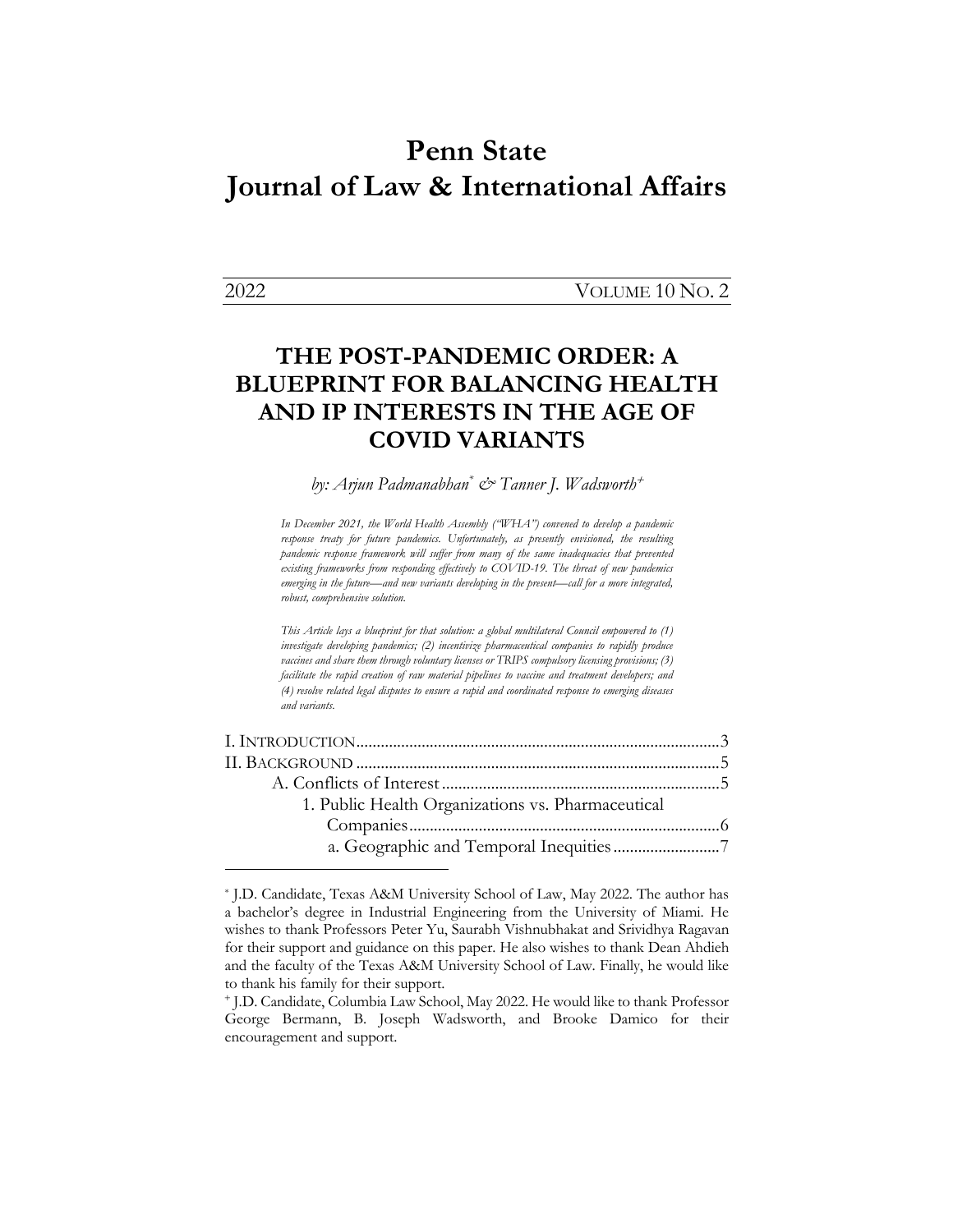# **Penn State Journal of Law & International Affairs**

2022 VOLUME 10 NO. 2

# **THE POST-PANDEMIC ORDER: A BLUEPRINT FOR BALANCING HEALTH AND IP INTERESTS IN THE AGE OF COVID VARIANTS**

*by: Arjun Padmanabhan\* & Tanner J. Wadsworth*<sup>+</sup>

*In December 2021, the World Health Assembly ("WHA") convened to develop a pandemic*  response treaty for future pandemics. Unfortunately, as presently envisioned, the resulting *pandemic response framework will suffer from many of the same inadequacies that prevented existing frameworks from responding effectively to COVID-19. The threat of new pandemics emerging in the future—and new variants developing in the present—call for a more integrated, robust, comprehensive solution.*

*This Article lays a blueprint for that solution: a global multilateral Council empowered to (1) investigate developing pandemics; (2) incentivize pharmaceutical companies to rapidly produce vaccines and share them through voluntary licenses or TRIPS compulsory licensing provisions; (3) facilitate the rapid creation of raw material pipelines to vaccine and treatment developers; and (4) resolve related legal disputes to ensure a rapid and coordinated response to emerging diseases and variants.*

| 1. Public Health Organizations vs. Pharmaceutical |  |
|---------------------------------------------------|--|
|                                                   |  |
|                                                   |  |

<sup>\*</sup> J.D. Candidate, Texas A&M University School of Law, May 2022. The author has a bachelor's degree in Industrial Engineering from the University of Miami. He wishes to thank Professors Peter Yu, Saurabh Vishnubhakat and Srividhya Ragavan for their support and guidance on this paper. He also wishes to thank Dean Ahdieh and the faculty of the Texas A&M University School of Law. Finally, he would like to thank his family for their support.

<sup>+</sup> J.D. Candidate, Columbia Law School, May 2022. He would like to thank Professor George Bermann, B. Joseph Wadsworth, and Brooke Damico for their encouragement and support.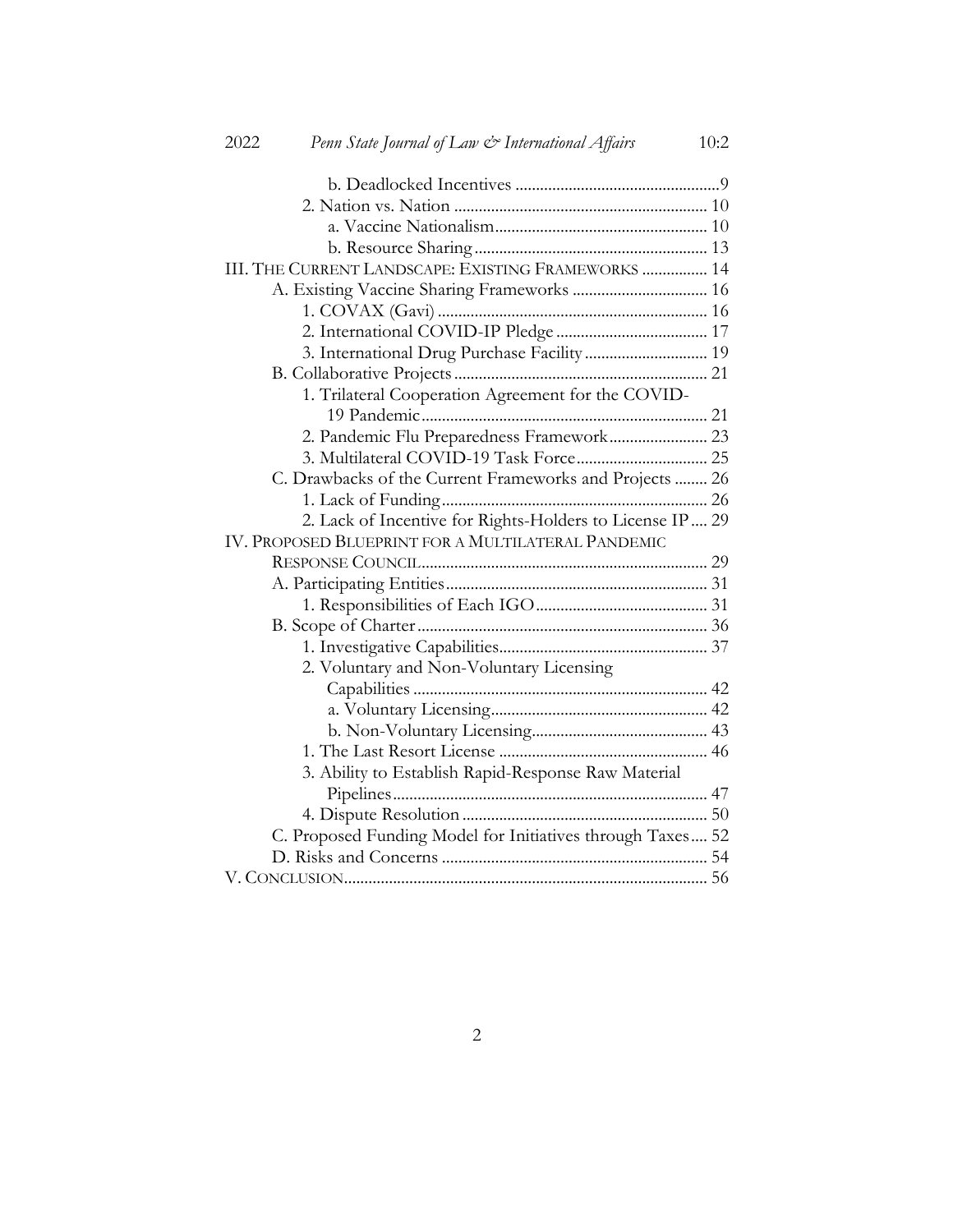| 2022 | Penn State Journal of Law & International Affairs          | 10:2 |
|------|------------------------------------------------------------|------|
|      |                                                            |      |
|      |                                                            |      |
|      |                                                            |      |
|      |                                                            |      |
|      | III. THE CURRENT LANDSCAPE: EXISTING FRAMEWORKS  14        |      |
|      | A. Existing Vaccine Sharing Frameworks  16                 |      |
|      |                                                            |      |
|      |                                                            |      |
|      | 3. International Drug Purchase Facility 19                 |      |
|      |                                                            |      |
|      | 1. Trilateral Cooperation Agreement for the COVID-         |      |
|      |                                                            |      |
|      | 2. Pandemic Flu Preparedness Framework 23                  |      |
|      | 3. Multilateral COVID-19 Task Force 25                     |      |
|      | C. Drawbacks of the Current Frameworks and Projects  26    |      |
|      |                                                            |      |
|      | 2. Lack of Incentive for Rights-Holders to License IP 29   |      |
|      | IV. PROPOSED BLUEPRINT FOR A MULTILATERAL PANDEMIC         |      |
|      |                                                            |      |
|      |                                                            |      |
|      |                                                            |      |
|      |                                                            |      |
|      |                                                            |      |
|      | 2. Voluntary and Non-Voluntary Licensing                   |      |
|      |                                                            |      |
|      |                                                            |      |
|      |                                                            |      |
|      |                                                            |      |
|      | 3. Ability to Establish Rapid-Response Raw Material        |      |
|      |                                                            |      |
|      |                                                            |      |
|      | C. Proposed Funding Model for Initiatives through Taxes 52 |      |
|      |                                                            |      |
|      |                                                            |      |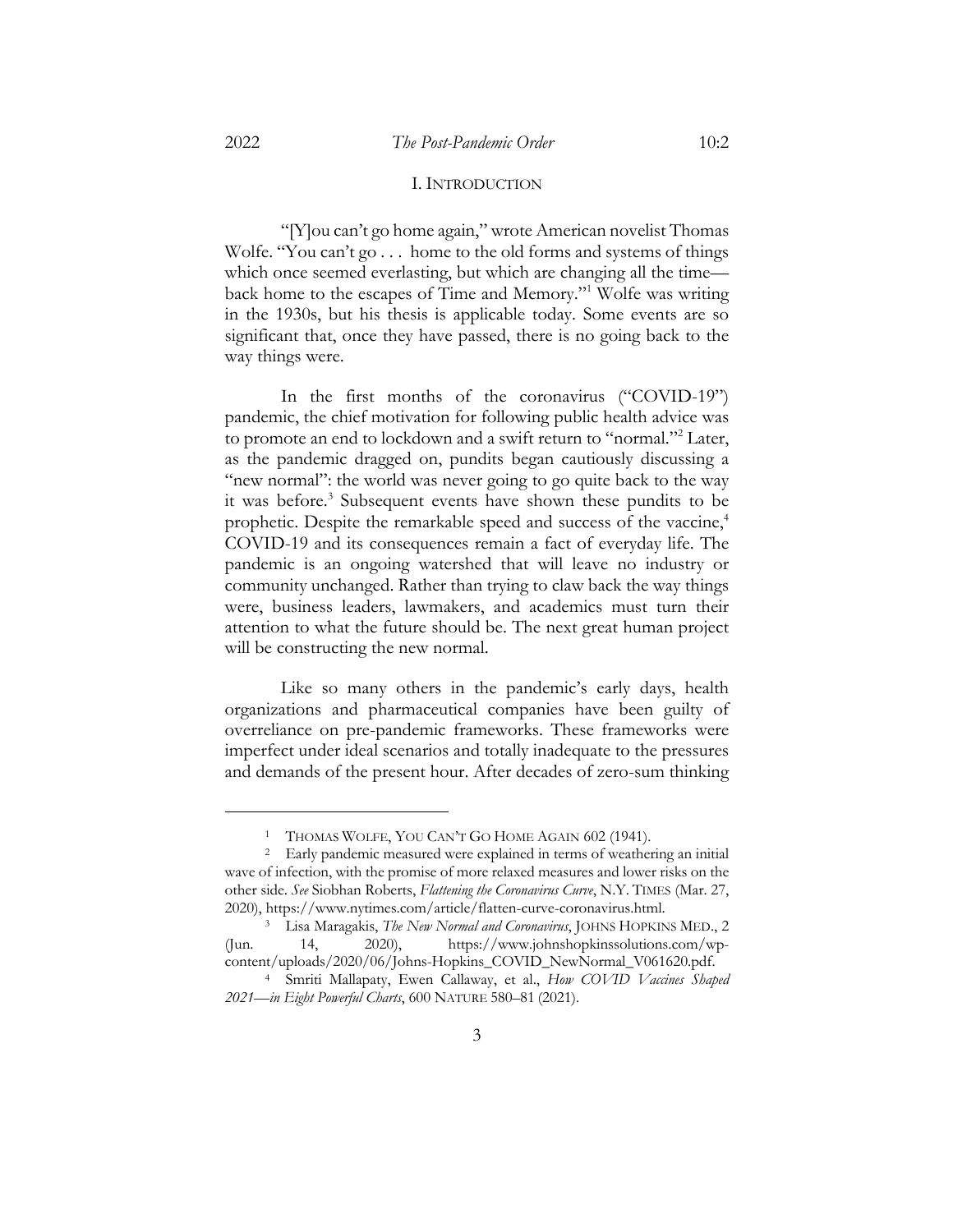## I. INTRODUCTION

"[Y]ou can't go home again," wrote American novelist Thomas Wolfe. "You can't go . . . home to the old forms and systems of things which once seemed everlasting, but which are changing all the time back home to the escapes of Time and Memory."1 Wolfe was writing in the 1930s, but his thesis is applicable today. Some events are so significant that, once they have passed, there is no going back to the way things were.

In the first months of the coronavirus ("COVID-19") pandemic, the chief motivation for following public health advice was to promote an end to lockdown and a swift return to "normal."2 Later, as the pandemic dragged on, pundits began cautiously discussing a "new normal": the world was never going to go quite back to the way it was before.<sup>3</sup> Subsequent events have shown these pundits to be prophetic. Despite the remarkable speed and success of the vaccine,<sup>4</sup> COVID-19 and its consequences remain a fact of everyday life. The pandemic is an ongoing watershed that will leave no industry or community unchanged. Rather than trying to claw back the way things were, business leaders, lawmakers, and academics must turn their attention to what the future should be. The next great human project will be constructing the new normal.

Like so many others in the pandemic's early days, health organizations and pharmaceutical companies have been guilty of overreliance on pre-pandemic frameworks. These frameworks were imperfect under ideal scenarios and totally inadequate to the pressures and demands of the present hour. After decades of zero-sum thinking

<sup>1</sup> THOMAS WOLFE, YOU CAN'T GO HOME AGAIN 602 (1941).

<sup>&</sup>lt;sup>2</sup> Early pandemic measured were explained in terms of weathering an initial wave of infection, with the promise of more relaxed measures and lower risks on the other side. *See* Siobhan Roberts, *Flattening the Coronavirus Curve*, N.Y. TIMES (Mar. 27, 2020), https://www.nytimes.com/article/flatten-curve-coronavirus.html.

<sup>3</sup> Lisa Maragakis, *The New Normal and Coronavirus*, JOHNS HOPKINS MED., 2 (Jun. 14, 2020), https://www.johnshopkinssolutions.com/wpcontent/uploads/2020/06/Johns-Hopkins\_COVID\_NewNormal\_V061620.pdf.

<sup>4</sup> Smriti Mallapaty, Ewen Callaway, et al., *How COVID Vaccines Shaped 2021—in Eight Powerful Charts*, 600 NATURE 580–81 (2021).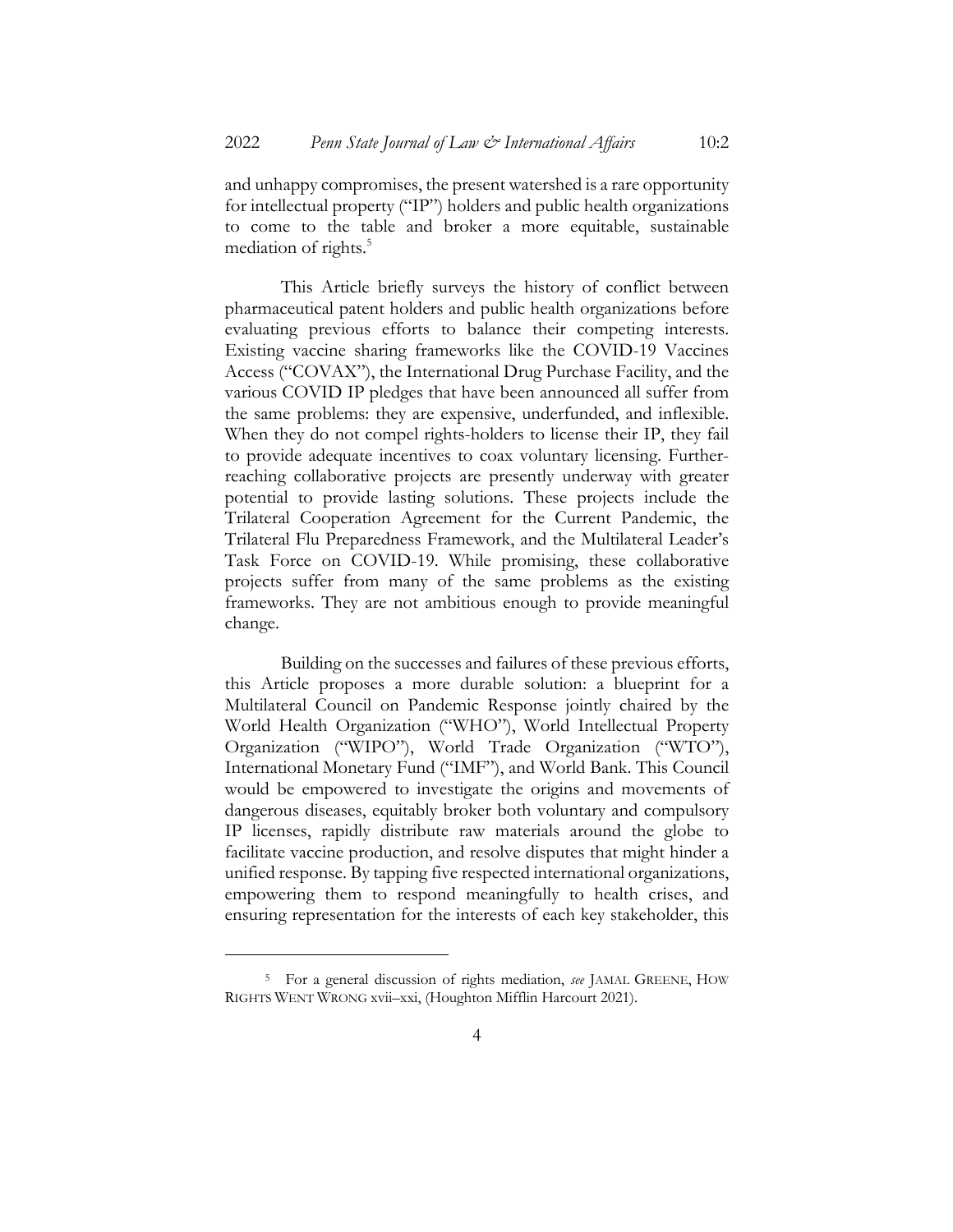and unhappy compromises, the present watershed is a rare opportunity for intellectual property ("IP") holders and public health organizations to come to the table and broker a more equitable, sustainable mediation of rights.<sup>5</sup>

This Article briefly surveys the history of conflict between pharmaceutical patent holders and public health organizations before evaluating previous efforts to balance their competing interests. Existing vaccine sharing frameworks like the COVID-19 Vaccines Access ("COVAX"), the International Drug Purchase Facility, and the various COVID IP pledges that have been announced all suffer from the same problems: they are expensive, underfunded, and inflexible. When they do not compel rights-holders to license their IP, they fail to provide adequate incentives to coax voluntary licensing. Furtherreaching collaborative projects are presently underway with greater potential to provide lasting solutions. These projects include the Trilateral Cooperation Agreement for the Current Pandemic, the Trilateral Flu Preparedness Framework, and the Multilateral Leader's Task Force on COVID-19. While promising, these collaborative projects suffer from many of the same problems as the existing frameworks. They are not ambitious enough to provide meaningful change.

Building on the successes and failures of these previous efforts, this Article proposes a more durable solution: a blueprint for a Multilateral Council on Pandemic Response jointly chaired by the World Health Organization ("WHO"), World Intellectual Property Organization ("WIPO"), World Trade Organization ("WTO"), International Monetary Fund ("IMF"), and World Bank. This Council would be empowered to investigate the origins and movements of dangerous diseases, equitably broker both voluntary and compulsory IP licenses, rapidly distribute raw materials around the globe to facilitate vaccine production, and resolve disputes that might hinder a unified response. By tapping five respected international organizations, empowering them to respond meaningfully to health crises, and ensuring representation for the interests of each key stakeholder, this

<sup>5</sup> For a general discussion of rights mediation, *see* JAMAL GREENE, HOW RIGHTS WENT WRONG xvii–xxi, (Houghton Mifflin Harcourt 2021).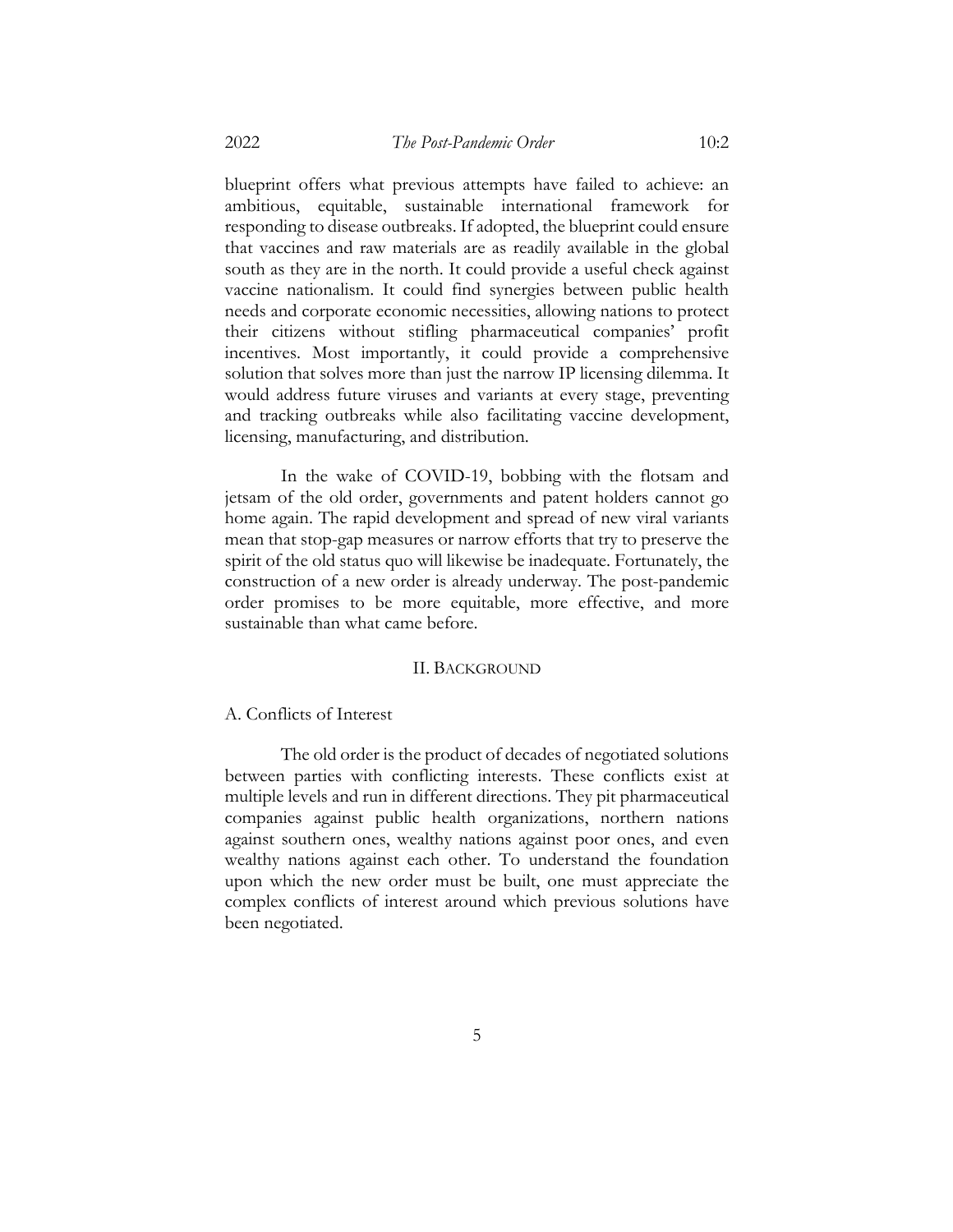blueprint offers what previous attempts have failed to achieve: an ambitious, equitable, sustainable international framework for responding to disease outbreaks. If adopted, the blueprint could ensure that vaccines and raw materials are as readily available in the global south as they are in the north. It could provide a useful check against vaccine nationalism. It could find synergies between public health needs and corporate economic necessities, allowing nations to protect their citizens without stifling pharmaceutical companies' profit incentives. Most importantly, it could provide a comprehensive solution that solves more than just the narrow IP licensing dilemma. It would address future viruses and variants at every stage, preventing and tracking outbreaks while also facilitating vaccine development, licensing, manufacturing, and distribution.

In the wake of COVID-19, bobbing with the flotsam and jetsam of the old order, governments and patent holders cannot go home again. The rapid development and spread of new viral variants mean that stop-gap measures or narrow efforts that try to preserve the spirit of the old status quo will likewise be inadequate. Fortunately, the construction of a new order is already underway. The post-pandemic order promises to be more equitable, more effective, and more sustainable than what came before.

#### II. BACKGROUND

# A. Conflicts of Interest

The old order is the product of decades of negotiated solutions between parties with conflicting interests. These conflicts exist at multiple levels and run in different directions. They pit pharmaceutical companies against public health organizations, northern nations against southern ones, wealthy nations against poor ones, and even wealthy nations against each other. To understand the foundation upon which the new order must be built, one must appreciate the complex conflicts of interest around which previous solutions have been negotiated.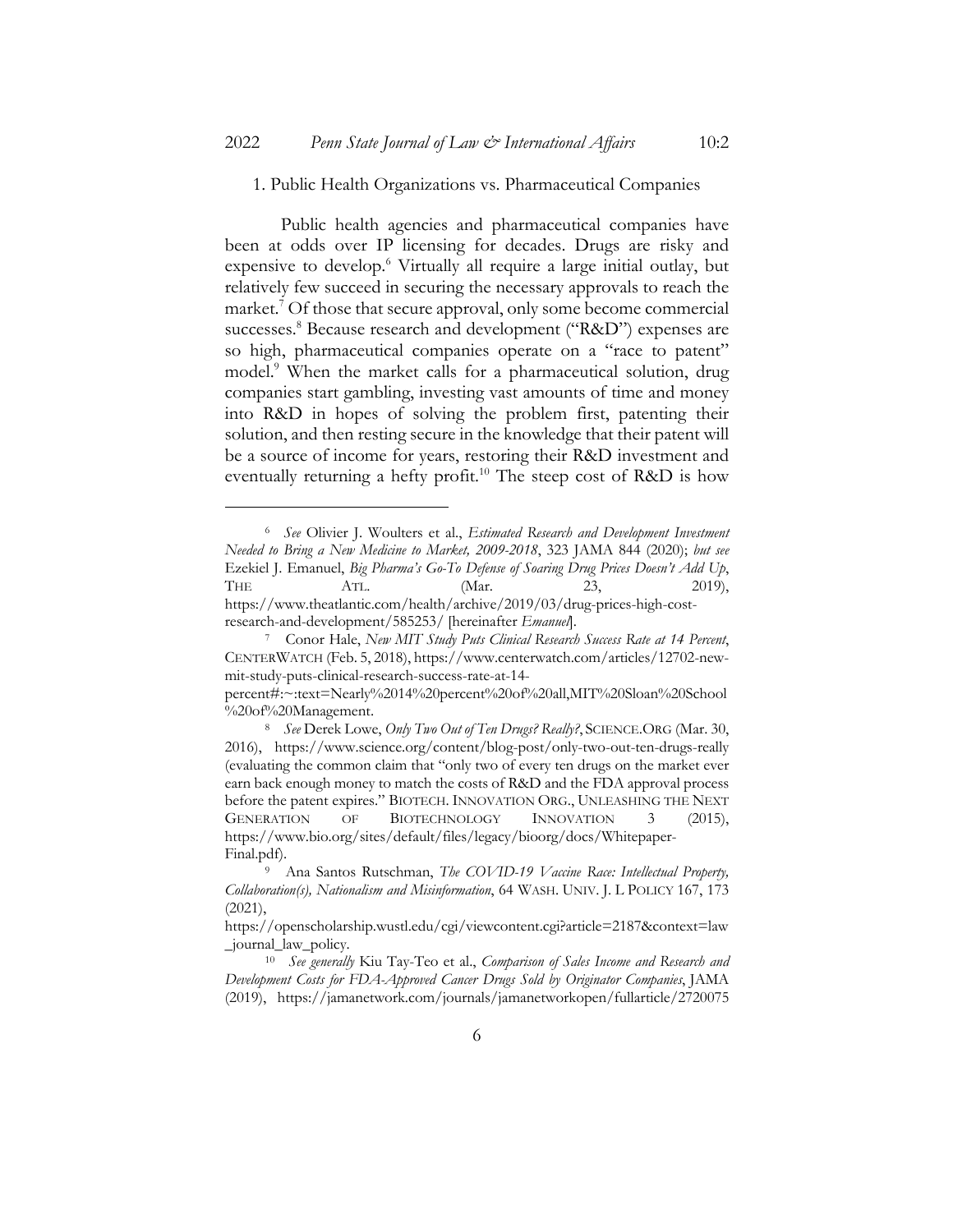#### 1. Public Health Organizations vs. Pharmaceutical Companies

Public health agencies and pharmaceutical companies have been at odds over IP licensing for decades. Drugs are risky and expensive to develop.<sup>6</sup> Virtually all require a large initial outlay, but relatively few succeed in securing the necessary approvals to reach the market.<sup>7</sup> Of those that secure approval, only some become commercial successes.<sup>8</sup> Because research and development ("R&D") expenses are so high, pharmaceutical companies operate on a "race to patent" model.<sup>9</sup> When the market calls for a pharmaceutical solution, drug companies start gambling, investing vast amounts of time and money into R&D in hopes of solving the problem first, patenting their solution, and then resting secure in the knowledge that their patent will be a source of income for years, restoring their R&D investment and eventually returning a hefty profit.<sup>10</sup> The steep cost of R&D is how

<sup>6</sup> *See* Olivier J. Woulters et al., *Estimated Research and Development Investment Needed to Bring a New Medicine to Market, 2009-2018*, 323 JAMA 844 (2020); *but see* Ezekiel J. Emanuel, *Big Pharma's Go-To Defense of Soaring Drug Prices Doesn't Add Up*, THE ATL. (Mar. 23, 2019), https://www.theatlantic.com/health/archive/2019/03/drug-prices-high-costresearch-and-development/585253/ [hereinafter *Emanuel*].

<sup>7</sup> Conor Hale, *New MIT Study Puts Clinical Research Success Rate at 14 Percent*, CENTERWATCH (Feb. 5, 2018), https://www.centerwatch.com/articles/12702-newmit-study-puts-clinical-research-success-rate-at-14-

percent#:~:text=Nearly%2014%20percent%20of%20all,MIT%20Sloan%20School %20of%20Management.

<sup>8</sup> *See* Derek Lowe, *Only Two Out of Ten Drugs? Really?*, SCIENCE.ORG (Mar. 30, 2016), https://www.science.org/content/blog-post/only-two-out-ten-drugs-really (evaluating the common claim that "only two of every ten drugs on the market ever earn back enough money to match the costs of R&D and the FDA approval process before the patent expires." BIOTECH. INNOVATION ORG., UNLEASHING THE NEXT GENERATION OF BIOTECHNOLOGY INNOVATION 3 (2015), https://www.bio.org/sites/default/files/legacy/bioorg/docs/Whitepaper-Final.pdf).

<sup>9</sup> Ana Santos Rutschman, *The COVID-19 Vaccine Race: Intellectual Property, Collaboration(s), Nationalism and Misinformation*, 64 WASH. UNIV. J. L POLICY 167, 173 (2021),

https://openscholarship.wustl.edu/cgi/viewcontent.cgi?article=2187&context=law \_journal\_law\_policy.

<sup>10</sup> *See generally* Kiu Tay-Teo et al., *Comparison of Sales Income and Research and Development Costs for FDA-Approved Cancer Drugs Sold by Originator Companies*, JAMA (2019), https://jamanetwork.com/journals/jamanetworkopen/fullarticle/2720075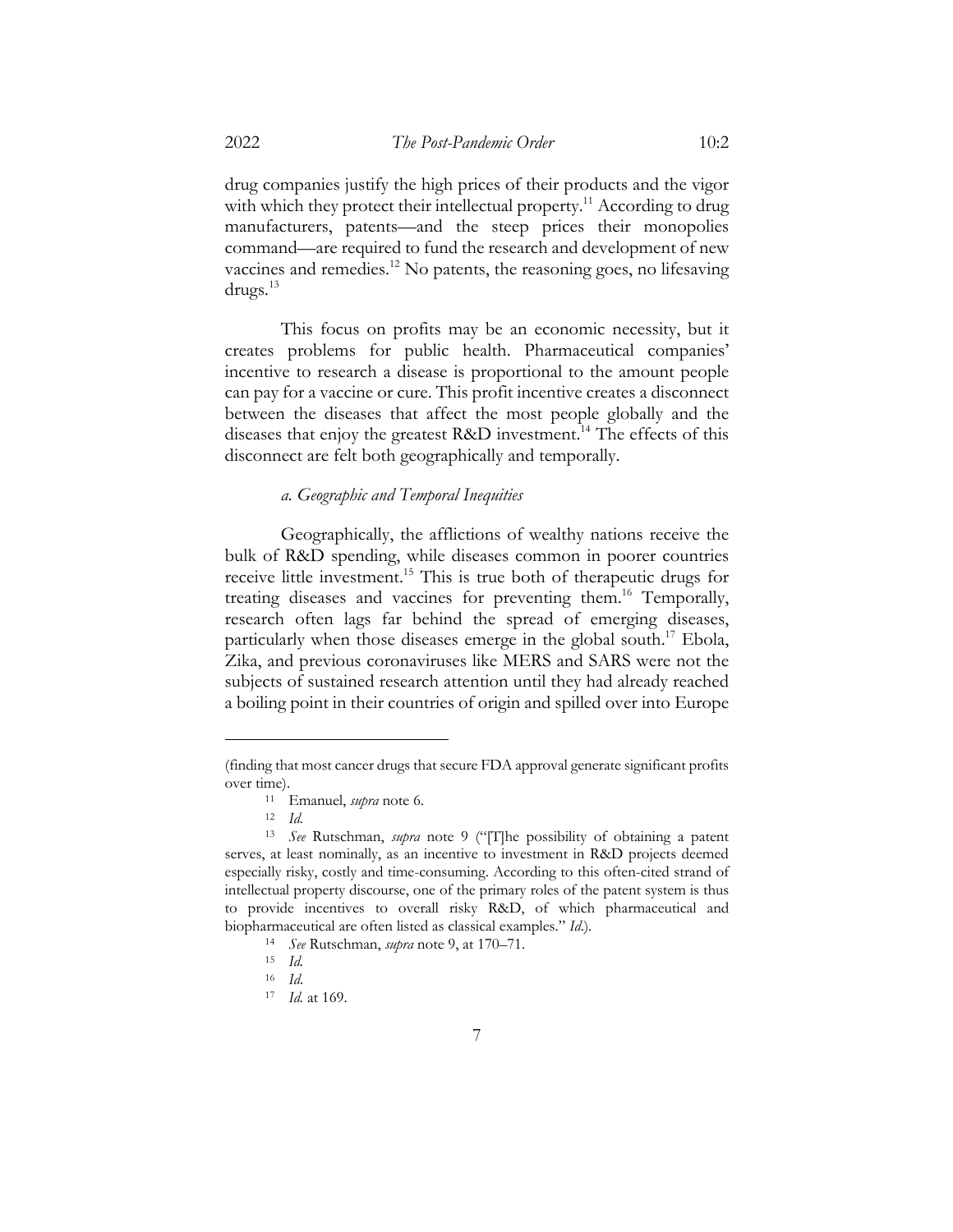drug companies justify the high prices of their products and the vigor with which they protect their intellectual property.<sup>11</sup> According to drug manufacturers, patents—and the steep prices their monopolies command—are required to fund the research and development of new vaccines and remedies.12 No patents, the reasoning goes, no lifesaving drugs.13

This focus on profits may be an economic necessity, but it creates problems for public health. Pharmaceutical companies' incentive to research a disease is proportional to the amount people can pay for a vaccine or cure. This profit incentive creates a disconnect between the diseases that affect the most people globally and the diseases that enjoy the greatest R&D investment.<sup>14</sup> The effects of this disconnect are felt both geographically and temporally.

# *a. Geographic and Temporal Inequities*

Geographically, the afflictions of wealthy nations receive the bulk of R&D spending, while diseases common in poorer countries receive little investment.15 This is true both of therapeutic drugs for treating diseases and vaccines for preventing them.16 Temporally, research often lags far behind the spread of emerging diseases, particularly when those diseases emerge in the global south.<sup>17</sup> Ebola, Zika, and previous coronaviruses like MERS and SARS were not the subjects of sustained research attention until they had already reached a boiling point in their countries of origin and spilled over into Europe

7

<sup>(</sup>finding that most cancer drugs that secure FDA approval generate significant profits over time).

<sup>11</sup> Emanuel, *supra* note 6.

<sup>12</sup> *Id.*

<sup>13</sup> *See* Rutschman, *supra* note 9 ("[T]he possibility of obtaining a patent serves, at least nominally, as an incentive to investment in R&D projects deemed especially risky, costly and time-consuming. According to this often-cited strand of intellectual property discourse, one of the primary roles of the patent system is thus to provide incentives to overall risky R&D, of which pharmaceutical and biopharmaceutical are often listed as classical examples." *Id*.)*.*

<sup>14</sup> *See* Rutschman, *supra* note 9, at 170–71.

<sup>15</sup> *Id.*

<sup>16</sup> *Id*.

<sup>17</sup> *Id.* at 169.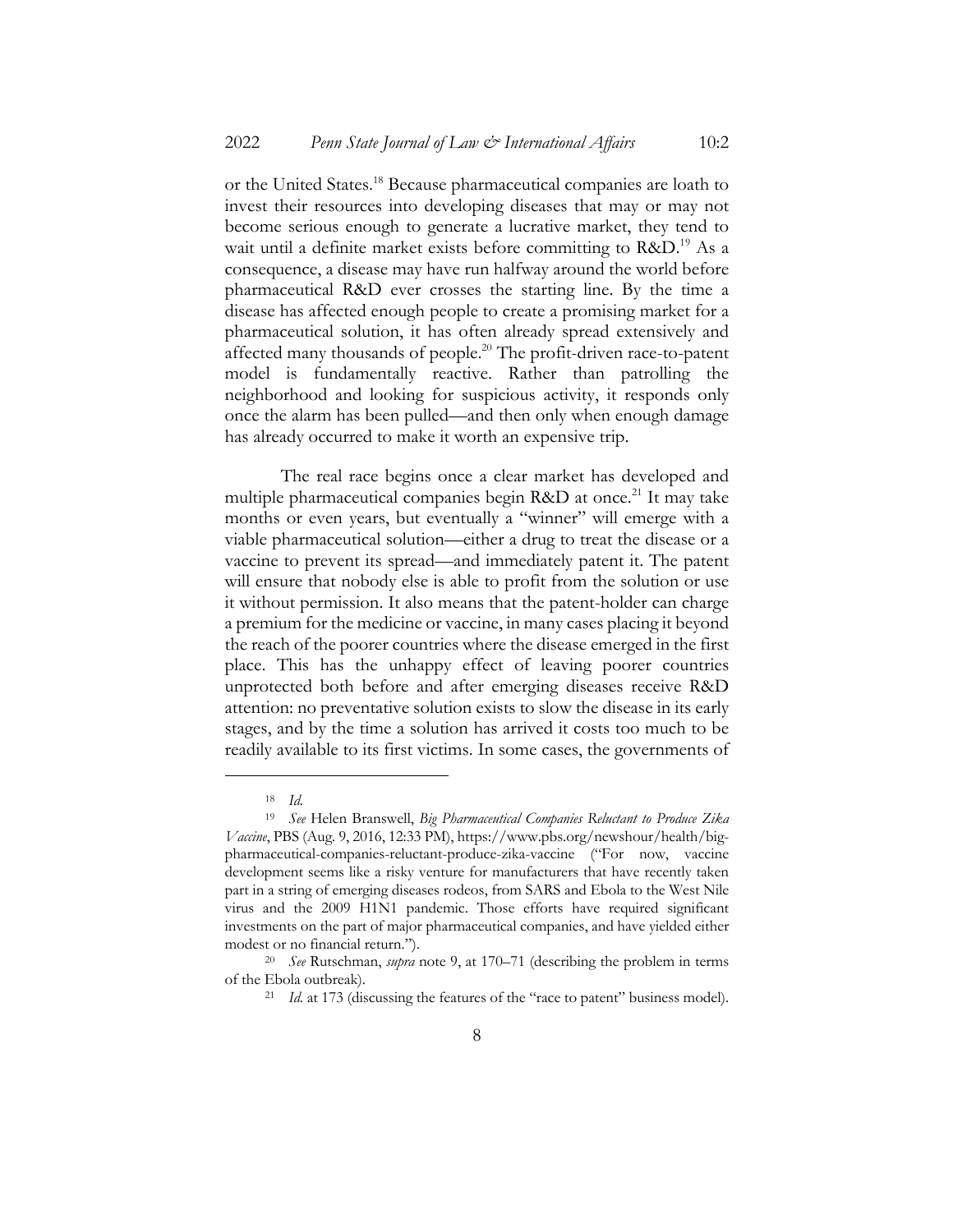or the United States.18 Because pharmaceutical companies are loath to invest their resources into developing diseases that may or may not become serious enough to generate a lucrative market, they tend to wait until a definite market exists before committing to R&D.<sup>19</sup> As a consequence, a disease may have run halfway around the world before pharmaceutical R&D ever crosses the starting line. By the time a disease has affected enough people to create a promising market for a pharmaceutical solution, it has often already spread extensively and affected many thousands of people.20 The profit-driven race-to-patent model is fundamentally reactive. Rather than patrolling the neighborhood and looking for suspicious activity, it responds only once the alarm has been pulled—and then only when enough damage has already occurred to make it worth an expensive trip.

The real race begins once a clear market has developed and multiple pharmaceutical companies begin R&D at once.<sup>21</sup> It may take months or even years, but eventually a "winner" will emerge with a viable pharmaceutical solution—either a drug to treat the disease or a vaccine to prevent its spread—and immediately patent it. The patent will ensure that nobody else is able to profit from the solution or use it without permission. It also means that the patent-holder can charge a premium for the medicine or vaccine, in many cases placing it beyond the reach of the poorer countries where the disease emerged in the first place. This has the unhappy effect of leaving poorer countries unprotected both before and after emerging diseases receive R&D attention: no preventative solution exists to slow the disease in its early stages, and by the time a solution has arrived it costs too much to be readily available to its first victims. In some cases, the governments of

<sup>18</sup> *Id.*

<sup>19</sup> *See* Helen Branswell, *Big Pharmaceutical Companies Reluctant to Produce Zika Vaccine*, PBS (Aug. 9, 2016, 12:33 PM), https://www.pbs.org/newshour/health/bigpharmaceutical-companies-reluctant-produce-zika-vaccine ("For now, vaccine development seems like a risky venture for manufacturers that have recently taken part in a string of emerging diseases rodeos, from SARS and Ebola to the West Nile virus and the 2009 H1N1 pandemic. Those efforts have required significant investments on the part of major pharmaceutical companies, and have yielded either modest or no financial return.").

<sup>20</sup> *See* Rutschman, *supra* note 9, at 170–71 (describing the problem in terms of the Ebola outbreak).

<sup>21</sup> *Id.* at 173 (discussing the features of the "race to patent" business model).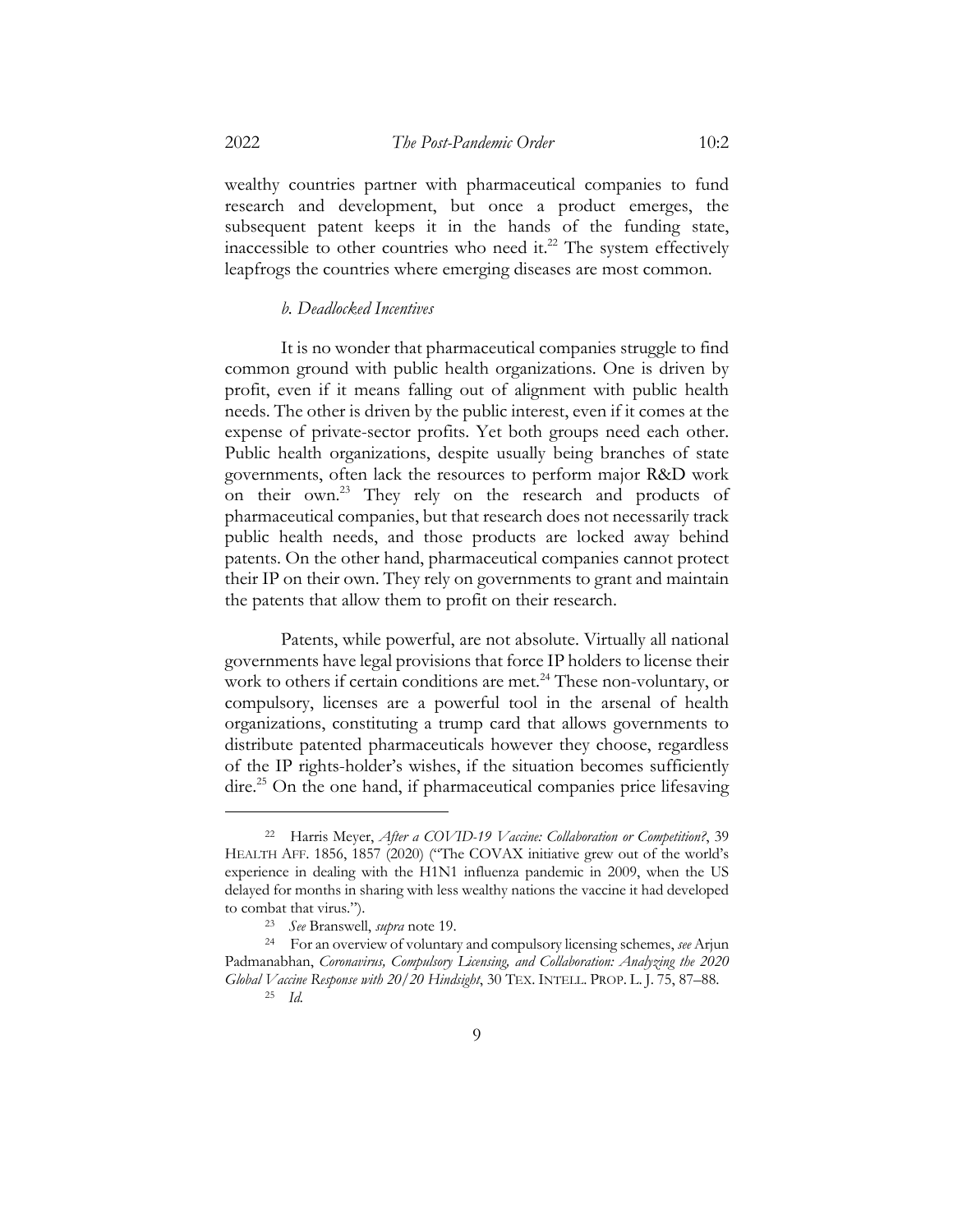wealthy countries partner with pharmaceutical companies to fund research and development, but once a product emerges, the subsequent patent keeps it in the hands of the funding state, inaccessible to other countries who need it. $22$  The system effectively leapfrogs the countries where emerging diseases are most common.

# *b. Deadlocked Incentives*

It is no wonder that pharmaceutical companies struggle to find common ground with public health organizations. One is driven by profit, even if it means falling out of alignment with public health needs. The other is driven by the public interest, even if it comes at the expense of private-sector profits. Yet both groups need each other. Public health organizations, despite usually being branches of state governments, often lack the resources to perform major R&D work on their own.23 They rely on the research and products of pharmaceutical companies, but that research does not necessarily track public health needs, and those products are locked away behind patents. On the other hand, pharmaceutical companies cannot protect their IP on their own. They rely on governments to grant and maintain the patents that allow them to profit on their research.

Patents, while powerful, are not absolute. Virtually all national governments have legal provisions that force IP holders to license their work to others if certain conditions are met.<sup>24</sup> These non-voluntary, or compulsory, licenses are a powerful tool in the arsenal of health organizations, constituting a trump card that allows governments to distribute patented pharmaceuticals however they choose, regardless of the IP rights-holder's wishes, if the situation becomes sufficiently dire.<sup>25</sup> On the one hand, if pharmaceutical companies price lifesaving

<sup>22</sup> Harris Meyer, *After a COVID-19 Vaccine: Collaboration or Competition?*, 39 HEALTH AFF. 1856, 1857 (2020) ("The COVAX initiative grew out of the world's experience in dealing with the H1N1 influenza pandemic in 2009, when the US delayed for months in sharing with less wealthy nations the vaccine it had developed to combat that virus.").

<sup>23</sup> *See* Branswell, *supra* note 19.

<sup>24</sup> For an overview of voluntary and compulsory licensing schemes, *see* Arjun Padmanabhan, *Coronavirus, Compulsory Licensing, and Collaboration: Analyzing the 2020 Global Vaccine Response with 20/20 Hindsight*, 30 TEX. INTELL. PROP. L. J. 75, 87–88.

<sup>25</sup> *Id.*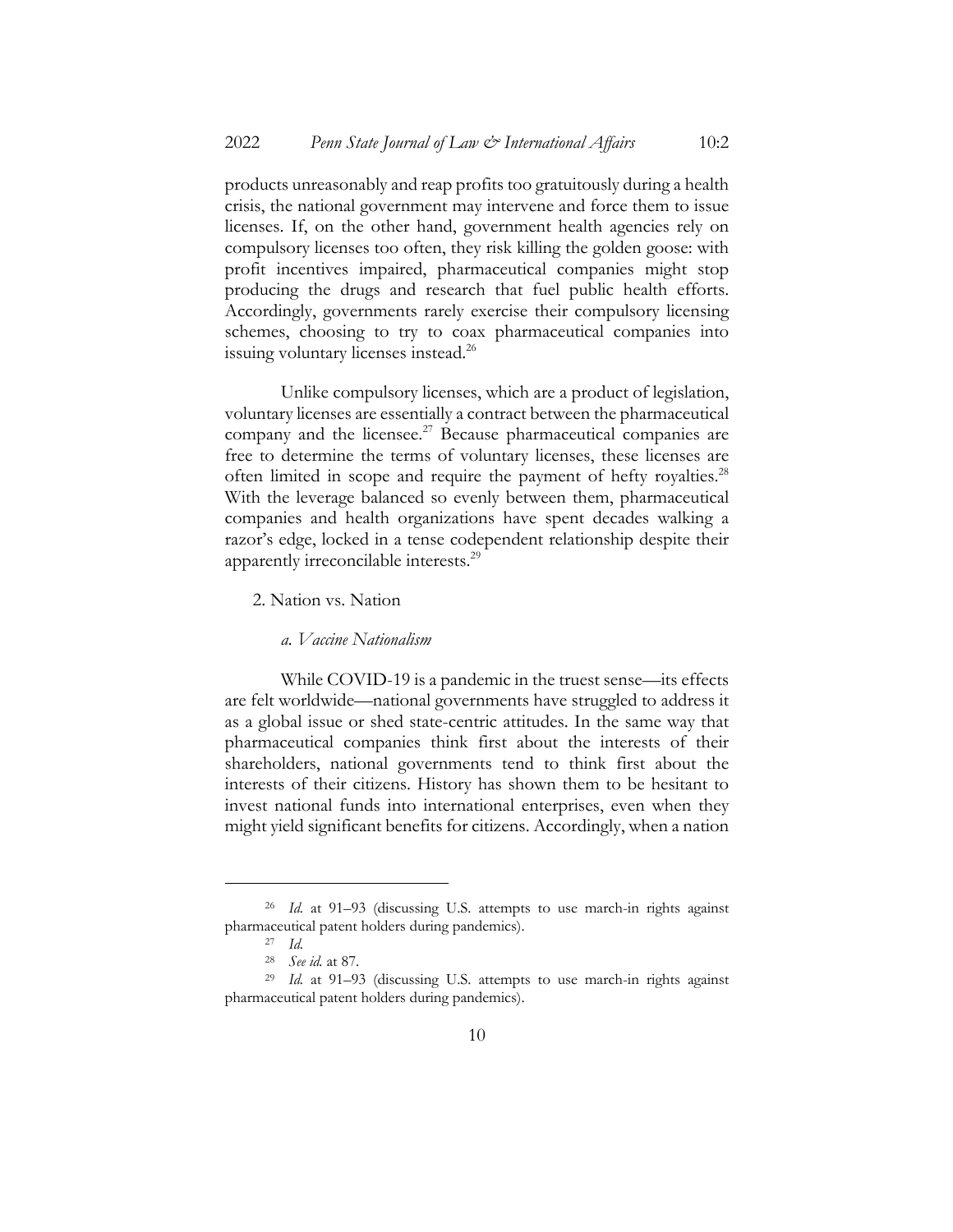products unreasonably and reap profits too gratuitously during a health crisis, the national government may intervene and force them to issue licenses. If, on the other hand, government health agencies rely on compulsory licenses too often, they risk killing the golden goose: with profit incentives impaired, pharmaceutical companies might stop producing the drugs and research that fuel public health efforts. Accordingly, governments rarely exercise their compulsory licensing schemes, choosing to try to coax pharmaceutical companies into issuing voluntary licenses instead.<sup>26</sup>

Unlike compulsory licenses, which are a product of legislation, voluntary licenses are essentially a contract between the pharmaceutical company and the licensee. $27$  Because pharmaceutical companies are free to determine the terms of voluntary licenses, these licenses are often limited in scope and require the payment of hefty royalties.<sup>28</sup> With the leverage balanced so evenly between them, pharmaceutical companies and health organizations have spent decades walking a razor's edge, locked in a tense codependent relationship despite their apparently irreconcilable interests.29

2. Nation vs. Nation

# *a. Vaccine Nationalism*

While COVID-19 is a pandemic in the truest sense—its effects are felt worldwide—national governments have struggled to address it as a global issue or shed state-centric attitudes. In the same way that pharmaceutical companies think first about the interests of their shareholders, national governments tend to think first about the interests of their citizens. History has shown them to be hesitant to invest national funds into international enterprises, even when they might yield significant benefits for citizens. Accordingly, when a nation

<sup>26</sup> *Id.* at 91–93 (discussing U.S. attempts to use march-in rights against pharmaceutical patent holders during pandemics).

<sup>27</sup> *Id.*

<sup>28</sup> *See id.* at 87.

<sup>29</sup> *Id.* at 91–93 (discussing U.S. attempts to use march-in rights against pharmaceutical patent holders during pandemics).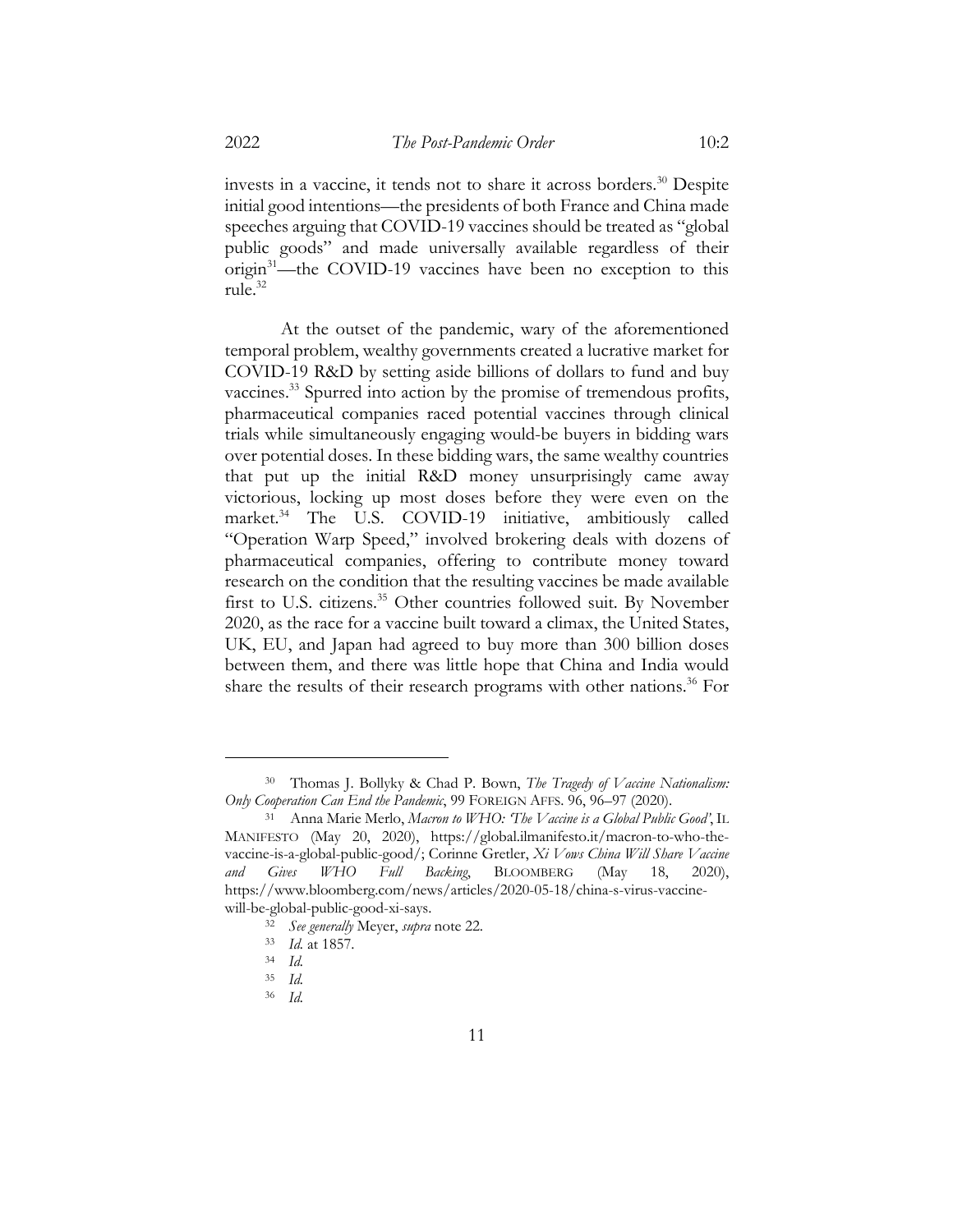invests in a vaccine, it tends not to share it across borders.<sup>30</sup> Despite initial good intentions—the presidents of both France and China made speeches arguing that COVID-19 vaccines should be treated as "global public goods" and made universally available regardless of their origin<sup>31</sup>—the COVID-19 vaccines have been no exception to this rule.32

At the outset of the pandemic, wary of the aforementioned temporal problem, wealthy governments created a lucrative market for COVID-19 R&D by setting aside billions of dollars to fund and buy vaccines.<sup>33</sup> Spurred into action by the promise of tremendous profits, pharmaceutical companies raced potential vaccines through clinical trials while simultaneously engaging would-be buyers in bidding wars over potential doses. In these bidding wars, the same wealthy countries that put up the initial R&D money unsurprisingly came away victorious, locking up most doses before they were even on the market.34 The U.S. COVID-19 initiative, ambitiously called "Operation Warp Speed," involved brokering deals with dozens of pharmaceutical companies, offering to contribute money toward research on the condition that the resulting vaccines be made available first to U.S. citizens.<sup>35</sup> Other countries followed suit. By November 2020, as the race for a vaccine built toward a climax, the United States, UK, EU, and Japan had agreed to buy more than 300 billion doses between them, and there was little hope that China and India would share the results of their research programs with other nations.<sup>36</sup> For

<sup>30</sup> Thomas J. Bollyky & Chad P. Bown, *The Tragedy of Vaccine Nationalism: Only Cooperation Can End the Pandemic*, 99 FOREIGN AFFS. 96, 96–97 (2020).

<sup>31</sup> Anna Marie Merlo, *Macron to WHO: 'The Vaccine is a Global Public Good'*, IL MANIFESTO (May 20, 2020), https://global.ilmanifesto.it/macron-to-who-thevaccine-is-a-global-public-good/; Corinne Gretler, *Xi Vows China Will Share Vaccine and Gives WHO Full Backing*, BLOOMBERG (May 18, 2020), https://www.bloomberg.com/news/articles/2020-05-18/china-s-virus-vaccinewill-be-global-public-good-xi-says.

<sup>32</sup> *See generally* Meyer, *supra* note 22.

<sup>33</sup> *Id.* at 1857.

<sup>34</sup> *Id.*

<sup>35</sup> *Id.*

<sup>36</sup> *Id.*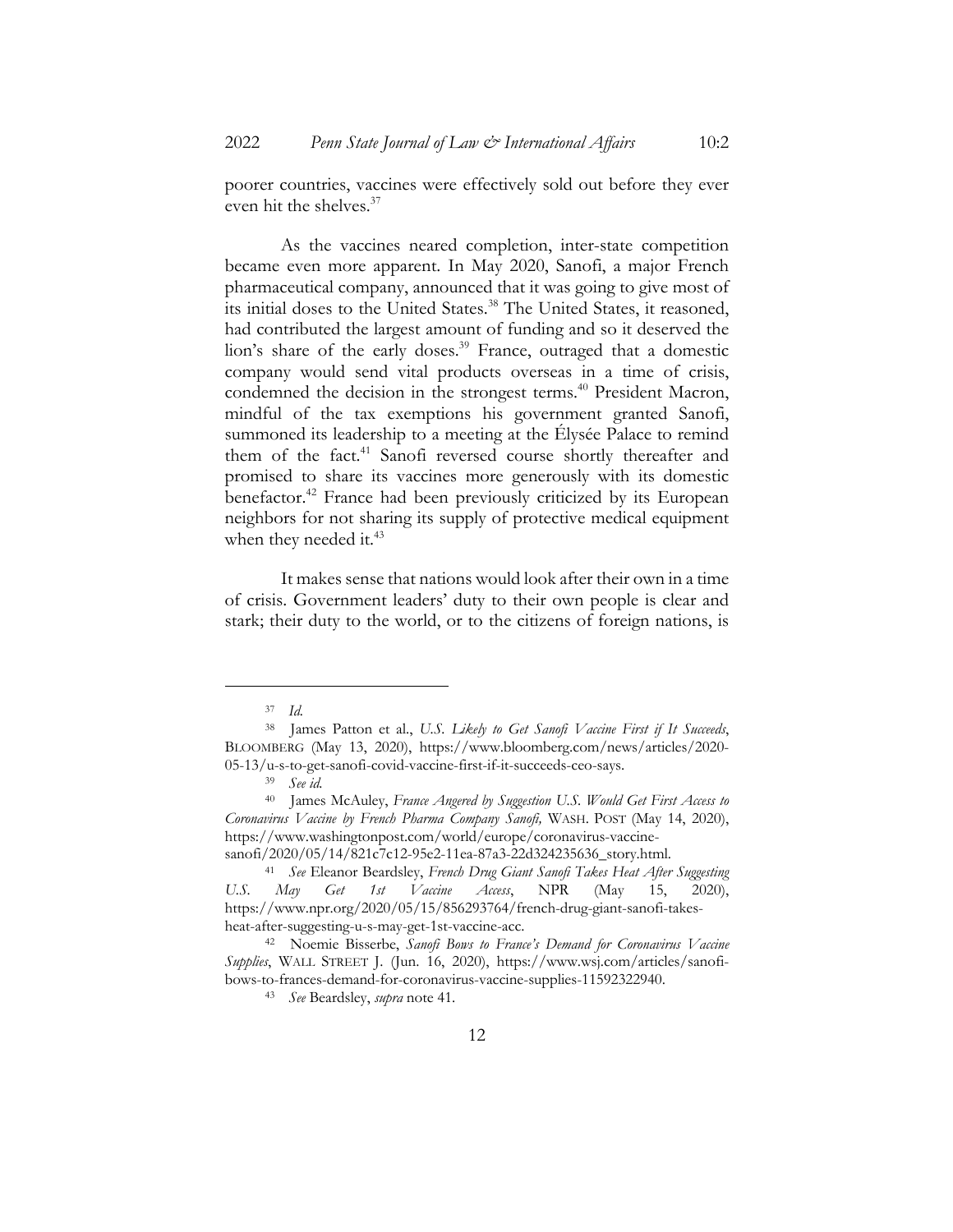poorer countries, vaccines were effectively sold out before they ever even hit the shelves.<sup>37</sup>

As the vaccines neared completion, inter-state competition became even more apparent. In May 2020, Sanofi, a major French pharmaceutical company, announced that it was going to give most of its initial doses to the United States.<sup>38</sup> The United States, it reasoned, had contributed the largest amount of funding and so it deserved the lion's share of the early doses.<sup>39</sup> France, outraged that a domestic company would send vital products overseas in a time of crisis, condemned the decision in the strongest terms.<sup>40</sup> President Macron, mindful of the tax exemptions his government granted Sanofi, summoned its leadership to a meeting at the Élysée Palace to remind them of the fact.<sup>41</sup> Sanofi reversed course shortly thereafter and promised to share its vaccines more generously with its domestic benefactor.<sup>42</sup> France had been previously criticized by its European neighbors for not sharing its supply of protective medical equipment when they needed it.<sup>43</sup>

It makes sense that nations would look after their own in a time of crisis. Government leaders' duty to their own people is clear and stark; their duty to the world, or to the citizens of foreign nations, is

<sup>37</sup> *Id.*

<sup>38</sup> James Patton et al., *U.S. Likely to Get Sanofi Vaccine First if It Succeeds*, BLOOMBERG (May 13, 2020), https://www.bloomberg.com/news/articles/2020- 05-13/u-s-to-get-sanofi-covid-vaccine-first-if-it-succeeds-ceo-says.

<sup>39</sup> *See id.*

<sup>40</sup> James McAuley, *France Angered by Suggestion U.S. Would Get First Access to Coronavirus Vaccine by French Pharma Company Sanofi,* WASH. POST (May 14, 2020), https://www.washingtonpost.com/world/europe/coronavirus-vaccine-

sanofi/2020/05/14/821c7c12-95e2-11ea-87a3-22d324235636\_story.html.

<sup>41</sup> *See* Eleanor Beardsley, *French Drug Giant Sanofi Takes Heat After Suggesting U.S. May Get 1st Vaccine Access*, NPR (May 15, 2020), https://www.npr.org/2020/05/15/856293764/french-drug-giant-sanofi-takesheat-after-suggesting-u-s-may-get-1st-vaccine-acc.

<sup>42</sup> Noemie Bisserbe, *Sanofi Bows to France's Demand for Coronavirus Vaccine Supplies*, WALL STREET J. (Jun. 16, 2020), https://www.wsj.com/articles/sanofibows-to-frances-demand-for-coronavirus-vaccine-supplies-11592322940.

<sup>43</sup> *See* Beardsley, *supra* note 41.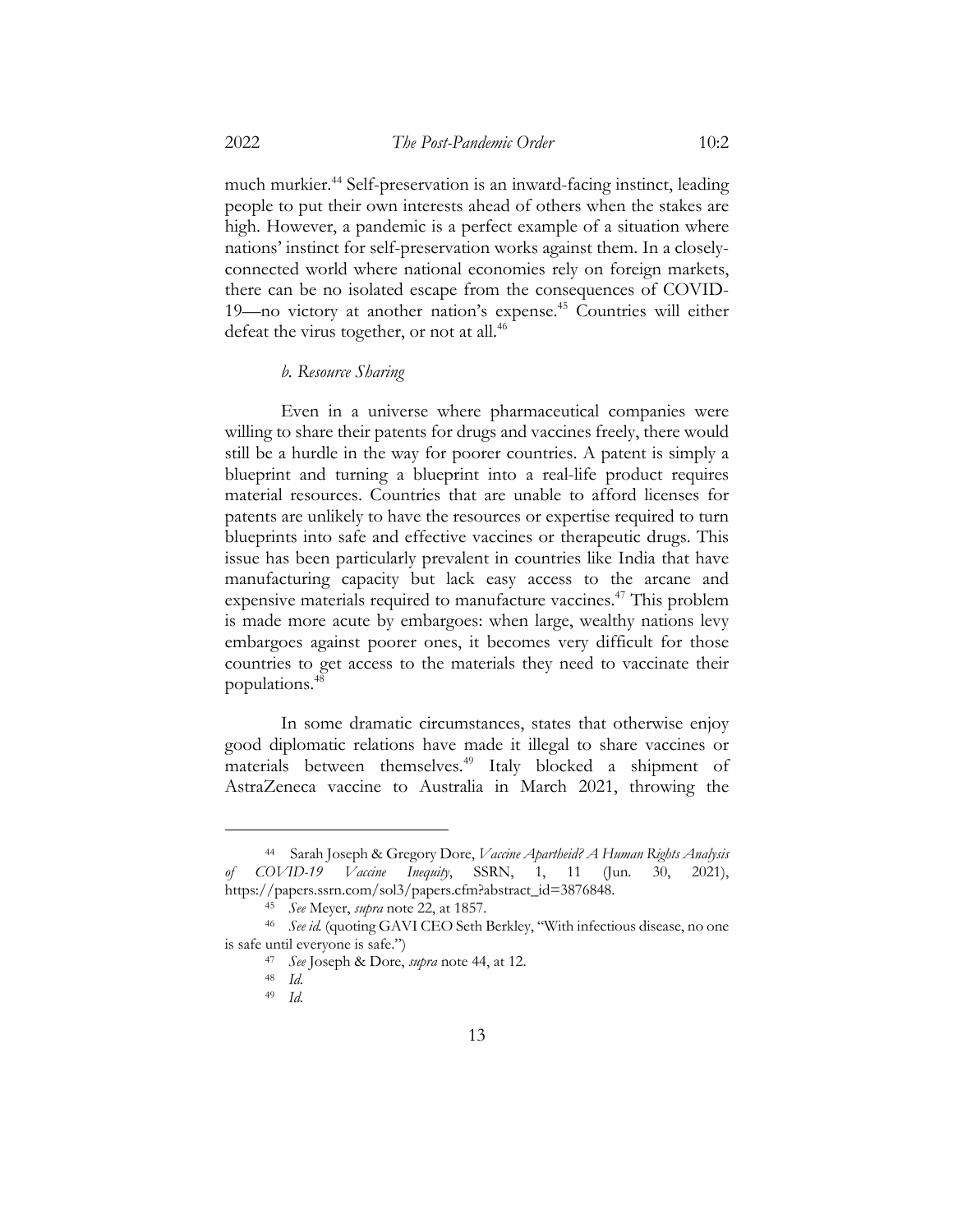much murkier.44 Self-preservation is an inward-facing instinct, leading people to put their own interests ahead of others when the stakes are high. However, a pandemic is a perfect example of a situation where nations' instinct for self-preservation works against them. In a closelyconnected world where national economies rely on foreign markets, there can be no isolated escape from the consequences of COVID-19—no victory at another nation's expense.<sup>45</sup> Countries will either defeat the virus together, or not at all.<sup>46</sup>

# *b. Resource Sharing*

Even in a universe where pharmaceutical companies were willing to share their patents for drugs and vaccines freely, there would still be a hurdle in the way for poorer countries. A patent is simply a blueprint and turning a blueprint into a real-life product requires material resources. Countries that are unable to afford licenses for patents are unlikely to have the resources or expertise required to turn blueprints into safe and effective vaccines or therapeutic drugs. This issue has been particularly prevalent in countries like India that have manufacturing capacity but lack easy access to the arcane and expensive materials required to manufacture vaccines.<sup>47</sup> This problem is made more acute by embargoes: when large, wealthy nations levy embargoes against poorer ones, it becomes very difficult for those countries to get access to the materials they need to vaccinate their populations.48

In some dramatic circumstances, states that otherwise enjoy good diplomatic relations have made it illegal to share vaccines or materials between themselves.<sup>49</sup> Italy blocked a shipment of AstraZeneca vaccine to Australia in March 2021, throwing the

<sup>44</sup> Sarah Joseph & Gregory Dore, *Vaccine Apartheid? A Human Rights Analysis of COVID-19 Vaccine Inequity*, SSRN, 1, 11 (Jun. 30, 2021), https://papers.ssrn.com/sol3/papers.cfm?abstract\_id=3876848.

<sup>45</sup> *See* Meyer, *supra* note 22, at 1857.

<sup>46</sup> *See id.* (quoting GAVI CEO Seth Berkley, "With infectious disease, no one is safe until everyone is safe.")

<sup>47</sup> *See* Joseph & Dore, *supra* note 44, at 12.

<sup>48</sup> *Id.*

<sup>49</sup> *Id.*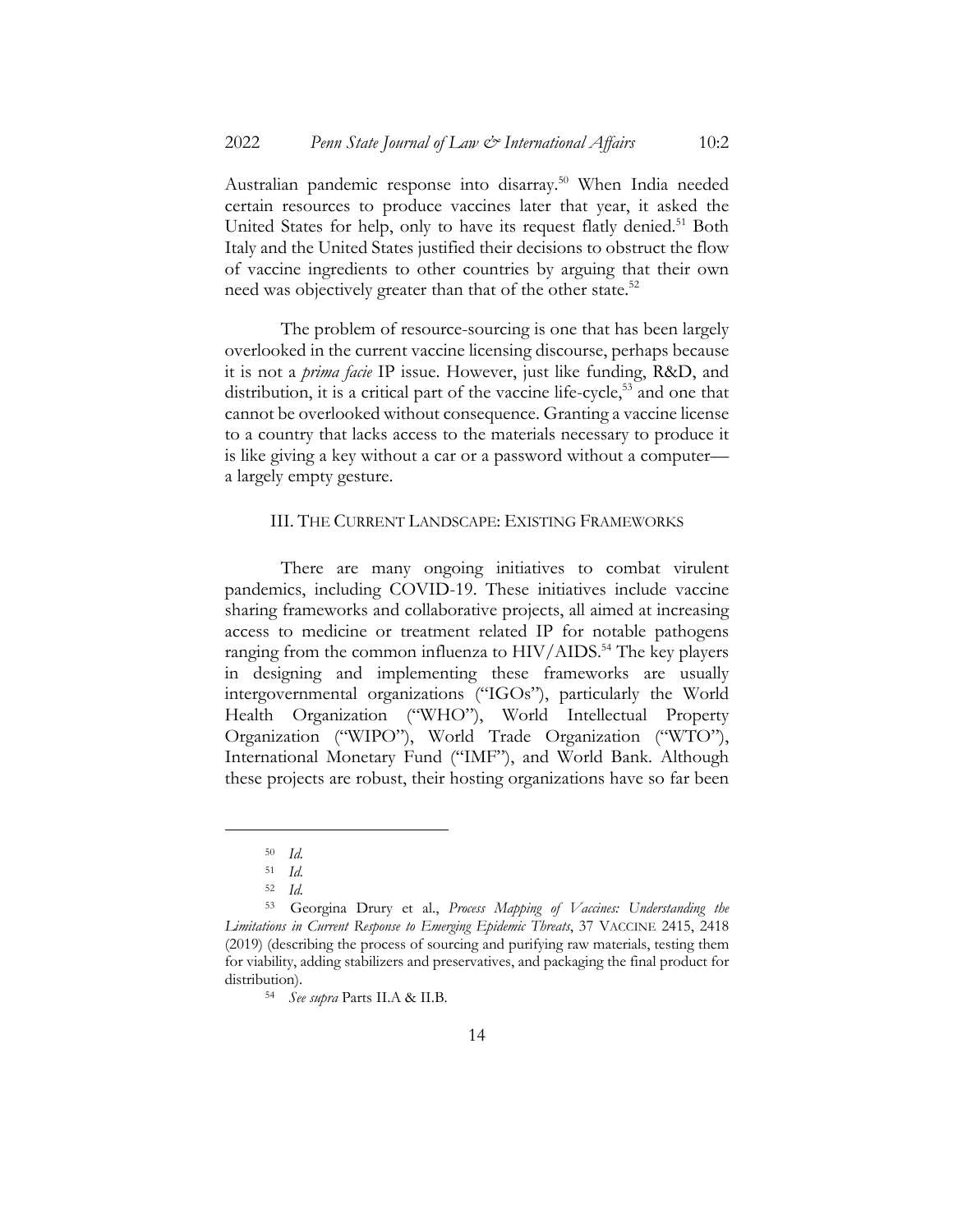Australian pandemic response into disarray.50 When India needed certain resources to produce vaccines later that year, it asked the United States for help, only to have its request flatly denied.<sup>51</sup> Both Italy and the United States justified their decisions to obstruct the flow of vaccine ingredients to other countries by arguing that their own need was objectively greater than that of the other state.<sup>52</sup>

The problem of resource-sourcing is one that has been largely overlooked in the current vaccine licensing discourse, perhaps because it is not a *prima facie* IP issue. However, just like funding, R&D, and distribution, it is a critical part of the vaccine life-cycle,<sup>53</sup> and one that cannot be overlooked without consequence. Granting a vaccine license to a country that lacks access to the materials necessary to produce it is like giving a key without a car or a password without a computer a largely empty gesture.

# III. THE CURRENT LANDSCAPE: EXISTING FRAMEWORKS

There are many ongoing initiatives to combat virulent pandemics, including COVID-19. These initiatives include vaccine sharing frameworks and collaborative projects, all aimed at increasing access to medicine or treatment related IP for notable pathogens ranging from the common influenza to HIV/AIDS.<sup>54</sup> The key players in designing and implementing these frameworks are usually intergovernmental organizations ("IGOs"), particularly the World Health Organization ("WHO"), World Intellectual Property Organization ("WIPO"), World Trade Organization ("WTO"), International Monetary Fund ("IMF"), and World Bank. Although these projects are robust, their hosting organizations have so far been

<sup>50</sup> *Id.*

<sup>51</sup> *Id.*

<sup>52</sup> *Id.*

<sup>53</sup> Georgina Drury et al., *Process Mapping of Vaccines: Understanding the Limitations in Current Response to Emerging Epidemic Threats*, 37 VACCINE 2415, 2418 (2019) (describing the process of sourcing and purifying raw materials, testing them for viability, adding stabilizers and preservatives, and packaging the final product for distribution).

<sup>54</sup> *See supra* Parts II.A & II.B.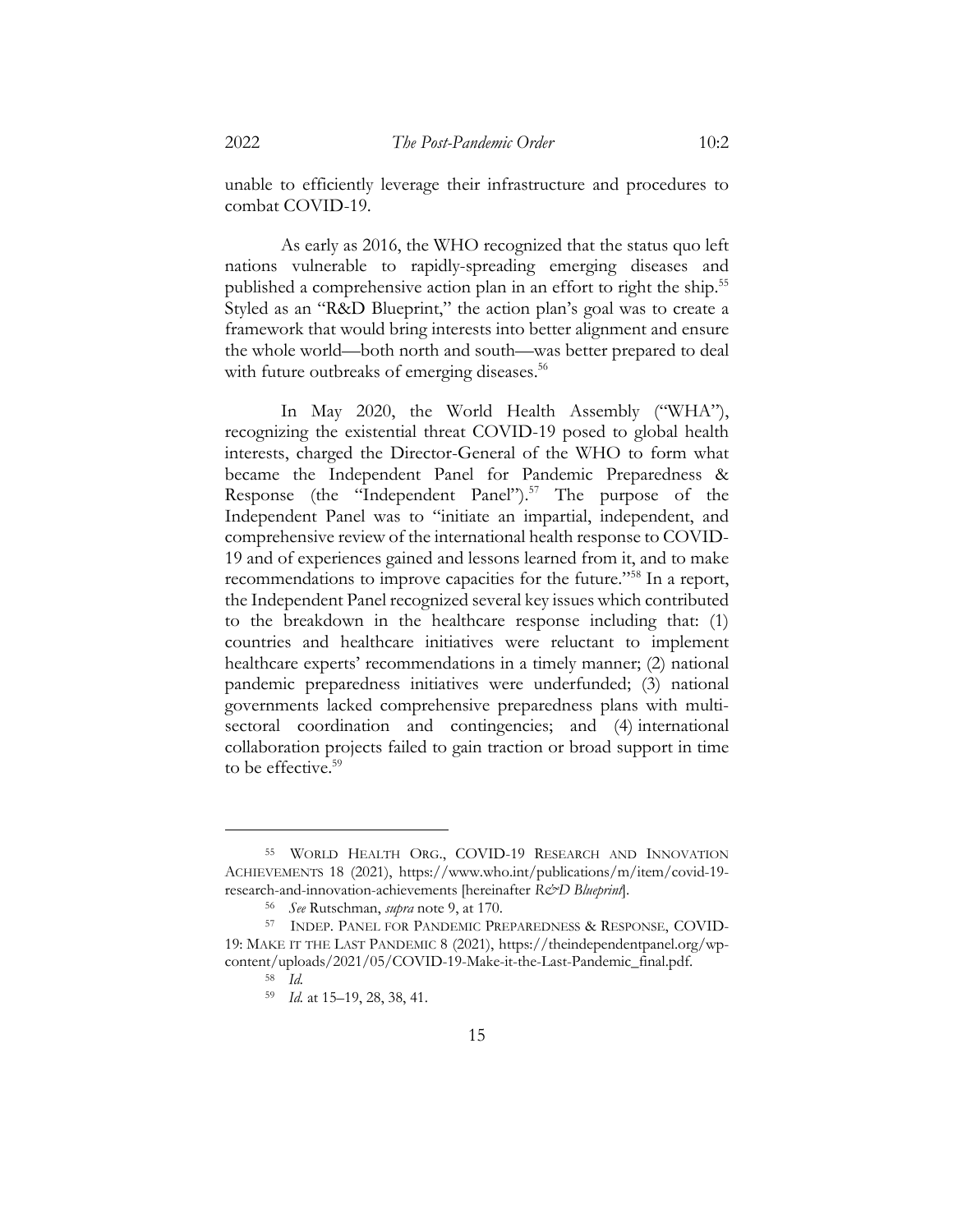unable to efficiently leverage their infrastructure and procedures to combat COVID-19.

As early as 2016, the WHO recognized that the status quo left nations vulnerable to rapidly-spreading emerging diseases and published a comprehensive action plan in an effort to right the ship.<sup>55</sup> Styled as an "R&D Blueprint," the action plan's goal was to create a framework that would bring interests into better alignment and ensure the whole world—both north and south—was better prepared to deal with future outbreaks of emerging diseases.<sup>56</sup>

In May 2020, the World Health Assembly ("WHA"), recognizing the existential threat COVID-19 posed to global health interests, charged the Director-General of the WHO to form what became the Independent Panel for Pandemic Preparedness & Response (the "Independent Panel").<sup>57</sup> The purpose of the Independent Panel was to "initiate an impartial, independent, and comprehensive review of the international health response to COVID-19 and of experiences gained and lessons learned from it, and to make recommendations to improve capacities for the future."58 In a report, the Independent Panel recognized several key issues which contributed to the breakdown in the healthcare response including that: (1) countries and healthcare initiatives were reluctant to implement healthcare experts' recommendations in a timely manner; (2) national pandemic preparedness initiatives were underfunded; (3) national governments lacked comprehensive preparedness plans with multisectoral coordination and contingencies; and (4) international collaboration projects failed to gain traction or broad support in time to be effective.<sup>59</sup>

<sup>55</sup> WORLD HEALTH ORG., COVID-19 RESEARCH AND INNOVATION ACHIEVEMENTS 18 (2021), https://www.who.int/publications/m/item/covid-19 research-and-innovation-achievements [hereinafter *R&D Blueprint*].

<sup>56</sup> *See* Rutschman, *supra* note 9, at 170.

<sup>57</sup> INDEP. PANEL FOR PANDEMIC PREPAREDNESS & RESPONSE, COVID-19: MAKE IT THE LAST PANDEMIC 8 (2021), https://theindependentpanel.org/wpcontent/uploads/2021/05/COVID-19-Make-it-the-Last-Pandemic\_final.pdf.

<sup>58</sup> *Id.*

<sup>59</sup> *Id.* at 15–19, 28, 38, 41.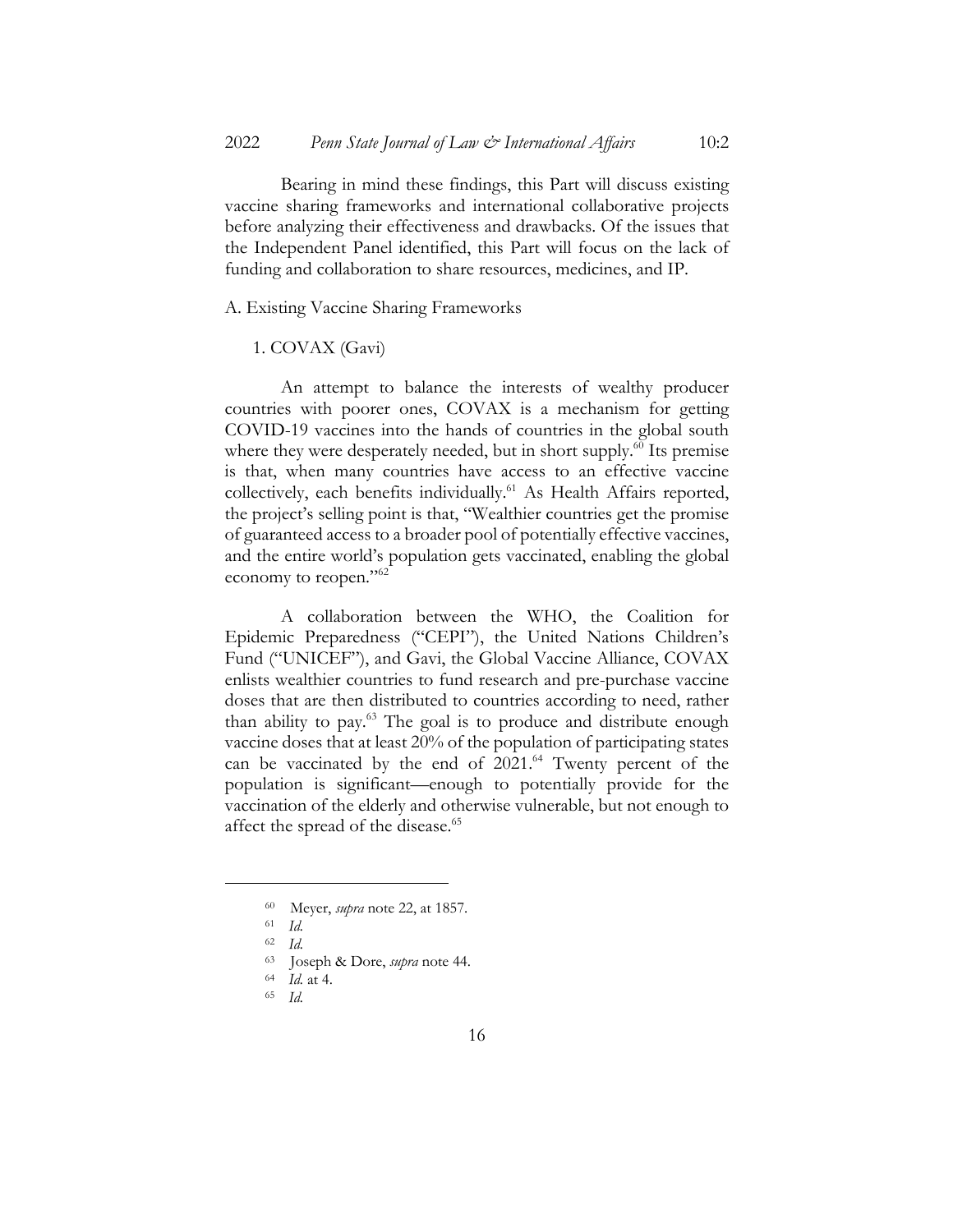Bearing in mind these findings, this Part will discuss existing vaccine sharing frameworks and international collaborative projects before analyzing their effectiveness and drawbacks. Of the issues that the Independent Panel identified, this Part will focus on the lack of funding and collaboration to share resources, medicines, and IP.

A. Existing Vaccine Sharing Frameworks

## 1. COVAX (Gavi)

An attempt to balance the interests of wealthy producer countries with poorer ones, COVAX is a mechanism for getting COVID-19 vaccines into the hands of countries in the global south where they were desperately needed, but in short supply.<sup>60</sup> Its premise is that, when many countries have access to an effective vaccine collectively, each benefits individually.<sup>61</sup> As Health Affairs reported, the project's selling point is that, "Wealthier countries get the promise of guaranteed access to a broader pool of potentially effective vaccines, and the entire world's population gets vaccinated, enabling the global economy to reopen."<sup>62</sup>

A collaboration between the WHO, the Coalition for Epidemic Preparedness ("CEPI"), the United Nations Children's Fund ("UNICEF"), and Gavi, the Global Vaccine Alliance, COVAX enlists wealthier countries to fund research and pre-purchase vaccine doses that are then distributed to countries according to need, rather than ability to pay.63 The goal is to produce and distribute enough vaccine doses that at least 20% of the population of participating states can be vaccinated by the end of 2021.<sup>64</sup> Twenty percent of the population is significant—enough to potentially provide for the vaccination of the elderly and otherwise vulnerable, but not enough to affect the spread of the disease.<sup>65</sup>

<sup>60</sup> Meyer, *supra* note 22, at 1857.

<sup>61</sup> *Id.*

<sup>62</sup> *Id.*

<sup>63</sup> Joseph & Dore, *supra* note 44.

<sup>64</sup> *Id.* at 4.

<sup>65</sup> *Id.*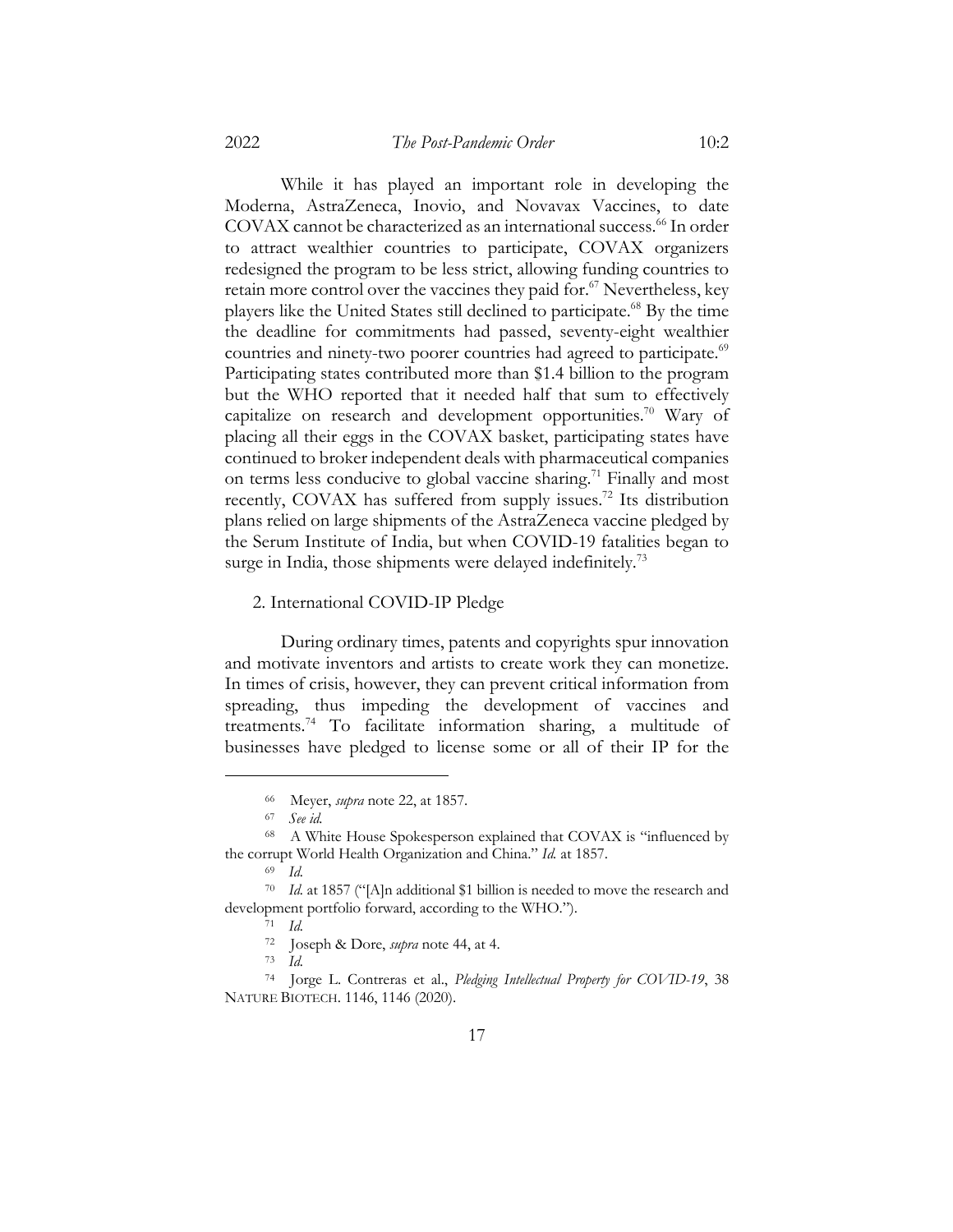While it has played an important role in developing the Moderna, AstraZeneca, Inovio, and Novavax Vaccines, to date COVAX cannot be characterized as an international success.<sup>66</sup> In order to attract wealthier countries to participate, COVAX organizers redesigned the program to be less strict, allowing funding countries to retain more control over the vaccines they paid for.<sup>67</sup> Nevertheless, key players like the United States still declined to participate.68 By the time the deadline for commitments had passed, seventy-eight wealthier countries and ninety-two poorer countries had agreed to participate.<sup>69</sup> Participating states contributed more than \$1.4 billion to the program but the WHO reported that it needed half that sum to effectively capitalize on research and development opportunities.<sup>70</sup> Wary of placing all their eggs in the COVAX basket, participating states have continued to broker independent deals with pharmaceutical companies on terms less conducive to global vaccine sharing.<sup>71</sup> Finally and most recently, COVAX has suffered from supply issues.<sup>72</sup> Its distribution plans relied on large shipments of the AstraZeneca vaccine pledged by the Serum Institute of India, but when COVID-19 fatalities began to surge in India, those shipments were delayed indefinitely.<sup>73</sup>

#### 2. International COVID-IP Pledge

During ordinary times, patents and copyrights spur innovation and motivate inventors and artists to create work they can monetize. In times of crisis, however, they can prevent critical information from spreading, thus impeding the development of vaccines and treatments.74 To facilitate information sharing, a multitude of businesses have pledged to license some or all of their IP for the

<sup>73</sup> *Id.*

<sup>66</sup> Meyer, *supra* note 22, at 1857.

<sup>67</sup> *See id.*

<sup>68</sup> A White House Spokesperson explained that COVAX is "influenced by the corrupt World Health Organization and China." *Id.* at 1857.

<sup>69</sup> *Id.*

<sup>70</sup> *Id.* at 1857 ("[A]n additional \$1 billion is needed to move the research and development portfolio forward, according to the WHO.").

<sup>71</sup> *Id.*

<sup>72</sup> Joseph & Dore, *supra* note 44, at 4.

<sup>74</sup> Jorge L. Contreras et al., *Pledging Intellectual Property for COVID-19*, 38 NATURE BIOTECH. 1146, 1146 (2020).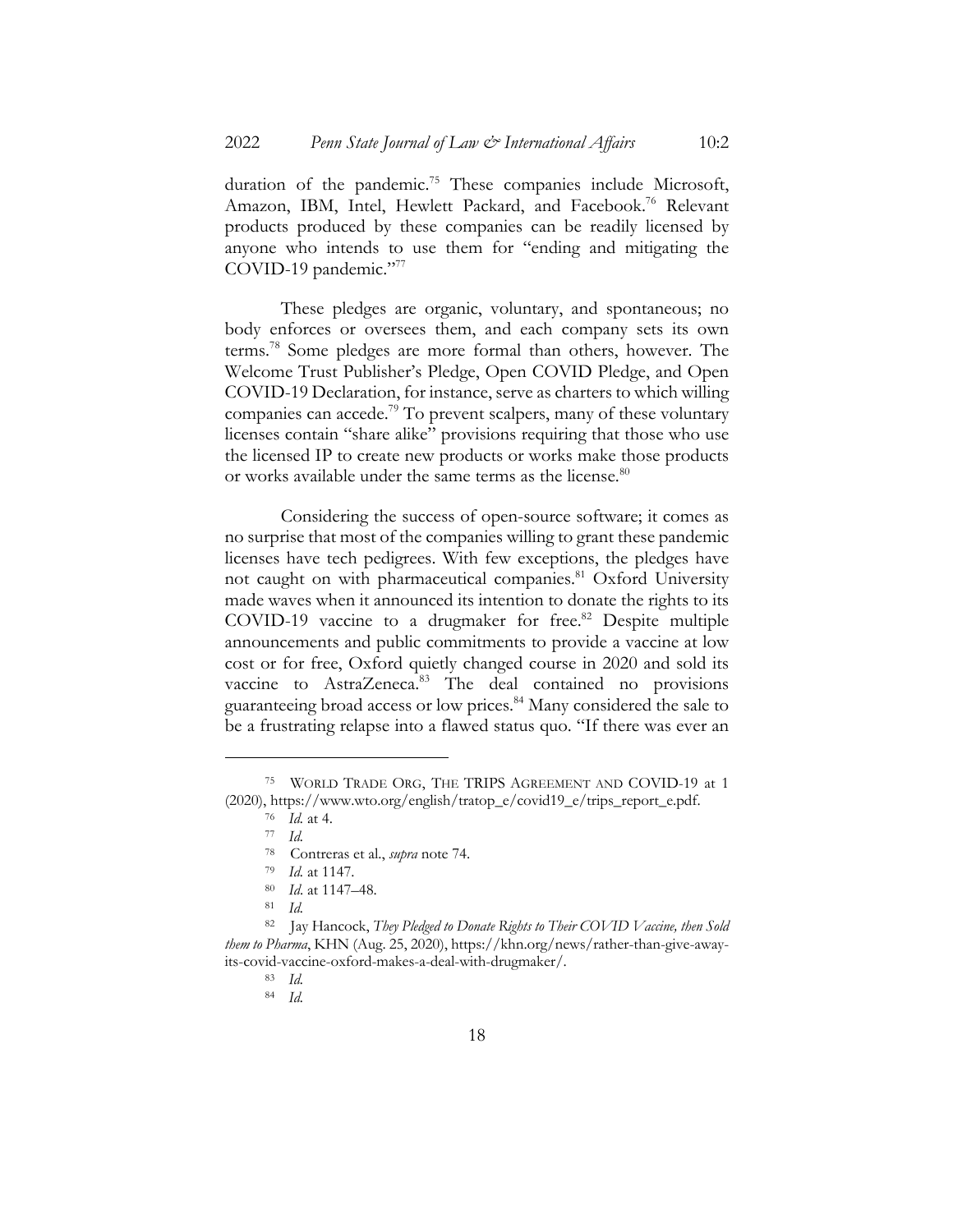duration of the pandemic.<sup>75</sup> These companies include Microsoft, Amazon, IBM, Intel, Hewlett Packard, and Facebook.<sup>76</sup> Relevant products produced by these companies can be readily licensed by anyone who intends to use them for "ending and mitigating the COVID-19 pandemic."77

These pledges are organic, voluntary, and spontaneous; no body enforces or oversees them, and each company sets its own terms.78 Some pledges are more formal than others, however. The Welcome Trust Publisher's Pledge, Open COVID Pledge, and Open COVID-19 Declaration, for instance, serve as charters to which willing companies can accede.<sup>79</sup> To prevent scalpers, many of these voluntary licenses contain "share alike" provisions requiring that those who use the licensed IP to create new products or works make those products or works available under the same terms as the license.<sup>80</sup>

Considering the success of open-source software; it comes as no surprise that most of the companies willing to grant these pandemic licenses have tech pedigrees. With few exceptions, the pledges have not caught on with pharmaceutical companies.<sup>81</sup> Oxford University made waves when it announced its intention to donate the rights to its COVID-19 vaccine to a drugmaker for free.<sup>82</sup> Despite multiple announcements and public commitments to provide a vaccine at low cost or for free, Oxford quietly changed course in 2020 and sold its vaccine to AstraZeneca.<sup>83</sup> The deal contained no provisions guaranteeing broad access or low prices.84 Many considered the sale to be a frustrating relapse into a flawed status quo. "If there was ever an

<sup>75</sup> WORLD TRADE ORG, THE TRIPS AGREEMENT AND COVID-19 at 1 (2020), https://www.wto.org/english/tratop\_e/covid19\_e/trips\_report\_e.pdf.

<sup>76</sup> *Id.* at 4.

<sup>77</sup> *Id.*

<sup>78</sup> Contreras et al., *supra* note 74.

<sup>79</sup> *Id.* at 1147.

<sup>80</sup> *Id*. at 1147–48.

<sup>81</sup> *Id.*

<sup>82</sup> Jay Hancock, *They Pledged to Donate Rights to Their COVID Vaccine, then Sold them to Pharma*, KHN (Aug. 25, 2020), https://khn.org/news/rather-than-give-awayits-covid-vaccine-oxford-makes-a-deal-with-drugmaker/.

<sup>83</sup> *Id.*

<sup>84</sup> *Id.*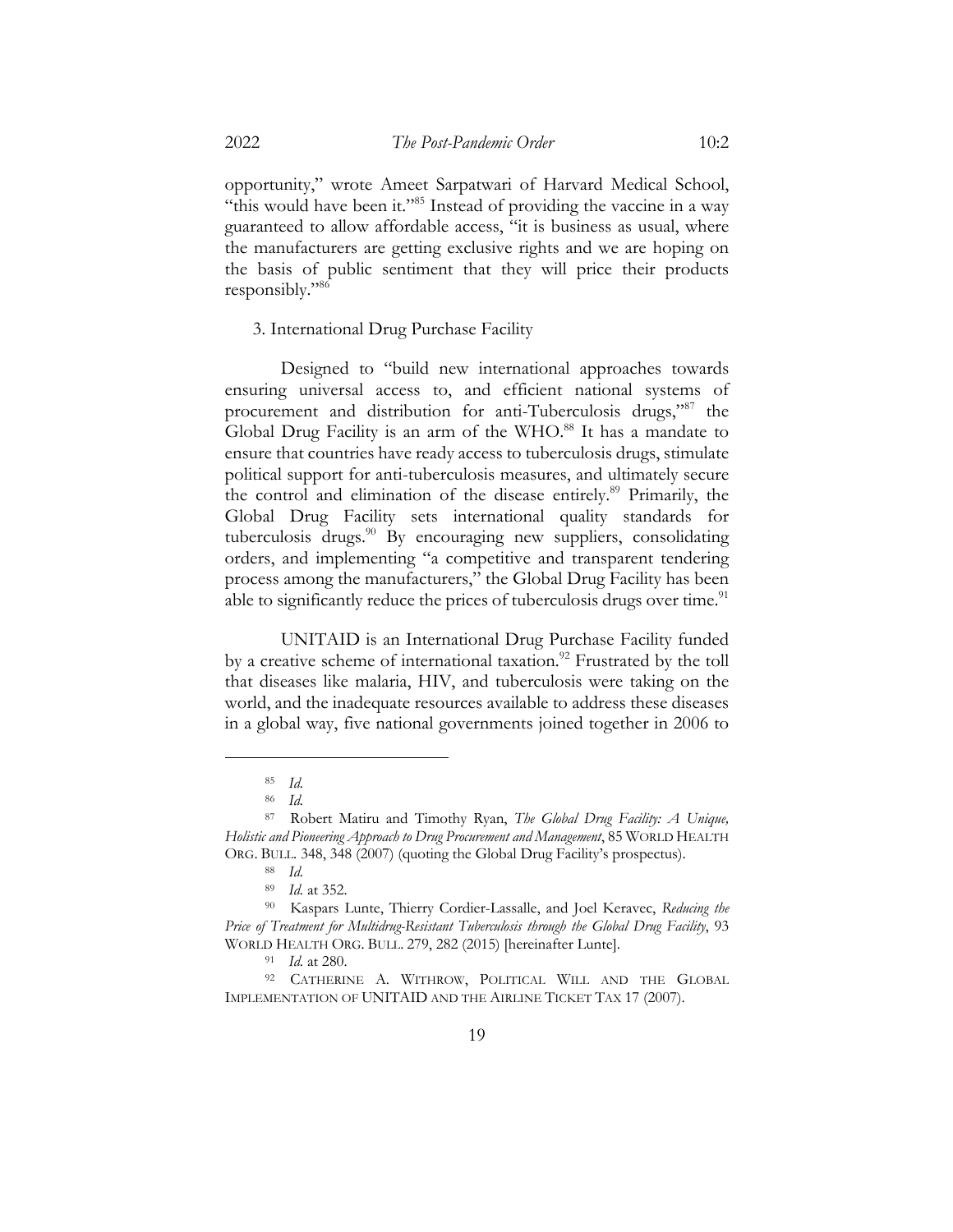opportunity," wrote Ameet Sarpatwari of Harvard Medical School, "this would have been it."<sup>85</sup> Instead of providing the vaccine in a way guaranteed to allow affordable access, "it is business as usual, where the manufacturers are getting exclusive rights and we are hoping on the basis of public sentiment that they will price their products responsibly."86

3. International Drug Purchase Facility

Designed to "build new international approaches towards ensuring universal access to, and efficient national systems of procurement and distribution for anti-Tuberculosis drugs,"87 the Global Drug Facility is an arm of the WHO.<sup>88</sup> It has a mandate to ensure that countries have ready access to tuberculosis drugs, stimulate political support for anti-tuberculosis measures, and ultimately secure the control and elimination of the disease entirely.<sup>89</sup> Primarily, the Global Drug Facility sets international quality standards for tuberculosis drugs.<sup>90</sup> By encouraging new suppliers, consolidating orders, and implementing "a competitive and transparent tendering process among the manufacturers," the Global Drug Facility has been able to significantly reduce the prices of tuberculosis drugs over time.<sup>91</sup>

UNITAID is an International Drug Purchase Facility funded by a creative scheme of international taxation.<sup>92</sup> Frustrated by the toll that diseases like malaria, HIV, and tuberculosis were taking on the world, and the inadequate resources available to address these diseases in a global way, five national governments joined together in 2006 to

<sup>85</sup> *Id.*

<sup>86</sup> *Id.*

<sup>87</sup> Robert Matiru and Timothy Ryan, *The Global Drug Facility: A Unique, Holistic and Pioneering Approach to Drug Procurement and Management*, 85 WORLD HEALTH ORG. BULL. 348, 348 (2007) (quoting the Global Drug Facility's prospectus).

<sup>88</sup> *Id.*

<sup>89</sup> *Id.* at 352.

<sup>90</sup> Kaspars Lunte, Thierry Cordier-Lassalle, and Joel Keravec, *Reducing the Price of Treatment for Multidrug-Resistant Tuberculosis through the Global Drug Facility*, 93 WORLD HEALTH ORG. BULL. 279, 282 (2015) [hereinafter Lunte].

<sup>91</sup> *Id.* at 280.

<sup>92</sup> CATHERINE A. WITHROW, POLITICAL WILL AND THE GLOBAL IMPLEMENTATION OF UNITAID AND THE AIRLINE TICKET TAX 17 (2007).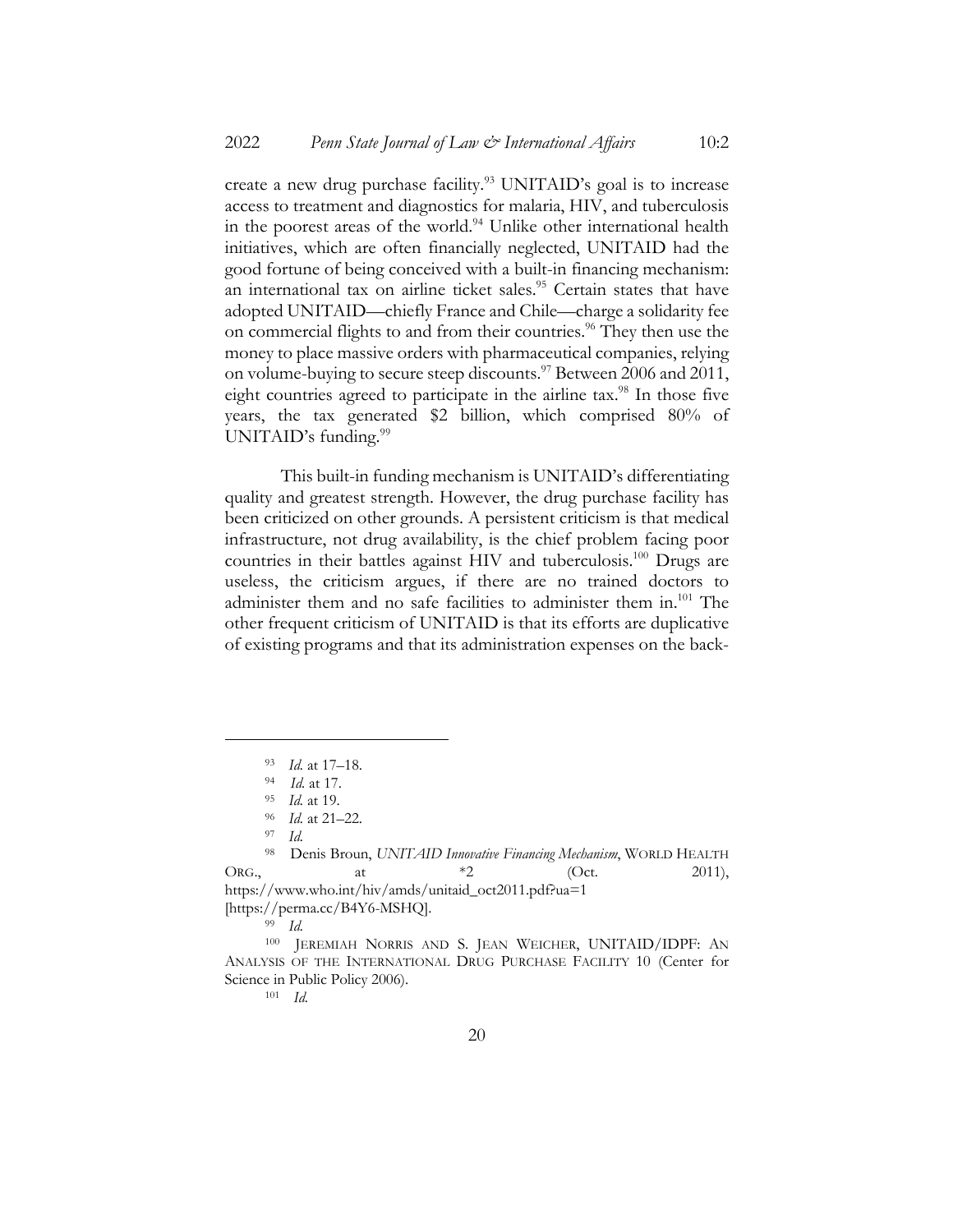create a new drug purchase facility.<sup>93</sup> UNITAID's goal is to increase access to treatment and diagnostics for malaria, HIV, and tuberculosis in the poorest areas of the world.<sup>94</sup> Unlike other international health initiatives, which are often financially neglected, UNITAID had the good fortune of being conceived with a built-in financing mechanism: an international tax on airline ticket sales.<sup>95</sup> Certain states that have adopted UNITAID—chiefly France and Chile—charge a solidarity fee on commercial flights to and from their countries.<sup>96</sup> They then use the money to place massive orders with pharmaceutical companies, relying on volume-buying to secure steep discounts.<sup>97</sup> Between 2006 and 2011, eight countries agreed to participate in the airline tax.<sup>98</sup> In those five years, the tax generated \$2 billion, which comprised 80% of UNITAID's funding.<sup>99</sup>

This built-in funding mechanism is UNITAID's differentiating quality and greatest strength. However, the drug purchase facility has been criticized on other grounds. A persistent criticism is that medical infrastructure, not drug availability, is the chief problem facing poor countries in their battles against HIV and tuberculosis.<sup>100</sup> Drugs are useless, the criticism argues, if there are no trained doctors to administer them and no safe facilities to administer them in.<sup>101</sup> The other frequent criticism of UNITAID is that its efforts are duplicative of existing programs and that its administration expenses on the back-

<sup>101</sup> *Id.*

<sup>93</sup> *Id.* at 17–18.

<sup>94</sup> *Id.* at 17.

<sup>95</sup> *Id.* at 19.

<sup>96</sup> *Id.* at 21–22.

<sup>97</sup> *Id.*

<sup>98</sup> Denis Broun, *UNITAID Innovative Financing Mechanism*, WORLD HEALTH ORG., at  $*2$  (Oct. 2011), https://www.who.int/hiv/amds/unitaid\_oct2011.pdf?ua=1 [https://perma.cc/B4Y6-MSHQ].

<sup>99</sup> *Id.*

<sup>100</sup> JEREMIAH NORRIS AND S. JEAN WEICHER, UNITAID/IDPF: AN ANALYSIS OF THE INTERNATIONAL DRUG PURCHASE FACILITY 10 (Center for Science in Public Policy 2006).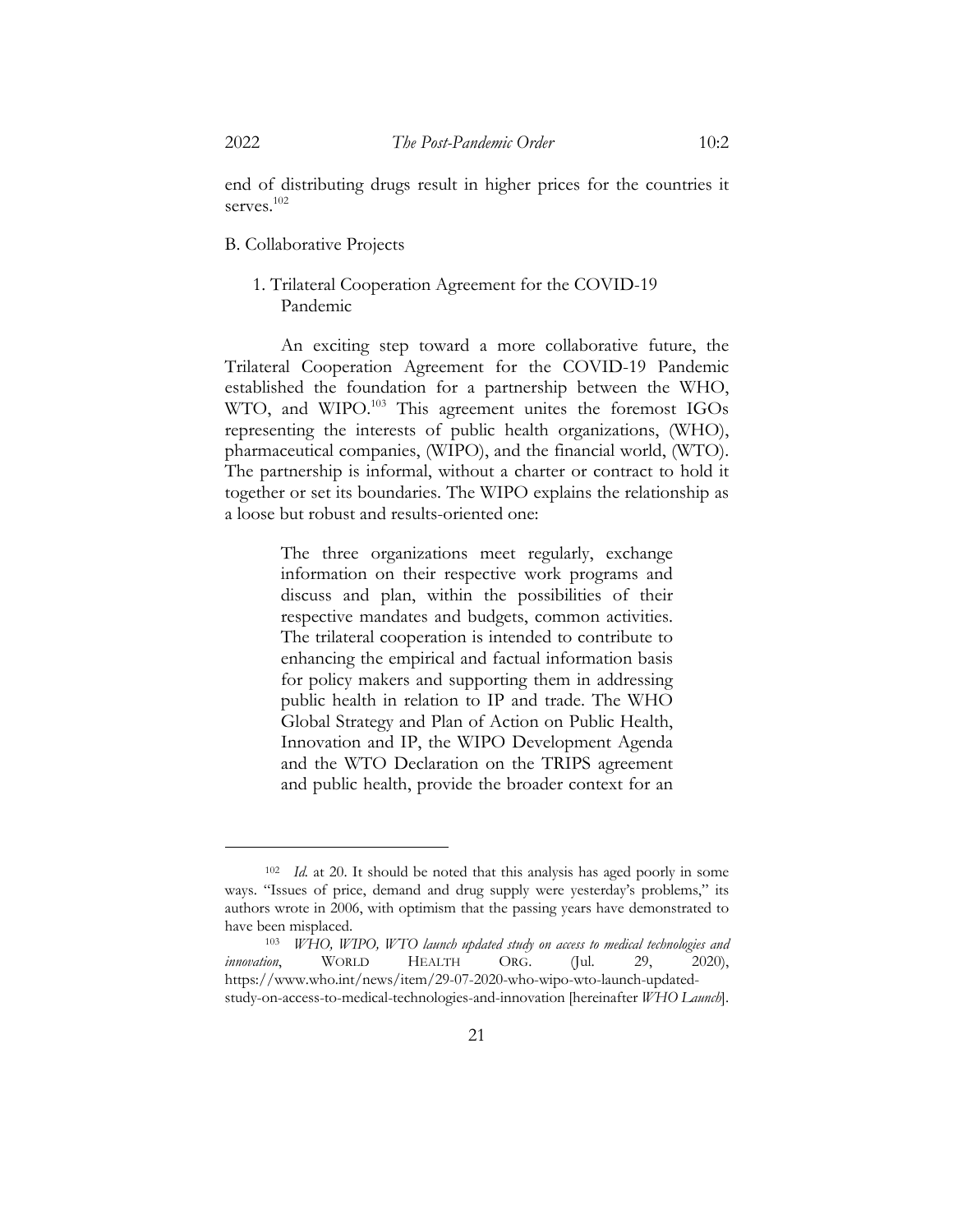end of distributing drugs result in higher prices for the countries it serves.<sup>102</sup>

#### B. Collaborative Projects

# 1. Trilateral Cooperation Agreement for the COVID-19 Pandemic

An exciting step toward a more collaborative future, the Trilateral Cooperation Agreement for the COVID-19 Pandemic established the foundation for a partnership between the WHO, WTO, and WIPO. <sup>103</sup> This agreement unites the foremost IGOs representing the interests of public health organizations, (WHO), pharmaceutical companies, (WIPO), and the financial world, (WTO). The partnership is informal, without a charter or contract to hold it together or set its boundaries. The WIPO explains the relationship as a loose but robust and results-oriented one:

> The three organizations meet regularly, exchange information on their respective work programs and discuss and plan, within the possibilities of their respective mandates and budgets, common activities. The trilateral cooperation is intended to contribute to enhancing the empirical and factual information basis for policy makers and supporting them in addressing public health in relation to IP and trade. The WHO Global Strategy and Plan of Action on Public Health, Innovation and IP, the WIPO Development Agenda and the WTO Declaration on the TRIPS agreement and public health, provide the broader context for an

<sup>102</sup> *Id.* at 20. It should be noted that this analysis has aged poorly in some ways. "Issues of price, demand and drug supply were yesterday's problems," its authors wrote in 2006, with optimism that the passing years have demonstrated to have been misplaced.

<sup>103</sup> *WHO, WIPO, WTO launch updated study on access to medical technologies and innovation*, WORLD HEALTH ORG. (Jul. 29, 2020), https://www.who.int/news/item/29-07-2020-who-wipo-wto-launch-updatedstudy-on-access-to-medical-technologies-and-innovation [hereinafter *WHO Launch*].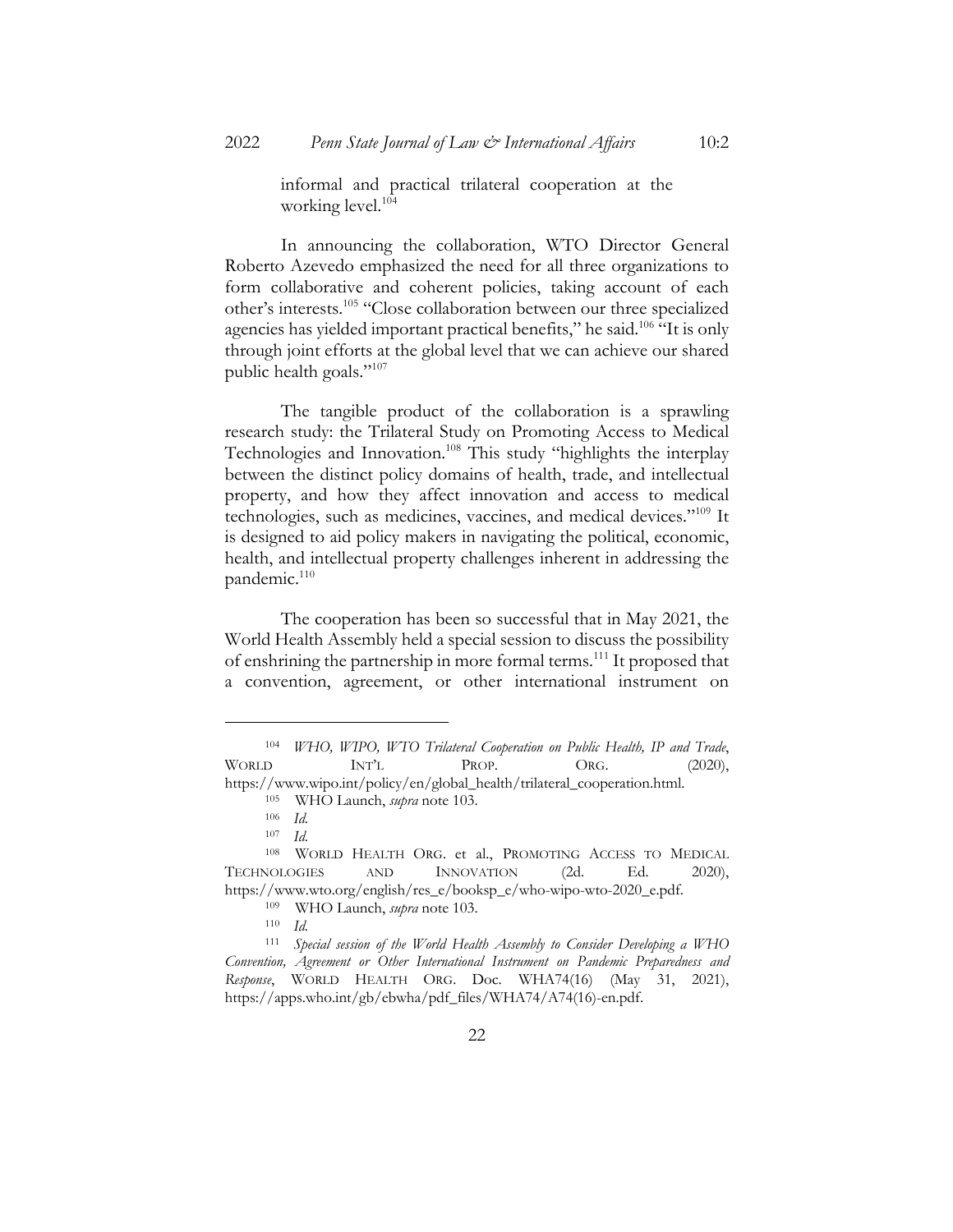informal and practical trilateral cooperation at the working level.<sup>104</sup>

In announcing the collaboration, WTO Director General Roberto Azevedo emphasized the need for all three organizations to form collaborative and coherent policies, taking account of each other's interests.105 "Close collaboration between our three specialized agencies has yielded important practical benefits," he said.<sup>106</sup> "It is only through joint efforts at the global level that we can achieve our shared public health goals."<sup>107</sup>

The tangible product of the collaboration is a sprawling research study: the Trilateral Study on Promoting Access to Medical Technologies and Innovation.108 This study "highlights the interplay between the distinct policy domains of health, trade, and intellectual property, and how they affect innovation and access to medical technologies, such as medicines, vaccines, and medical devices."109 It is designed to aid policy makers in navigating the political, economic, health, and intellectual property challenges inherent in addressing the pandemic.<sup>110</sup>

The cooperation has been so successful that in May 2021, the World Health Assembly held a special session to discuss the possibility of enshrining the partnership in more formal terms.111 It proposed that a convention, agreement, or other international instrument on

<sup>104</sup> *WHO, WIPO, WTO Trilateral Cooperation on Public Health, IP and Trade*, WORLD INT'L PROP. ORG. (2020), https://www.wipo.int/policy/en/global\_health/trilateral\_cooperation.html.

<sup>105</sup> WHO Launch, *supra* note 103.

<sup>106</sup> *Id.*

<sup>107</sup> *Id.*

<sup>108</sup> WORLD HEALTH ORG. et al., PROMOTING ACCESS TO MEDICAL TECHNOLOGIES AND INNOVATION (2d. Ed. 2020), https://www.wto.org/english/res\_e/booksp\_e/who-wipo-wto-2020\_e.pdf.

<sup>109</sup> WHO Launch, *supra* note 103.

<sup>110</sup> *Id.*

<sup>111</sup> *Special session of the World Health Assembly to Consider Developing a WHO Convention, Agreement or Other International Instrument on Pandemic Preparedness and Response*, WORLD HEALTH ORG. Doc. WHA74(16) (May 31, 2021), https://apps.who.int/gb/ebwha/pdf\_files/WHA74/A74(16)-en.pdf.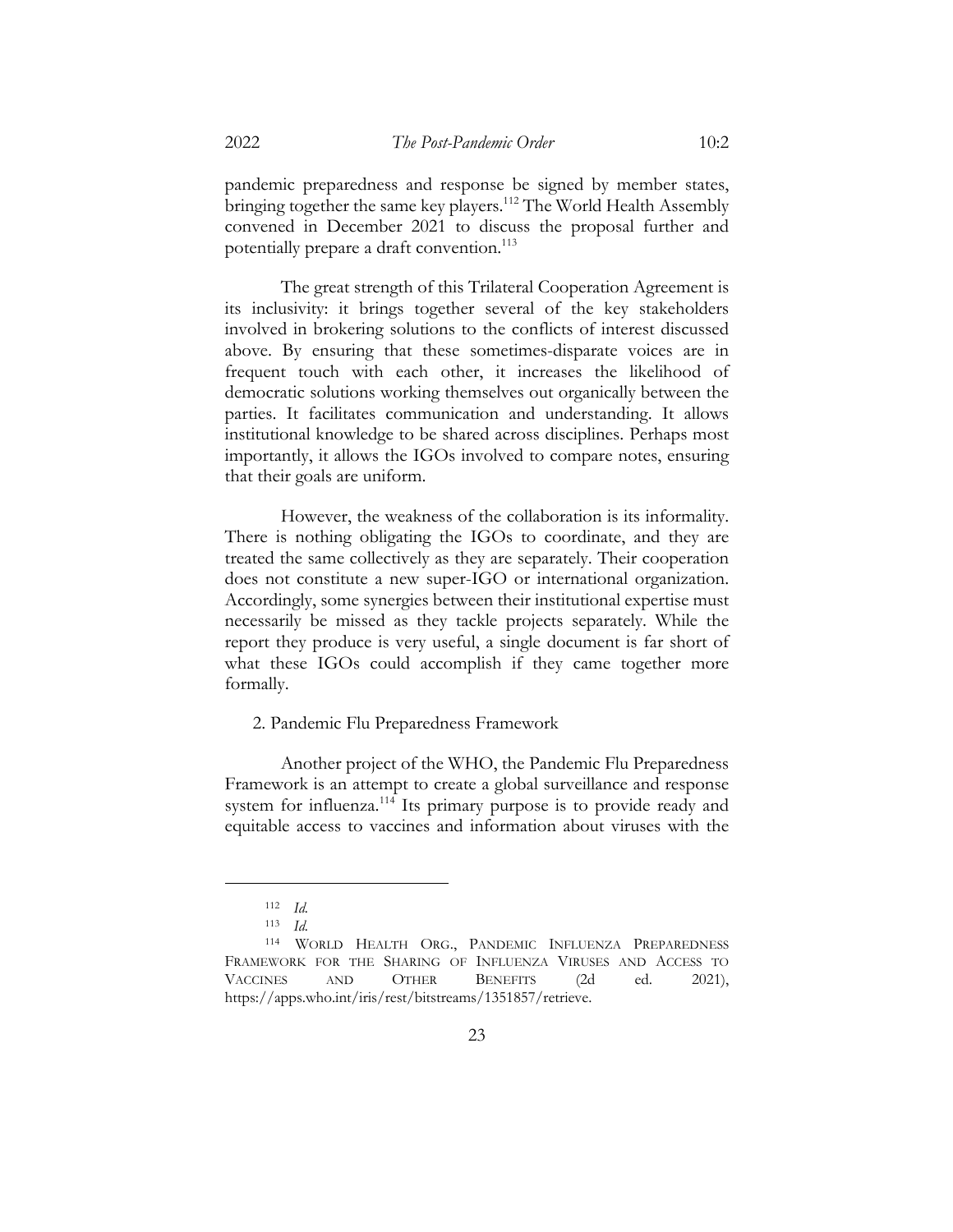pandemic preparedness and response be signed by member states, bringing together the same key players.<sup>112</sup> The World Health Assembly convened in December 2021 to discuss the proposal further and potentially prepare a draft convention.<sup>113</sup>

The great strength of this Trilateral Cooperation Agreement is its inclusivity: it brings together several of the key stakeholders involved in brokering solutions to the conflicts of interest discussed above. By ensuring that these sometimes-disparate voices are in frequent touch with each other, it increases the likelihood of democratic solutions working themselves out organically between the parties. It facilitates communication and understanding. It allows institutional knowledge to be shared across disciplines. Perhaps most importantly, it allows the IGOs involved to compare notes, ensuring that their goals are uniform.

However, the weakness of the collaboration is its informality. There is nothing obligating the IGOs to coordinate, and they are treated the same collectively as they are separately. Their cooperation does not constitute a new super-IGO or international organization. Accordingly, some synergies between their institutional expertise must necessarily be missed as they tackle projects separately. While the report they produce is very useful, a single document is far short of what these IGOs could accomplish if they came together more formally.

2. Pandemic Flu Preparedness Framework

Another project of the WHO, the Pandemic Flu Preparedness Framework is an attempt to create a global surveillance and response system for influenza.<sup>114</sup> Its primary purpose is to provide ready and equitable access to vaccines and information about viruses with the

<sup>112</sup> *Id.*

<sup>113</sup> *Id.*

<sup>114</sup> WORLD HEALTH ORG., PANDEMIC INFLUENZA PREPAREDNESS FRAMEWORK FOR THE SHARING OF INFLUENZA VIRUSES AND ACCESS TO VACCINES AND OTHER BENEFITS (2d ed. 2021), https://apps.who.int/iris/rest/bitstreams/1351857/retrieve.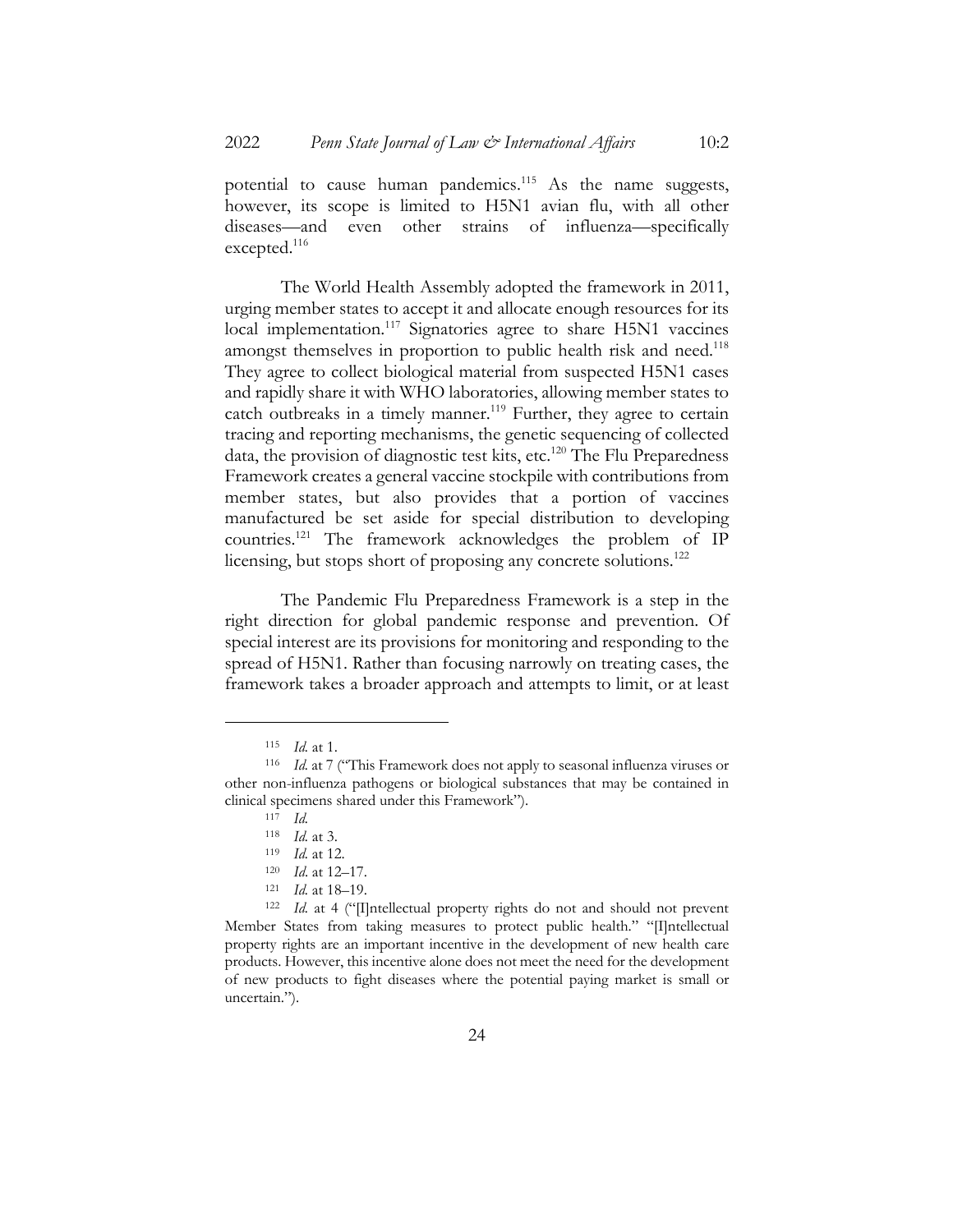potential to cause human pandemics.<sup>115</sup> As the name suggests, however, its scope is limited to H5N1 avian flu, with all other diseases—and even other strains of influenza—specifically excepted.<sup>116</sup>

The World Health Assembly adopted the framework in 2011, urging member states to accept it and allocate enough resources for its local implementation.<sup>117</sup> Signatories agree to share H5N1 vaccines amongst themselves in proportion to public health risk and need.<sup>118</sup> They agree to collect biological material from suspected H5N1 cases and rapidly share it with WHO laboratories, allowing member states to catch outbreaks in a timely manner.<sup>119</sup> Further, they agree to certain tracing and reporting mechanisms, the genetic sequencing of collected data, the provision of diagnostic test kits, etc.<sup>120</sup> The Flu Preparedness Framework creates a general vaccine stockpile with contributions from member states, but also provides that a portion of vaccines manufactured be set aside for special distribution to developing countries.121 The framework acknowledges the problem of IP licensing, but stops short of proposing any concrete solutions.<sup>122</sup>

The Pandemic Flu Preparedness Framework is a step in the right direction for global pandemic response and prevention. Of special interest are its provisions for monitoring and responding to the spread of H5N1. Rather than focusing narrowly on treating cases, the framework takes a broader approach and attempts to limit, or at least

<sup>115</sup> *Id.* at 1.

<sup>116</sup> *Id.* at 7 ("This Framework does not apply to seasonal influenza viruses or other non-influenza pathogens or biological substances that may be contained in clinical specimens shared under this Framework").

<sup>117</sup> *Id.*

<sup>118</sup> *Id.* at 3.

<sup>119</sup> *Id.* at 12.

<sup>120</sup> *Id*. at 12–17.

<sup>121</sup> *Id.* at 18–19.

<sup>122</sup> *Id.* at 4 ("[I]ntellectual property rights do not and should not prevent Member States from taking measures to protect public health." "[I]ntellectual property rights are an important incentive in the development of new health care products. However, this incentive alone does not meet the need for the development of new products to fight diseases where the potential paying market is small or uncertain.").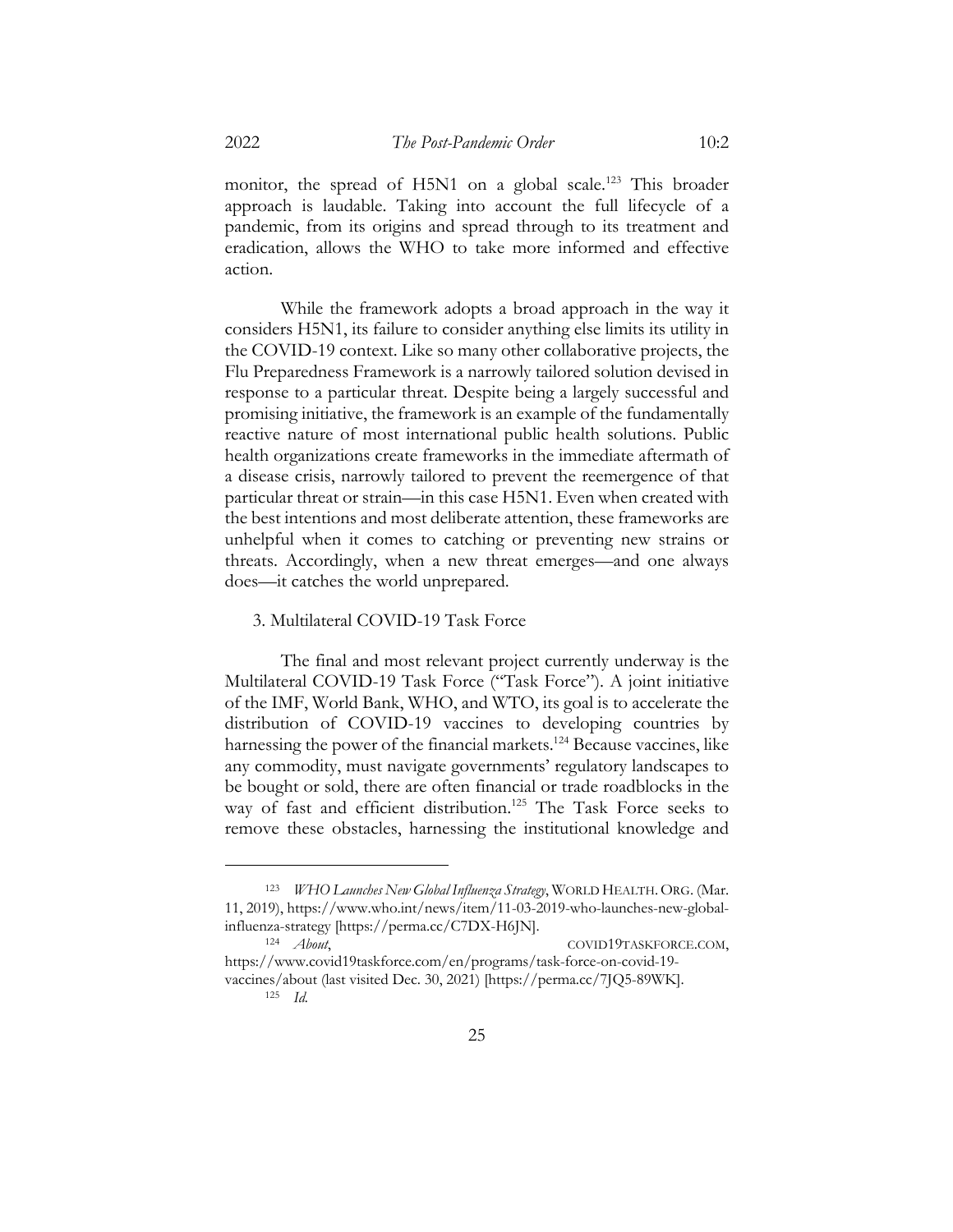monitor, the spread of H5N1 on a global scale.<sup>123</sup> This broader approach is laudable. Taking into account the full lifecycle of a pandemic, from its origins and spread through to its treatment and eradication, allows the WHO to take more informed and effective action.

While the framework adopts a broad approach in the way it considers H5N1, its failure to consider anything else limits its utility in the COVID-19 context. Like so many other collaborative projects, the Flu Preparedness Framework is a narrowly tailored solution devised in response to a particular threat. Despite being a largely successful and promising initiative, the framework is an example of the fundamentally reactive nature of most international public health solutions. Public health organizations create frameworks in the immediate aftermath of a disease crisis, narrowly tailored to prevent the reemergence of that particular threat or strain—in this case H5N1. Even when created with the best intentions and most deliberate attention, these frameworks are unhelpful when it comes to catching or preventing new strains or threats. Accordingly, when a new threat emerges—and one always does—it catches the world unprepared.

# 3. Multilateral COVID-19 Task Force

The final and most relevant project currently underway is the Multilateral COVID-19 Task Force ("Task Force"). A joint initiative of the IMF, World Bank, WHO, and WTO, its goal is to accelerate the distribution of COVID-19 vaccines to developing countries by harnessing the power of the financial markets.<sup>124</sup> Because vaccines, like any commodity, must navigate governments' regulatory landscapes to be bought or sold, there are often financial or trade roadblocks in the way of fast and efficient distribution.<sup>125</sup> The Task Force seeks to remove these obstacles, harnessing the institutional knowledge and

<sup>&</sup>lt;sup>123</sup> *WHO Launches New Global Influenza Strategy*, WORLD HEALTH. ORG. (Mar. 11, 2019), https://www.who.int/news/item/11-03-2019-who-launches-new-globalinfluenza-strategy [https://perma.cc/C7DX-H6JN].

<sup>&</sup>lt;sup>124</sup> *About*, COVID19TASKFORCE.COM, https://www.covid19taskforce.com/en/programs/task-force-on-covid-19 vaccines/about (last visited Dec. 30, 2021) [https://perma.cc/7JQ5-89WK].

<sup>125</sup> *Id.*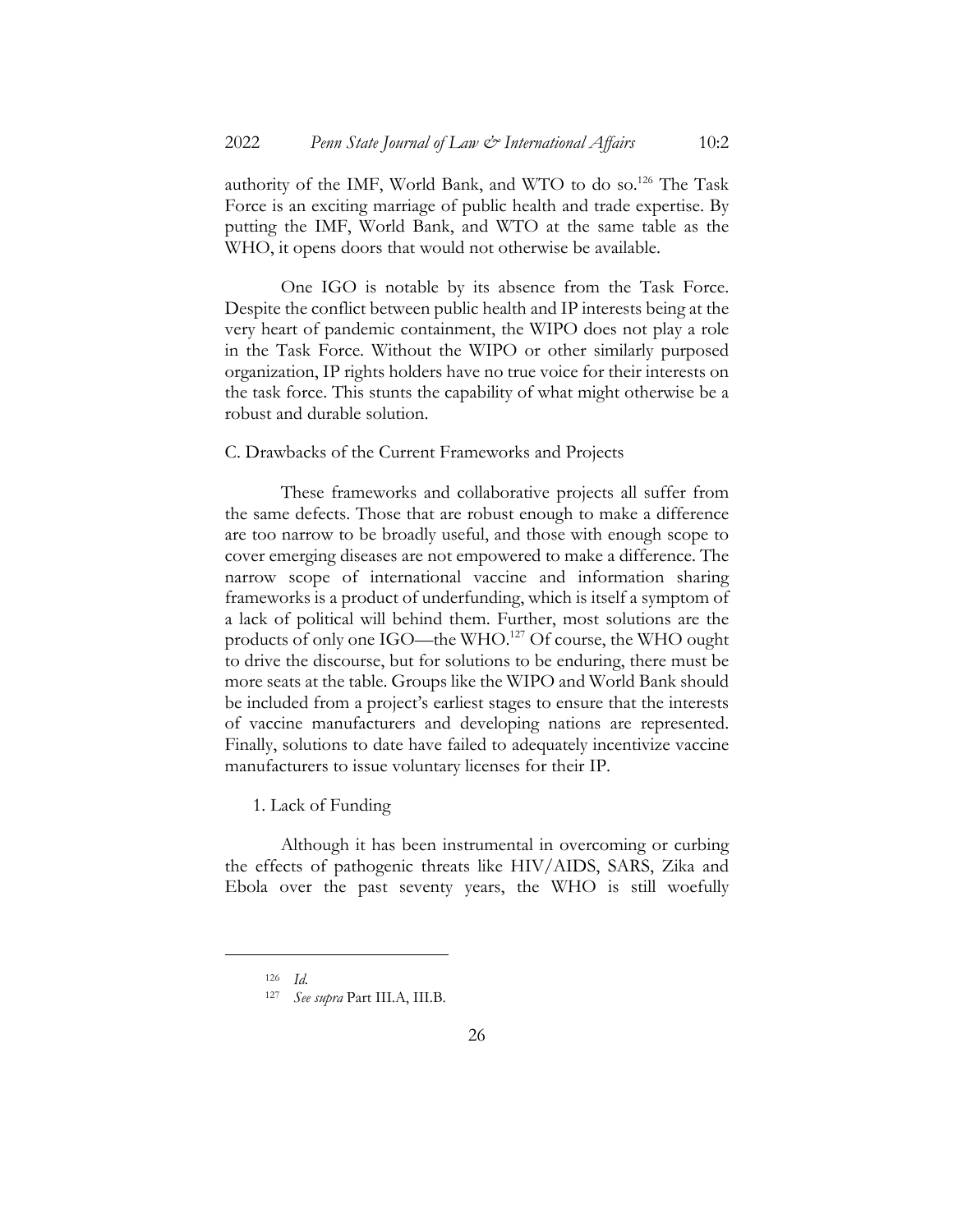authority of the IMF, World Bank, and WTO to do so.<sup>126</sup> The Task Force is an exciting marriage of public health and trade expertise. By putting the IMF, World Bank, and WTO at the same table as the WHO, it opens doors that would not otherwise be available.

One IGO is notable by its absence from the Task Force. Despite the conflict between public health and IP interests being at the very heart of pandemic containment, the WIPO does not play a role in the Task Force. Without the WIPO or other similarly purposed organization, IP rights holders have no true voice for their interests on the task force. This stunts the capability of what might otherwise be a robust and durable solution.

# C. Drawbacks of the Current Frameworks and Projects

These frameworks and collaborative projects all suffer from the same defects. Those that are robust enough to make a difference are too narrow to be broadly useful, and those with enough scope to cover emerging diseases are not empowered to make a difference. The narrow scope of international vaccine and information sharing frameworks is a product of underfunding, which is itself a symptom of a lack of political will behind them. Further, most solutions are the products of only one IGO—the WHO. <sup>127</sup> Of course, the WHO ought to drive the discourse, but for solutions to be enduring, there must be more seats at the table. Groups like the WIPO and World Bank should be included from a project's earliest stages to ensure that the interests of vaccine manufacturers and developing nations are represented. Finally, solutions to date have failed to adequately incentivize vaccine manufacturers to issue voluntary licenses for their IP.

1. Lack of Funding

Although it has been instrumental in overcoming or curbing the effects of pathogenic threats like HIV/AIDS, SARS, Zika and Ebola over the past seventy years, the WHO is still woefully

<sup>126</sup> *Id.*

<sup>127</sup> *See supra* Part III.A, III.B.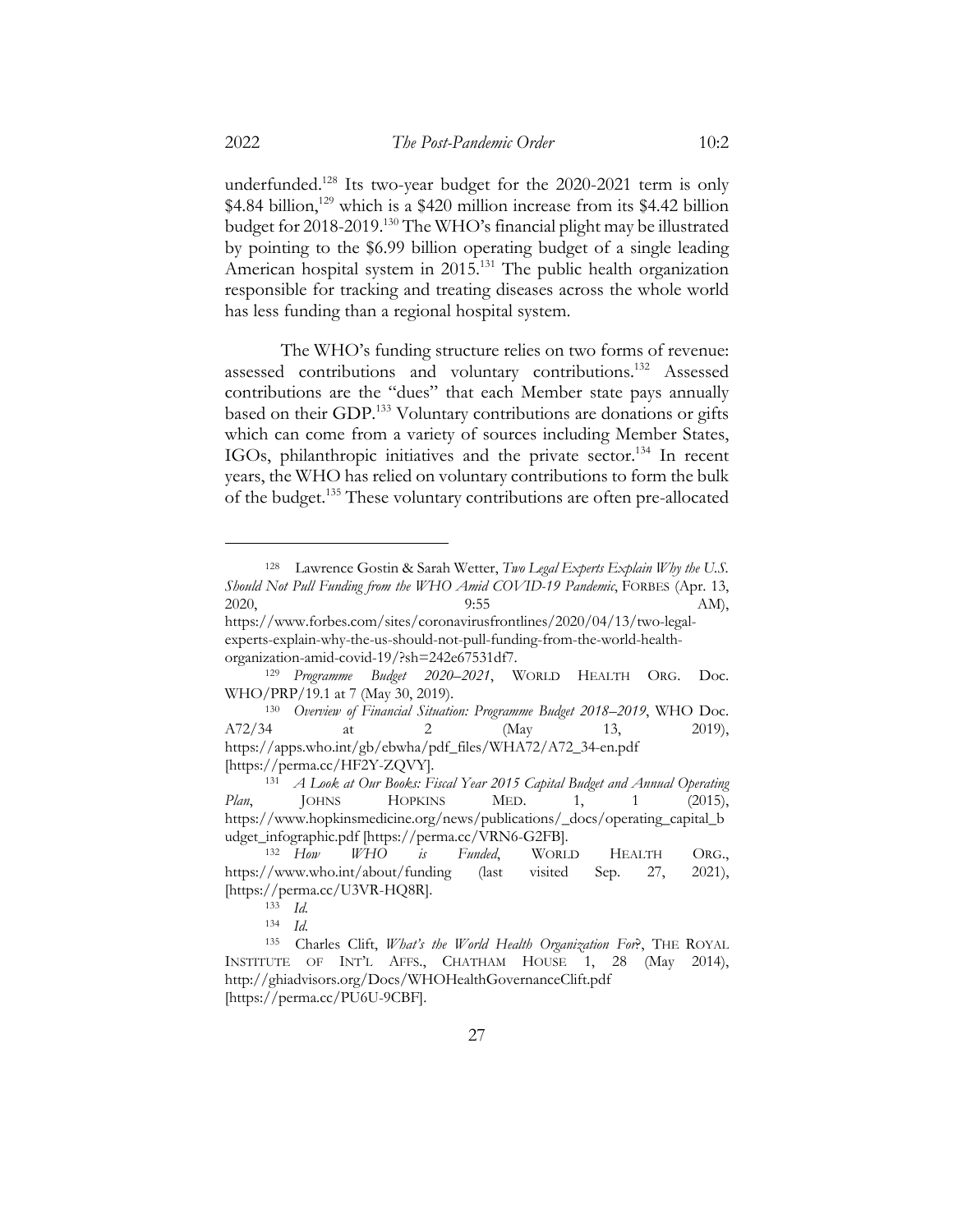underfunded.<sup>128</sup> Its two-year budget for the 2020-2021 term is only \$4.84 billion,<sup>129</sup> which is a \$420 million increase from its \$4.42 billion budget for 2018-2019.130 The WHO's financial plight may be illustrated by pointing to the \$6.99 billion operating budget of a single leading American hospital system in 2015.<sup>131</sup> The public health organization responsible for tracking and treating diseases across the whole world has less funding than a regional hospital system.

The WHO's funding structure relies on two forms of revenue: assessed contributions and voluntary contributions.132 Assessed contributions are the "dues" that each Member state pays annually based on their GDP.<sup>133</sup> Voluntary contributions are donations or gifts which can come from a variety of sources including Member States, IGOs, philanthropic initiatives and the private sector.<sup>134</sup> In recent years, the WHO has relied on voluntary contributions to form the bulk of the budget.135 These voluntary contributions are often pre-allocated

<sup>128</sup> Lawrence Gostin & Sarah Wetter, *Two Legal Experts Explain Why the U.S. Should Not Pull Funding from the WHO Amid COVID-19 Pandemic*, FORBES (Apr. 13, 2020, 2020, 2020, 2020, 2020, 2020, 2020, 2020, 2020, 2020, 2020, 2020, 2020, 2020, 2020, 2020, 2020 https://www.forbes.com/sites/coronavirusfrontlines/2020/04/13/two-legalexperts-explain-why-the-us-should-not-pull-funding-from-the-world-health-

organization-amid-covid-19/?sh=242e67531df7.

<sup>129</sup> *Programme Budget 2020–2021*, WORLD HEALTH ORG. Doc. WHO/PRP/19.1 at 7 (May 30, 2019).

<sup>130</sup> *Overview of Financial Situation: Programme Budget 2018–2019*, WHO Doc. A72/34 at 2 (May 13, 2019), https://apps.who.int/gb/ebwha/pdf\_files/WHA72/A72\_34-en.pdf [https://perma.cc/HF2Y-ZQVY].

<sup>131</sup> *A Look at Our Books: Fiscal Year 2015 Capital Budget and Annual Operating Plan*, JOHNS HOPKINS MED. 1, 1 (2015), https://www.hopkinsmedicine.org/news/publications/\_docs/operating\_capital\_b udget\_infographic.pdf [https://perma.cc/VRN6-G2FB].

<sup>132</sup> *How WHO is Funded*, WORLD HEALTH ORG., https://www.who.int/about/funding (last visited Sep. 27, 2021), [https://perma.cc/U3VR-HQ8R].

<sup>133</sup> *Id.*

<sup>134</sup> *Id.*

<sup>135</sup> Charles Clift, *What's the World Health Organization For*?, THE ROYAL INSTITUTE OF INT'L AFFS., CHATHAM HOUSE 1, 28 (May 2014), http://ghiadvisors.org/Docs/WHOHealthGovernanceClift.pdf [https://perma.cc/PU6U-9CBF].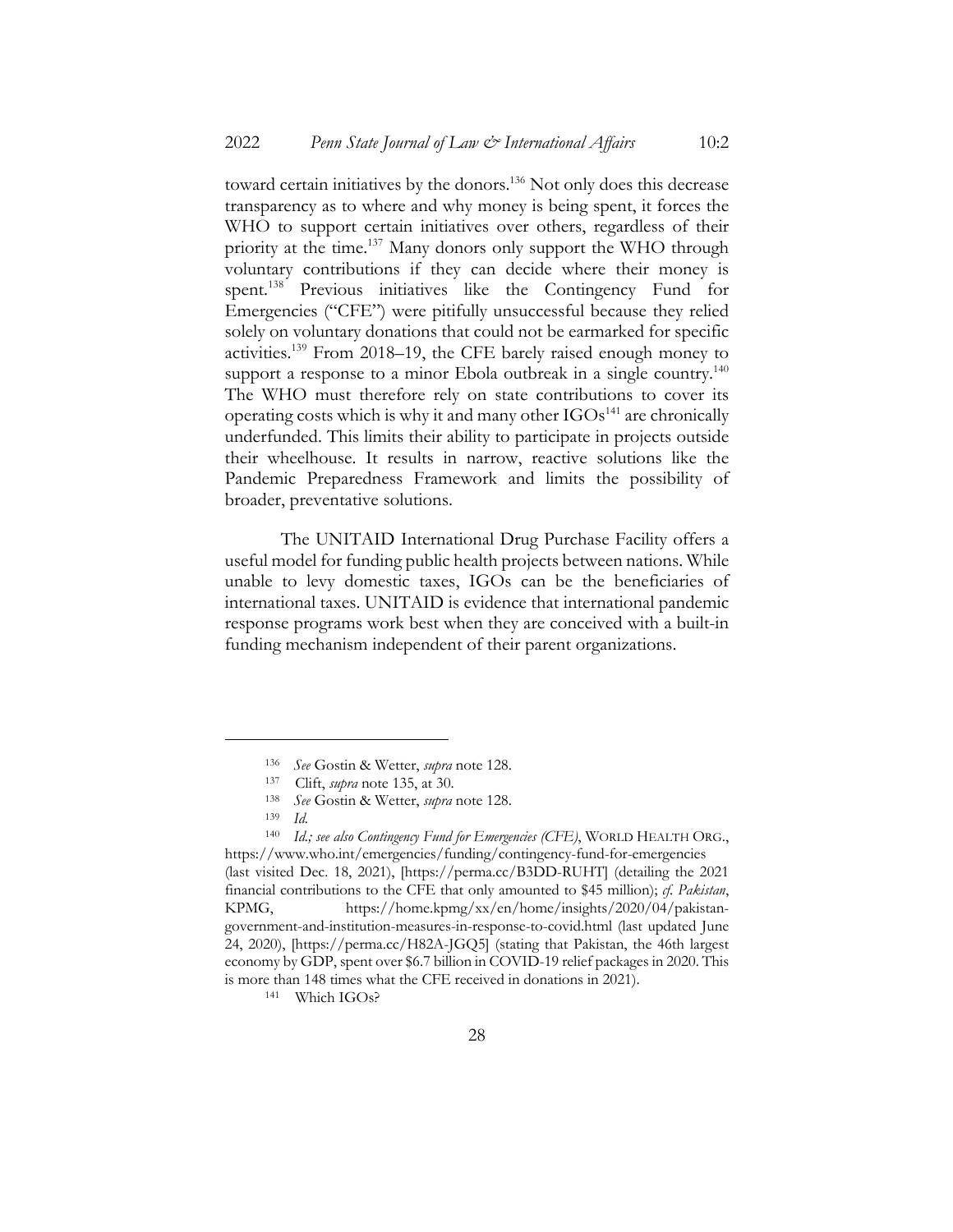toward certain initiatives by the donors.<sup>136</sup> Not only does this decrease transparency as to where and why money is being spent, it forces the WHO to support certain initiatives over others, regardless of their priority at the time.<sup>137</sup> Many donors only support the WHO through voluntary contributions if they can decide where their money is spent.138 Previous initiatives like the Contingency Fund for Emergencies ("CFE") were pitifully unsuccessful because they relied solely on voluntary donations that could not be earmarked for specific activities.139 From 2018–19, the CFE barely raised enough money to support a response to a minor Ebola outbreak in a single country.<sup>140</sup> The WHO must therefore rely on state contributions to cover its operating costs which is why it and many other IGOs <sup>141</sup> are chronically underfunded. This limits their ability to participate in projects outside their wheelhouse. It results in narrow, reactive solutions like the Pandemic Preparedness Framework and limits the possibility of broader, preventative solutions.

The UNITAID International Drug Purchase Facility offers a useful model for funding public health projects between nations. While unable to levy domestic taxes, IGOs can be the beneficiaries of international taxes. UNITAID is evidence that international pandemic response programs work best when they are conceived with a built-in funding mechanism independent of their parent organizations.

<sup>136</sup> *See* Gostin & Wetter, *supra* note 128.

<sup>137</sup> Clift, *supra* note 135, at 30.

<sup>138</sup> *See* Gostin & Wetter, *supra* note 128.

<sup>139</sup> *Id.*

<sup>140</sup> *Id.; see also Contingency Fund for Emergencies (CFE)*, WORLD HEALTH ORG., https://www.who.int/emergencies/funding/contingency-fund-for-emergencies (last visited Dec. 18, 2021), [https://perma.cc/B3DD-RUHT] (detailing the 2021 financial contributions to the CFE that only amounted to \$45 million); *cf. Pakistan*, KPMG, https://home.kpmg/xx/en/home/insights/2020/04/pakistangovernment-and-institution-measures-in-response-to-covid.html (last updated June 24, 2020), [https://perma.cc/H82A-JGQ5] (stating that Pakistan, the 46th largest economy by GDP, spent over \$6.7 billion in COVID-19 relief packages in 2020. This is more than 148 times what the CFE received in donations in 2021).

<sup>141</sup> Which IGOs?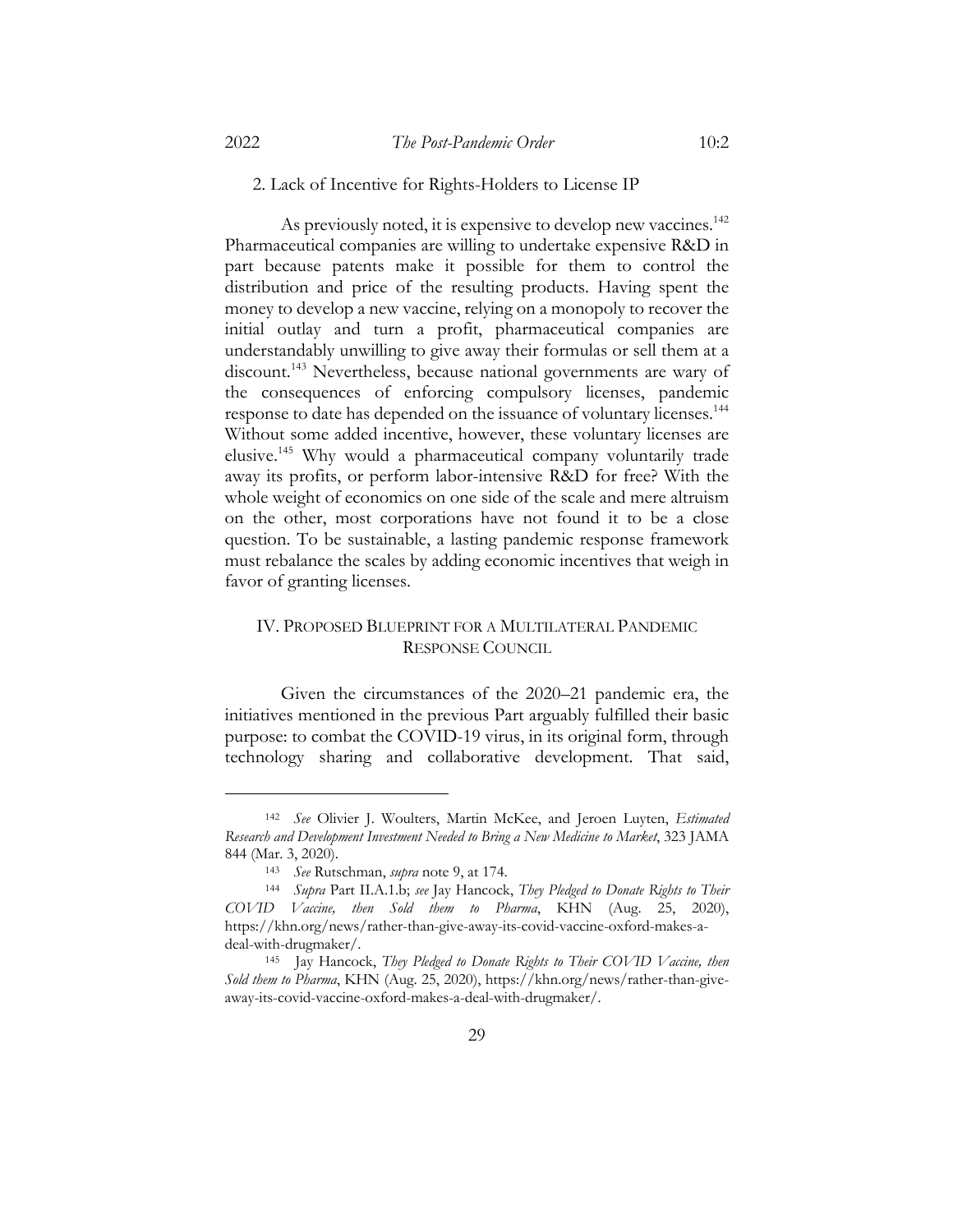#### 2. Lack of Incentive for Rights-Holders to License IP

As previously noted, it is expensive to develop new vaccines.<sup>142</sup> Pharmaceutical companies are willing to undertake expensive R&D in part because patents make it possible for them to control the distribution and price of the resulting products. Having spent the money to develop a new vaccine, relying on a monopoly to recover the initial outlay and turn a profit, pharmaceutical companies are understandably unwilling to give away their formulas or sell them at a discount.<sup>143</sup> Nevertheless, because national governments are wary of the consequences of enforcing compulsory licenses, pandemic response to date has depended on the issuance of voluntary licenses.144 Without some added incentive, however, these voluntary licenses are elusive.145 Why would a pharmaceutical company voluntarily trade away its profits, or perform labor-intensive R&D for free? With the whole weight of economics on one side of the scale and mere altruism on the other, most corporations have not found it to be a close question. To be sustainable, a lasting pandemic response framework must rebalance the scales by adding economic incentives that weigh in favor of granting licenses.

# IV. PROPOSED BLUEPRINT FOR A MULTILATERAL PANDEMIC RESPONSE COUNCIL

Given the circumstances of the 2020–21 pandemic era, the initiatives mentioned in the previous Part arguably fulfilled their basic purpose: to combat the COVID-19 virus, in its original form, through technology sharing and collaborative development. That said,

29

<sup>142</sup> *See* Olivier J. Woulters, Martin McKee, and Jeroen Luyten, *Estimated Research and Development Investment Needed to Bring a New Medicine to Market*, 323 JAMA 844 (Mar. 3, 2020).

<sup>143</sup> *See* Rutschman, *supra* note 9, at 174.

<sup>144</sup> *Supra* Part II.A.1.b; *see* Jay Hancock, *They Pledged to Donate Rights to Their COVID Vaccine, then Sold them to Pharma*, KHN (Aug. 25, 2020), https://khn.org/news/rather-than-give-away-its-covid-vaccine-oxford-makes-adeal-with-drugmaker/.

<sup>145</sup> Jay Hancock, *They Pledged to Donate Rights to Their COVID Vaccine, then Sold them to Pharma*, KHN (Aug. 25, 2020), https://khn.org/news/rather-than-giveaway-its-covid-vaccine-oxford-makes-a-deal-with-drugmaker/.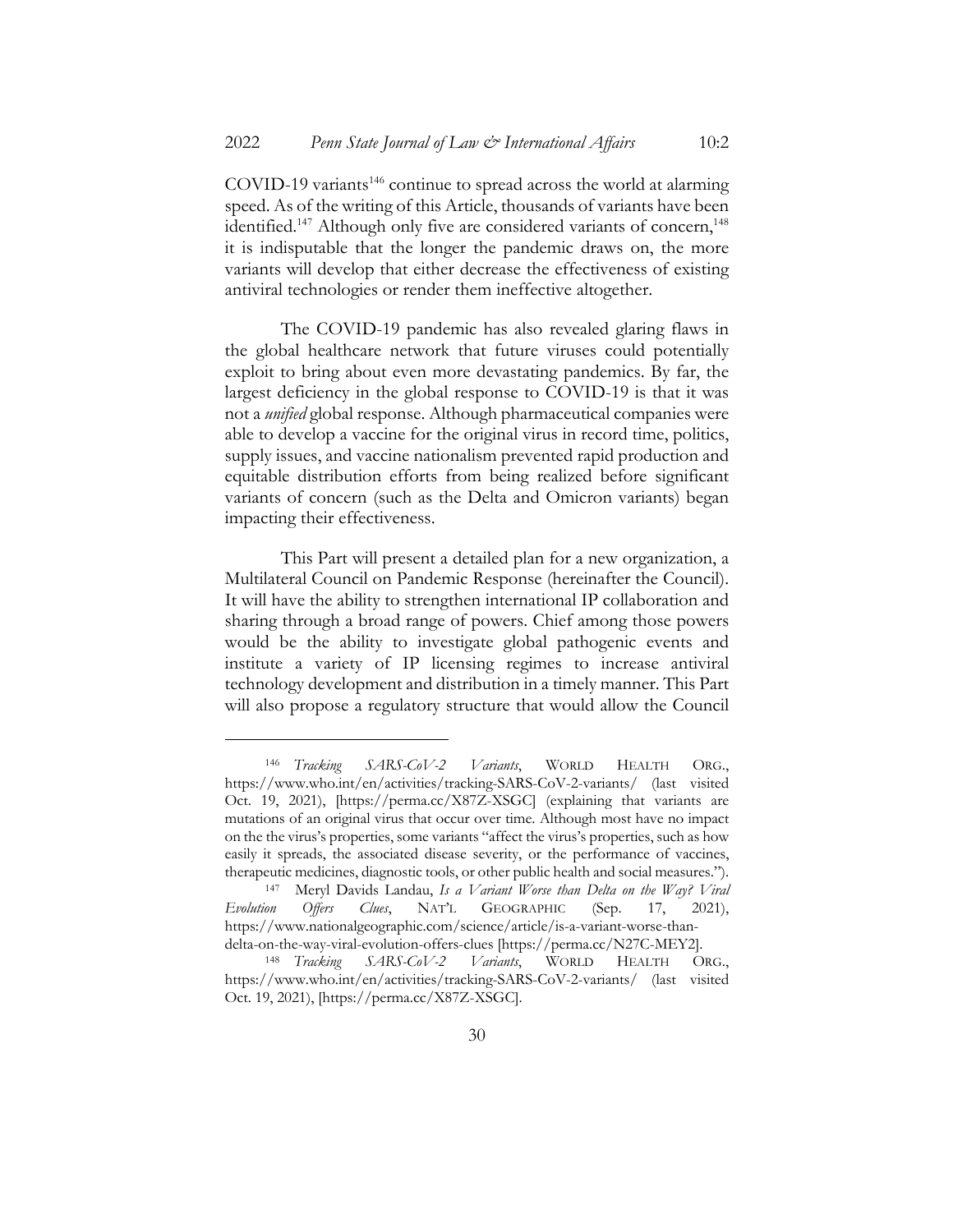$COVID-19$  variants<sup>146</sup> continue to spread across the world at alarming speed. As of the writing of this Article, thousands of variants have been identified.<sup>147</sup> Although only five are considered variants of concern,<sup>148</sup> it is indisputable that the longer the pandemic draws on, the more variants will develop that either decrease the effectiveness of existing antiviral technologies or render them ineffective altogether.

The COVID-19 pandemic has also revealed glaring flaws in the global healthcare network that future viruses could potentially exploit to bring about even more devastating pandemics. By far, the largest deficiency in the global response to COVID-19 is that it was not a *unified* global response. Although pharmaceutical companies were able to develop a vaccine for the original virus in record time, politics, supply issues, and vaccine nationalism prevented rapid production and equitable distribution efforts from being realized before significant variants of concern (such as the Delta and Omicron variants) began impacting their effectiveness.

This Part will present a detailed plan for a new organization, a Multilateral Council on Pandemic Response (hereinafter the Council). It will have the ability to strengthen international IP collaboration and sharing through a broad range of powers. Chief among those powers would be the ability to investigate global pathogenic events and institute a variety of IP licensing regimes to increase antiviral technology development and distribution in a timely manner. This Part will also propose a regulatory structure that would allow the Council

<sup>146</sup> *Tracking SARS-CoV-2 Variants*, WORLD HEALTH ORG., https://www.who.int/en/activities/tracking-SARS-CoV-2-variants/ (last visited Oct. 19, 2021), [https://perma.cc/X87Z-XSGC] (explaining that variants are mutations of an original virus that occur over time. Although most have no impact on the the virus's properties, some variants "affect the virus's properties, such as how easily it spreads, the associated disease severity, or the performance of vaccines, therapeutic medicines, diagnostic tools, or other public health and social measures.").

<sup>147</sup> Meryl Davids Landau, *Is a Variant Worse than Delta on the Way? Viral Evolution Offers Clues*, NAT'L GEOGRAPHIC (Sep. 17, 2021), https://www.nationalgeographic.com/science/article/is-a-variant-worse-thandelta-on-the-way-viral-evolution-offers-clues [https://perma.cc/N27C-MEY2].

<sup>148</sup> *Tracking SARS-CoV-2 Variants*, WORLD HEALTH ORG., https://www.who.int/en/activities/tracking-SARS-CoV-2-variants/ (last visited Oct. 19, 2021), [https://perma.cc/X87Z-XSGC].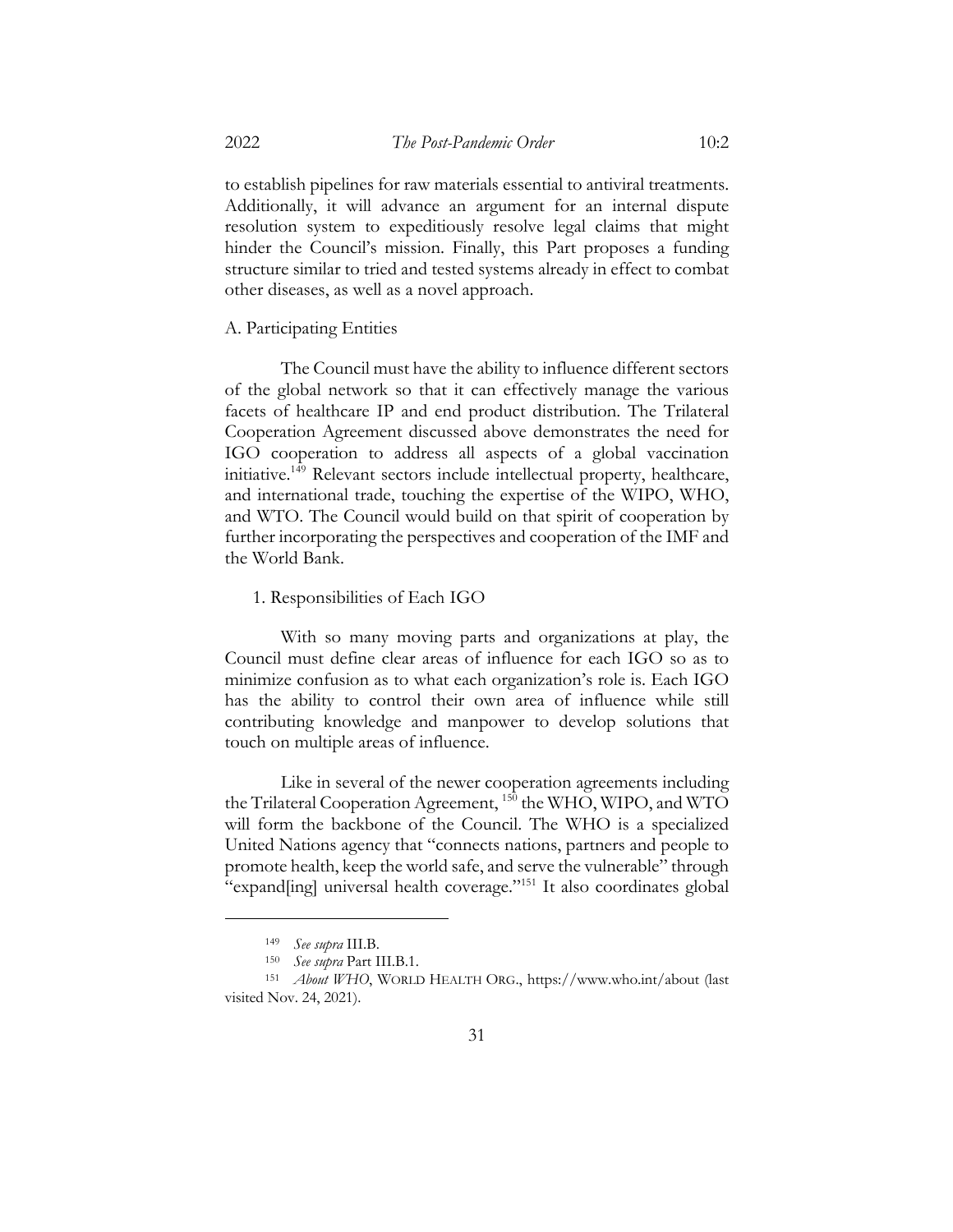to establish pipelines for raw materials essential to antiviral treatments. Additionally, it will advance an argument for an internal dispute resolution system to expeditiously resolve legal claims that might hinder the Council's mission. Finally, this Part proposes a funding structure similar to tried and tested systems already in effect to combat other diseases, as well as a novel approach.

## A. Participating Entities

The Council must have the ability to influence different sectors of the global network so that it can effectively manage the various facets of healthcare IP and end product distribution. The Trilateral Cooperation Agreement discussed above demonstrates the need for IGO cooperation to address all aspects of a global vaccination initiative.149 Relevant sectors include intellectual property, healthcare, and international trade, touching the expertise of the WIPO, WHO, and WTO. The Council would build on that spirit of cooperation by further incorporating the perspectives and cooperation of the IMF and the World Bank.

## 1. Responsibilities of Each IGO

With so many moving parts and organizations at play, the Council must define clear areas of influence for each IGO so as to minimize confusion as to what each organization's role is. Each IGO has the ability to control their own area of influence while still contributing knowledge and manpower to develop solutions that touch on multiple areas of influence.

Like in several of the newer cooperation agreements including the Trilateral Cooperation Agreement, <sup>150</sup> the WHO, WIPO, and WTO will form the backbone of the Council. The WHO is a specialized United Nations agency that "connects nations, partners and people to promote health, keep the world safe, and serve the vulnerable" through "expand[ing] universal health coverage."<sup>151</sup> It also coordinates global

<sup>149</sup> *See supra* III.B.

<sup>150</sup> *See supra* Part III.B.1.

<sup>151</sup> *About WHO*, WORLD HEALTH ORG., https://www.who.int/about (last visited Nov. 24, 2021).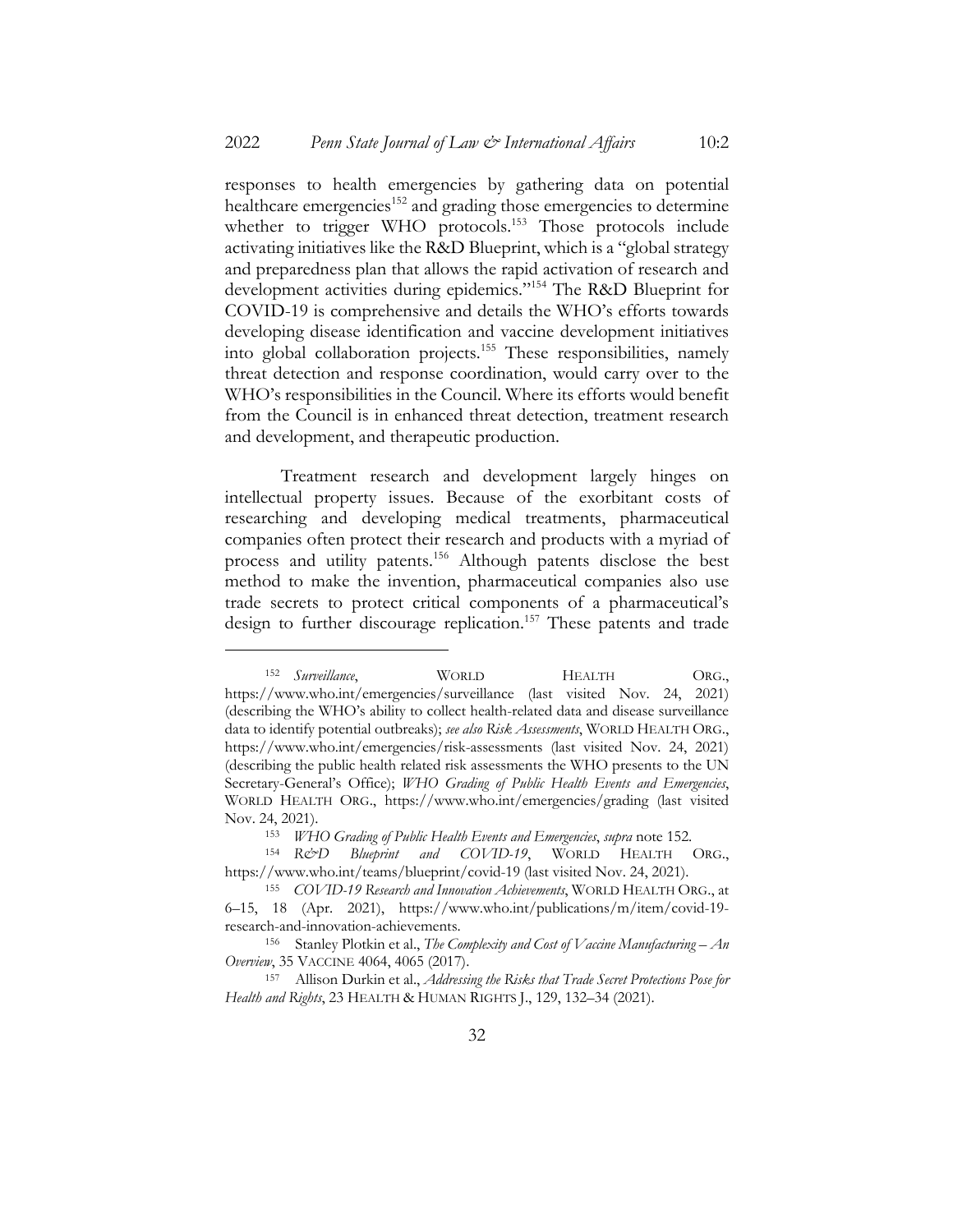responses to health emergencies by gathering data on potential healthcare emergencies<sup>152</sup> and grading those emergencies to determine whether to trigger WHO protocols.<sup>153</sup> Those protocols include activating initiatives like the R&D Blueprint, which is a "global strategy and preparedness plan that allows the rapid activation of research and development activities during epidemics."154 The R&D Blueprint for COVID-19 is comprehensive and details the WHO's efforts towards developing disease identification and vaccine development initiatives into global collaboration projects.155 These responsibilities, namely threat detection and response coordination, would carry over to the WHO's responsibilities in the Council. Where its efforts would benefit from the Council is in enhanced threat detection, treatment research and development, and therapeutic production.

Treatment research and development largely hinges on intellectual property issues. Because of the exorbitant costs of researching and developing medical treatments, pharmaceutical companies often protect their research and products with a myriad of process and utility patents.156 Although patents disclose the best method to make the invention, pharmaceutical companies also use trade secrets to protect critical components of a pharmaceutical's design to further discourage replication.<sup>157</sup> These patents and trade

<sup>&</sup>lt;sup>152</sup> *Surveillance*, WORLD HEALTH ORG., https://www.who.int/emergencies/surveillance (last visited Nov. 24, 2021) (describing the WHO's ability to collect health-related data and disease surveillance data to identify potential outbreaks); *see also Risk Assessments*, WORLD HEALTH ORG., https://www.who.int/emergencies/risk-assessments (last visited Nov. 24, 2021) (describing the public health related risk assessments the WHO presents to the UN Secretary-General's Office); *WHO Grading of Public Health Events and Emergencies*, WORLD HEALTH ORG., https://www.who.int/emergencies/grading (last visited Nov. 24, 2021).

<sup>153</sup> *WHO Grading of Public Health Events and Emergencies*, *supra* note 152.

<sup>154</sup> R&D Blueprint and COVID-19, WORLD HEALTH ORG., https://www.who.int/teams/blueprint/covid-19 (last visited Nov. 24, 2021).

<sup>155</sup> *COVID-19 Research and Innovation Achievements*, WORLD HEALTH ORG., at 6–15, 18 (Apr. 2021), https://www.who.int/publications/m/item/covid-19 research-and-innovation-achievements.

<sup>156</sup> Stanley Plotkin et al., *The Complexity and Cost of Vaccine Manufacturing – An Overview*, 35 VACCINE 4064, 4065 (2017).

<sup>157</sup> Allison Durkin et al., *Addressing the Risks that Trade Secret Protections Pose for Health and Rights*, 23 HEALTH & HUMAN RIGHTS J., 129, 132–34 (2021).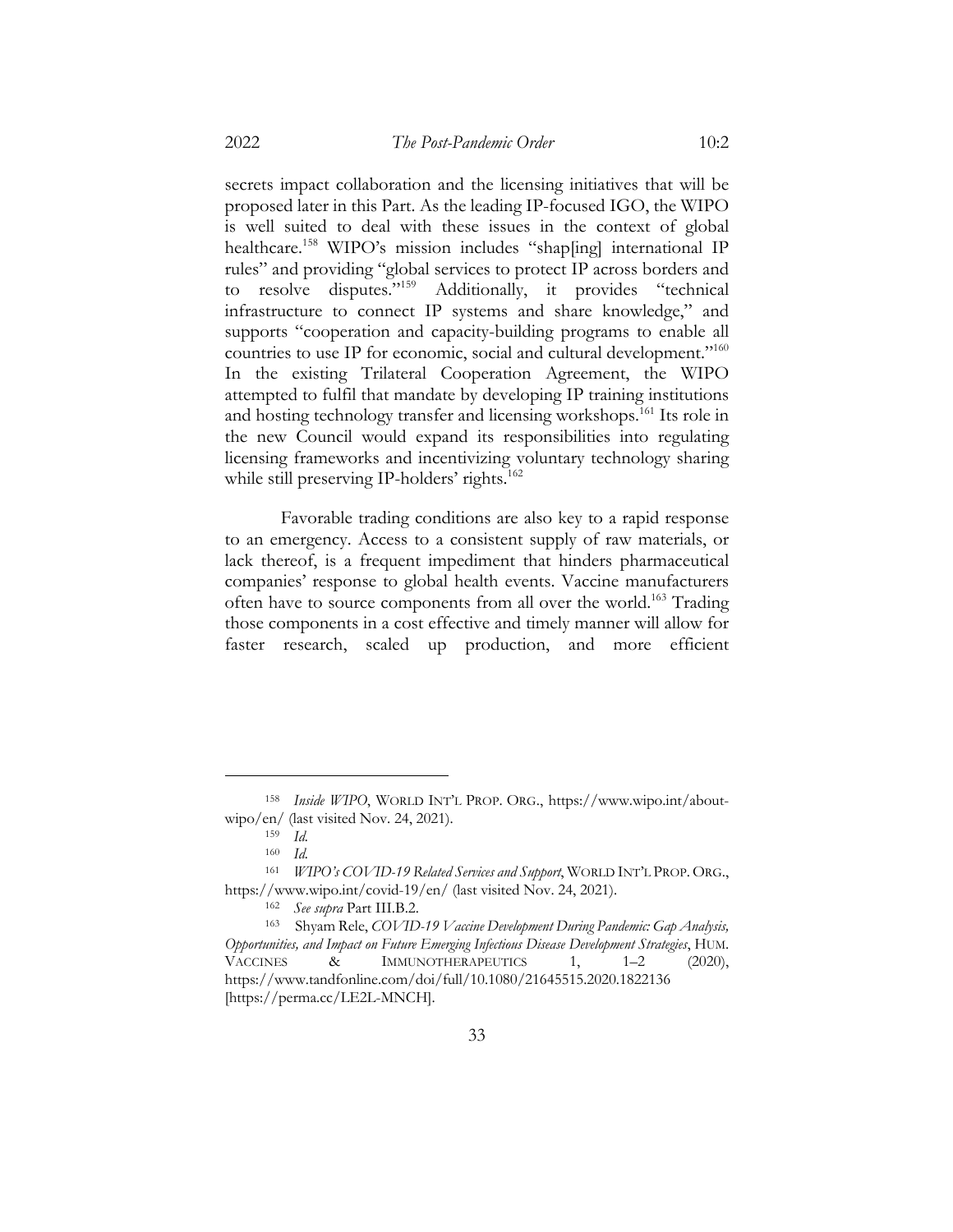is well suited to deal with these issues in the context of global healthcare.<sup>158</sup> WIPO's mission includes "shap[ing] international IP rules" and providing "global services to protect IP across borders and to resolve disputes."159 Additionally, it provides "technical infrastructure to connect IP systems and share knowledge," and supports "cooperation and capacity-building programs to enable all countries to use IP for economic, social and cultural development."160 In the existing Trilateral Cooperation Agreement, the WIPO attempted to fulfil that mandate by developing IP training institutions and hosting technology transfer and licensing workshops.<sup>161</sup> Its role in the new Council would expand its responsibilities into regulating licensing frameworks and incentivizing voluntary technology sharing while still preserving IP-holders' rights.<sup>162</sup>

Favorable trading conditions are also key to a rapid response to an emergency. Access to a consistent supply of raw materials, or lack thereof, is a frequent impediment that hinders pharmaceutical companies' response to global health events. Vaccine manufacturers often have to source components from all over the world.<sup>163</sup> Trading those components in a cost effective and timely manner will allow for faster research, scaled up production, and more efficient

<sup>158</sup> *Inside WIPO*, WORLD INT'L PROP. ORG., https://www.wipo.int/aboutwipo/en/ (last visited Nov. 24, 2021).

<sup>159</sup> *Id.*

 $\frac{160}{161}$  *Id.* 

<sup>161</sup> *WIPO's COVID-19 Related Services and Support*, WORLD INT'L PROP.ORG., https://www.wipo.int/covid-19/en/ (last visited Nov. 24, 2021).

<sup>162</sup> *See supra* Part III.B.2.

<sup>163</sup> Shyam Rele, *COVID-19 Vaccine Development During Pandemic: Gap Analysis, Opportunities, and Impact on Future Emerging Infectious Disease Development Strategies*, HUM. VACCINES & IMMUNOTHERAPEUTICS 1, 1-2 (2020), https://www.tandfonline.com/doi/full/10.1080/21645515.2020.1822136 [https://perma.cc/LE2L-MNCH].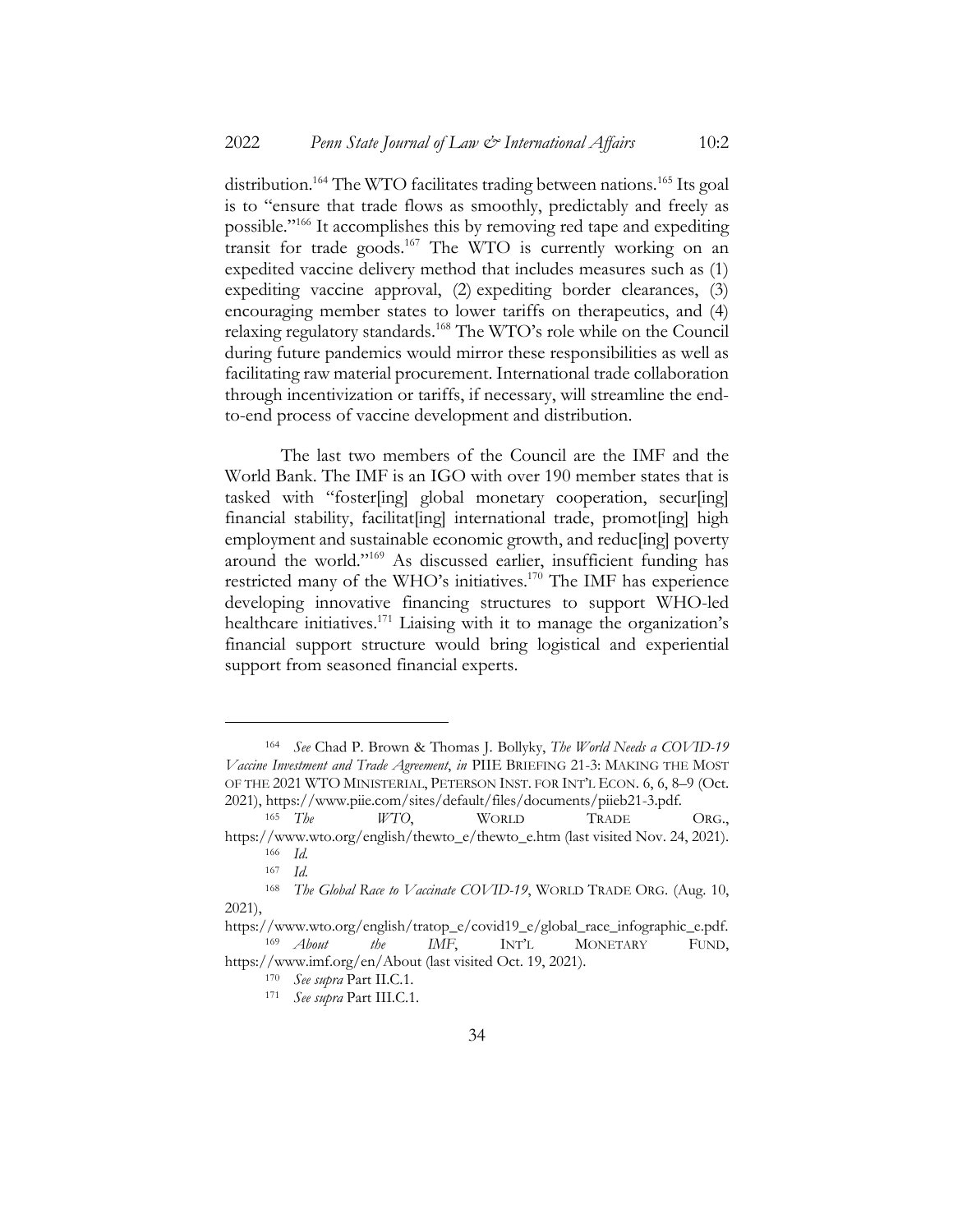distribution.<sup>164</sup> The WTO facilitates trading between nations.<sup>165</sup> Its goal is to "ensure that trade flows as smoothly, predictably and freely as possible."166 It accomplishes this by removing red tape and expediting transit for trade goods.<sup>167</sup> The WTO is currently working on an expedited vaccine delivery method that includes measures such as (1) expediting vaccine approval, (2) expediting border clearances, (3) encouraging member states to lower tariffs on therapeutics, and (4) relaxing regulatory standards.<sup>168</sup> The WTO's role while on the Council during future pandemics would mirror these responsibilities as well as facilitating raw material procurement. International trade collaboration through incentivization or tariffs, if necessary, will streamline the endto-end process of vaccine development and distribution.

The last two members of the Council are the IMF and the World Bank. The IMF is an IGO with over 190 member states that is tasked with "foster[ing] global monetary cooperation, secur[ing] financial stability, facilitat[ing] international trade, promot[ing] high employment and sustainable economic growth, and reduc[ing] poverty around the world."169 As discussed earlier, insufficient funding has restricted many of the WHO's initiatives.170 The IMF has experience developing innovative financing structures to support WHO-led healthcare initiatives.<sup>171</sup> Liaising with it to manage the organization's financial support structure would bring logistical and experiential support from seasoned financial experts.

<sup>164</sup> *See* Chad P. Brown & Thomas J. Bollyky, *The World Needs a COVID-19 Vaccine Investment and Trade Agreement*, *in* PIIE BRIEFING 21-3: MAKING THE MOST OF THE 2021 WTO MINISTERIAL, PETERSON INST. FOR INT'L ECON. 6, 6, 8–9 (Oct. 2021), https://www.piie.com/sites/default/files/documents/piieb21-3.pdf.

<sup>165</sup> *The WTO*, WORLD TRADE ORG., https://www.wto.org/english/thewto\_e/thewto\_e.htm (last visited Nov. 24, 2021).

 $\frac{166}{167}$  *Id.* <sup>167</sup> *Id.*

<sup>168</sup> *The Global Race to Vaccinate COVID-19*, WORLD TRADE ORG. (Aug. 10, 2021),

https://www.wto.org/english/tratop\_e/covid19\_e/global\_race\_infographic\_e.pdf. <sup>169</sup> *About the IMF*, INT'L MONETARY FUND, https://www.imf.org/en/About (last visited Oct. 19, 2021).

<sup>170</sup> *See supra* Part II.C.1.

<sup>171</sup> *See supra* Part III.C.1.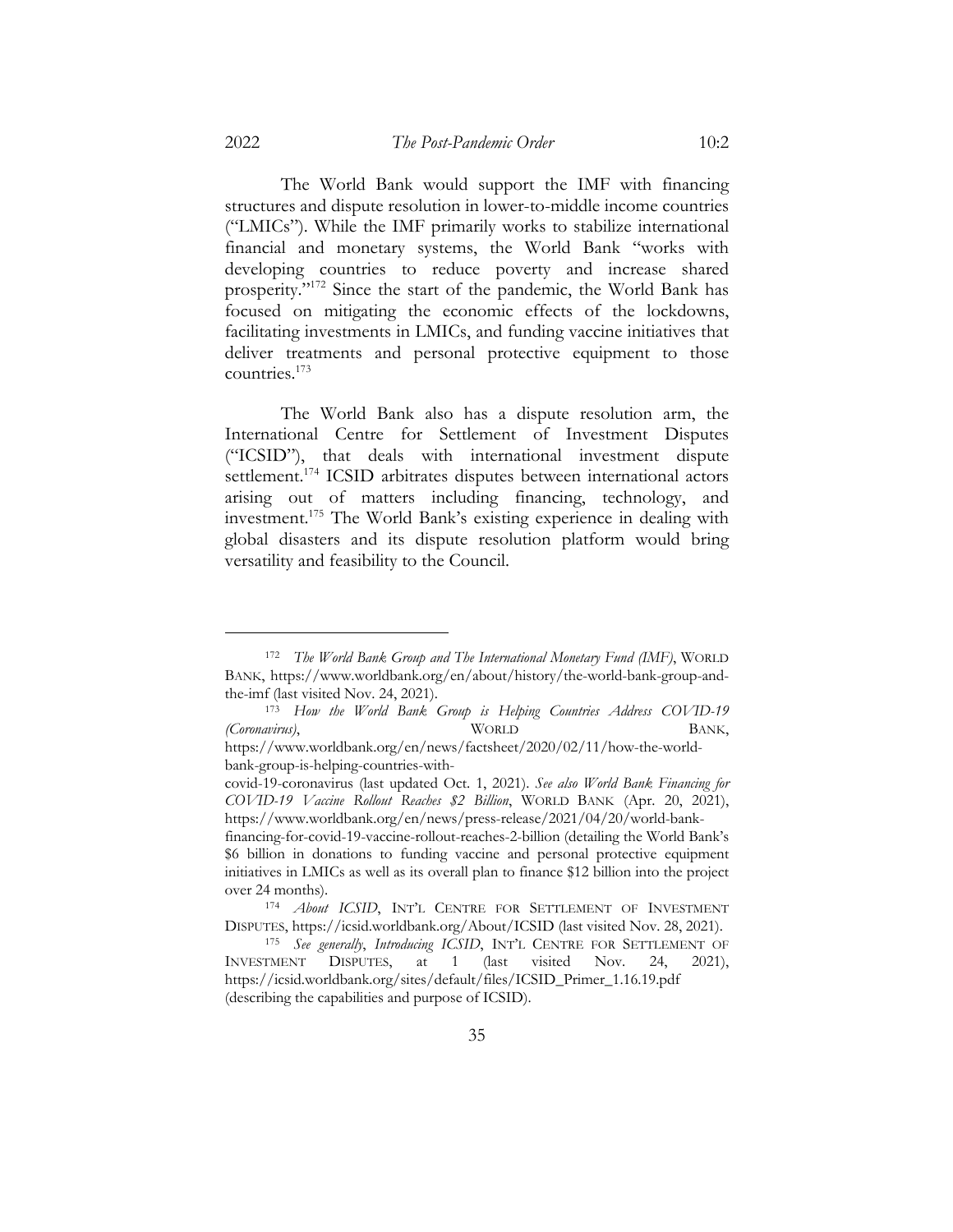The World Bank would support the IMF with financing structures and dispute resolution in lower-to-middle income countries ("LMICs"). While the IMF primarily works to stabilize international financial and monetary systems, the World Bank "works with developing countries to reduce poverty and increase shared prosperity."172 Since the start of the pandemic, the World Bank has focused on mitigating the economic effects of the lockdowns, facilitating investments in LMICs, and funding vaccine initiatives that deliver treatments and personal protective equipment to those countries.173

The World Bank also has a dispute resolution arm, the International Centre for Settlement of Investment Disputes ("ICSID"), that deals with international investment dispute settlement.<sup>174</sup> ICSID arbitrates disputes between international actors arising out of matters including financing, technology, and investment.175 The World Bank's existing experience in dealing with global disasters and its dispute resolution platform would bring versatility and feasibility to the Council.

<sup>172</sup> *The World Bank Group and The International Monetary Fund (IMF)*, WORLD BANK, https://www.worldbank.org/en/about/history/the-world-bank-group-andthe-imf (last visited Nov. 24, 2021).

<sup>173</sup> *How the World Bank Group is Helping Countries Address COVID-19 (Coronavirus)*, WORLD BANK, https://www.worldbank.org/en/news/factsheet/2020/02/11/how-the-world-

bank-group-is-helping-countries-with-

covid-19-coronavirus (last updated Oct. 1, 2021). *See also World Bank Financing for COVID-19 Vaccine Rollout Reaches \$2 Billion*, WORLD BANK (Apr. 20, 2021), https://www.worldbank.org/en/news/press-release/2021/04/20/world-bank-

financing-for-covid-19-vaccine-rollout-reaches-2-billion (detailing the World Bank's \$6 billion in donations to funding vaccine and personal protective equipment initiatives in LMICs as well as its overall plan to finance \$12 billion into the project over 24 months).

<sup>174</sup> *About ICSID*, INT'L CENTRE FOR SETTLEMENT OF INVESTMENT DISPUTES, https://icsid.worldbank.org/About/ICSID (last visited Nov. 28, 2021).

<sup>175</sup> *See generally*, *Introducing ICSID*, INT'L CENTRE FOR SETTLEMENT OF INVESTMENT DISPUTES, at 1 (last visited Nov. 24, 2021), https://icsid.worldbank.org/sites/default/files/ICSID\_Primer\_1.16.19.pdf (describing the capabilities and purpose of ICSID).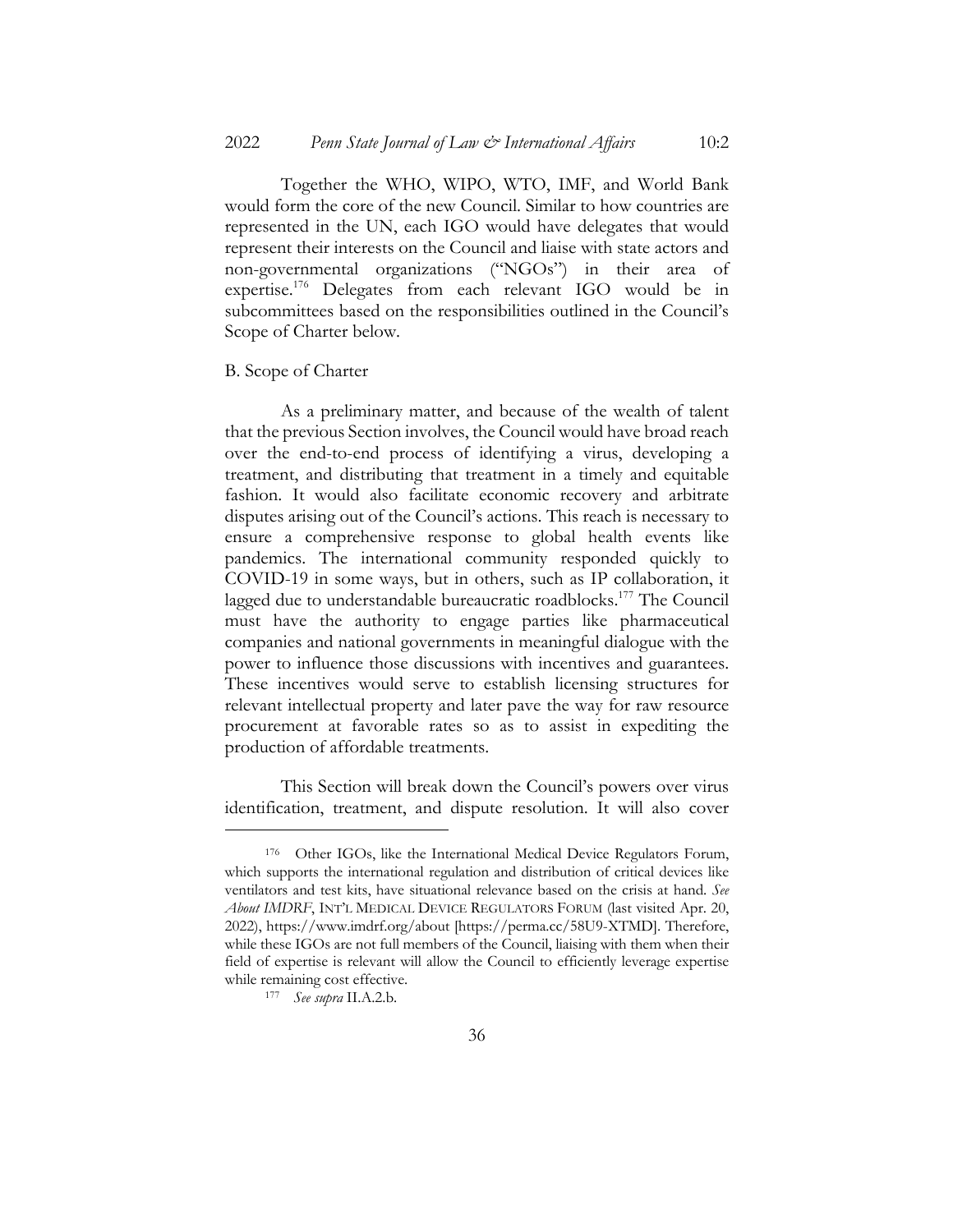Together the WHO, WIPO, WTO, IMF, and World Bank would form the core of the new Council. Similar to how countries are represented in the UN, each IGO would have delegates that would represent their interests on the Council and liaise with state actors and non-governmental organizations ("NGOs") in their area of expertise.176 Delegates from each relevant IGO would be in subcommittees based on the responsibilities outlined in the Council's Scope of Charter below.

# B. Scope of Charter

As a preliminary matter, and because of the wealth of talent that the previous Section involves, the Council would have broad reach over the end-to-end process of identifying a virus, developing a treatment, and distributing that treatment in a timely and equitable fashion. It would also facilitate economic recovery and arbitrate disputes arising out of the Council's actions. This reach is necessary to ensure a comprehensive response to global health events like pandemics. The international community responded quickly to COVID-19 in some ways, but in others, such as IP collaboration, it lagged due to understandable bureaucratic roadblocks.<sup>177</sup> The Council must have the authority to engage parties like pharmaceutical companies and national governments in meaningful dialogue with the power to influence those discussions with incentives and guarantees. These incentives would serve to establish licensing structures for relevant intellectual property and later pave the way for raw resource procurement at favorable rates so as to assist in expediting the production of affordable treatments.

This Section will break down the Council's powers over virus identification, treatment, and dispute resolution. It will also cover

<sup>176</sup> Other IGOs, like the International Medical Device Regulators Forum, which supports the international regulation and distribution of critical devices like ventilators and test kits, have situational relevance based on the crisis at hand. *See About IMDRF*, INT'L MEDICAL DEVICE REGULATORS FORUM (last visited Apr. 20, 2022), https://www.imdrf.org/about [https://perma.cc/58U9-XTMD]. Therefore, while these IGOs are not full members of the Council, liaising with them when their field of expertise is relevant will allow the Council to efficiently leverage expertise while remaining cost effective.

<sup>177</sup> *See supra* II.A.2.b.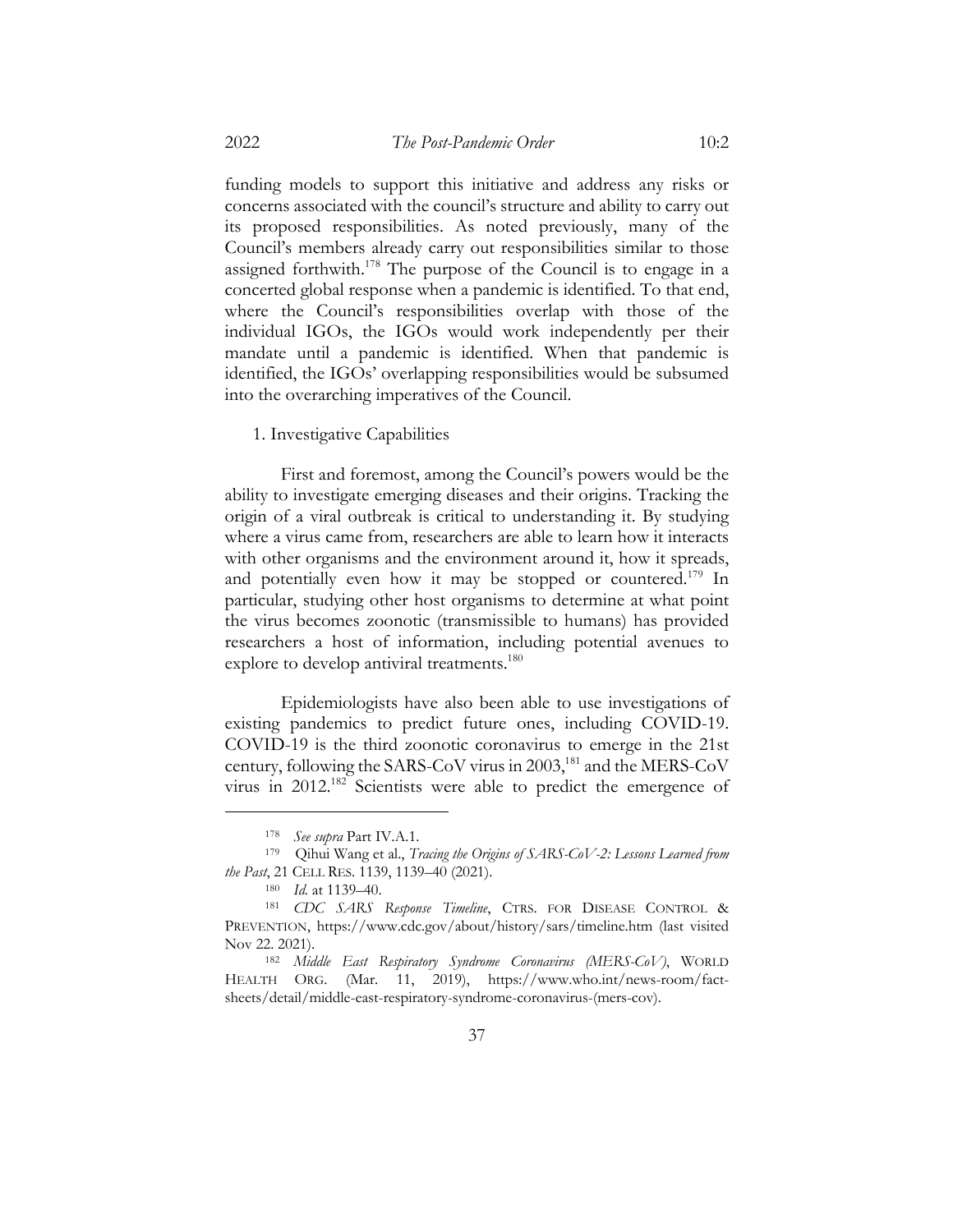funding models to support this initiative and address any risks or concerns associated with the council's structure and ability to carry out its proposed responsibilities. As noted previously, many of the Council's members already carry out responsibilities similar to those assigned forthwith.<sup>178</sup> The purpose of the Council is to engage in a concerted global response when a pandemic is identified. To that end, where the Council's responsibilities overlap with those of the individual IGOs, the IGOs would work independently per their mandate until a pandemic is identified. When that pandemic is identified, the IGOs' overlapping responsibilities would be subsumed into the overarching imperatives of the Council.

1. Investigative Capabilities

First and foremost, among the Council's powers would be the ability to investigate emerging diseases and their origins. Tracking the origin of a viral outbreak is critical to understanding it. By studying where a virus came from, researchers are able to learn how it interacts with other organisms and the environment around it, how it spreads, and potentially even how it may be stopped or countered.<sup>179</sup> In particular, studying other host organisms to determine at what point the virus becomes zoonotic (transmissible to humans) has provided researchers a host of information, including potential avenues to explore to develop antiviral treatments.<sup>180</sup>

Epidemiologists have also been able to use investigations of existing pandemics to predict future ones, including COVID-19. COVID-19 is the third zoonotic coronavirus to emerge in the 21st century, following the SARS-CoV virus in 2003,<sup>181</sup> and the MERS-CoV virus in 2012.182 Scientists were able to predict the emergence of

<sup>178</sup> *See supra* Part IV.A.1.

<sup>179</sup> Qihui Wang et al., *Tracing the Origins of SARS-CoV-2: Lessons Learned from the Past*, 21 CELL RES. 1139, 1139–40 (2021).

<sup>180</sup> *Id.* at 1139–40.

<sup>181</sup> *CDC SARS Response Timeline*, CTRS. FOR DISEASE CONTROL & PREVENTION, https://www.cdc.gov/about/history/sars/timeline.htm (last visited Nov 22. 2021).

<sup>182</sup> *Middle East Respiratory Syndrome Coronavirus (MERS-CoV)*, WORLD HEALTH ORG. (Mar. 11, 2019), https://www.who.int/news-room/factsheets/detail/middle-east-respiratory-syndrome-coronavirus-(mers-cov).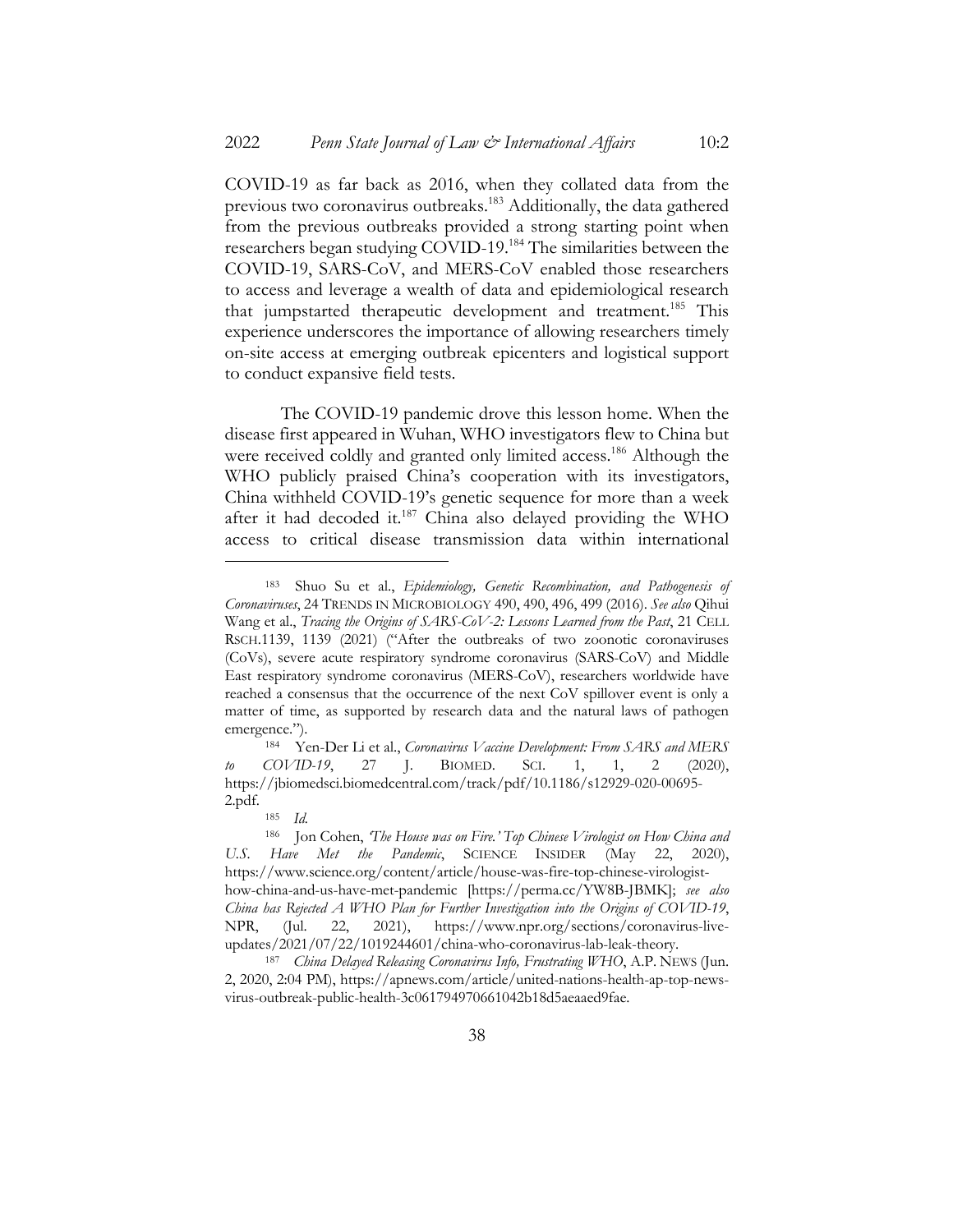COVID-19 as far back as 2016, when they collated data from the previous two coronavirus outbreaks.<sup>183</sup> Additionally, the data gathered from the previous outbreaks provided a strong starting point when researchers began studying COVID-19. <sup>184</sup> The similarities between the COVID-19, SARS-CoV, and MERS-CoV enabled those researchers to access and leverage a wealth of data and epidemiological research that jumpstarted therapeutic development and treatment.185 This experience underscores the importance of allowing researchers timely on-site access at emerging outbreak epicenters and logistical support to conduct expansive field tests.

The COVID-19 pandemic drove this lesson home. When the disease first appeared in Wuhan, WHO investigators flew to China but were received coldly and granted only limited access.<sup>186</sup> Although the WHO publicly praised China's cooperation with its investigators, China withheld COVID-19's genetic sequence for more than a week after it had decoded it.187 China also delayed providing the WHO access to critical disease transmission data within international

<sup>183</sup> Shuo Su et al., *Epidemiology, Genetic Recombination, and Pathogenesis of Coronaviruses*, 24 TRENDS IN MICROBIOLOGY 490, 490, 496, 499 (2016). *See also* Qihui Wang et al., *Tracing the Origins of SARS-CoV-2: Lessons Learned from the Past*, 21 CELL RSCH.1139, 1139 (2021) ("After the outbreaks of two zoonotic coronaviruses (CoVs), severe acute respiratory syndrome coronavirus (SARS-CoV) and Middle East respiratory syndrome coronavirus (MERS-CoV), researchers worldwide have reached a consensus that the occurrence of the next CoV spillover event is only a matter of time, as supported by research data and the natural laws of pathogen emergence.").

<sup>184</sup> Yen-Der Li et al., *Coronavirus Vaccine Development: From SARS and MERS to COVID-19*, 27 J. BIOMED. SCI. 1, 1, 2 (2020), https://jbiomedsci.biomedcentral.com/track/pdf/10.1186/s12929-020-00695- 2.pdf.

<sup>185</sup> *Id.*

<sup>186</sup> Jon Cohen, *'The House was on Fire.' Top Chinese Virologist on How China and U.S. Have Met the Pandemic*, SCIENCE INSIDER (May 22, 2020), https://www.science.org/content/article/house-was-fire-top-chinese-virologisthow-china-and-us-have-met-pandemic [https://perma.cc/YW8B-JBMK]; *see also China has Rejected A WHO Plan for Further Investigation into the Origins of COVID-19*, NPR, (Jul. 22, 2021), https://www.npr.org/sections/coronavirus-liveupdates/2021/07/22/1019244601/china-who-coronavirus-lab-leak-theory.

<sup>187</sup> *China Delayed Releasing Coronavirus Info, Frustrating WHO*, A.P. NEWS (Jun. 2, 2020, 2:04 PM), https://apnews.com/article/united-nations-health-ap-top-newsvirus-outbreak-public-health-3c061794970661042b18d5aeaaed9fae.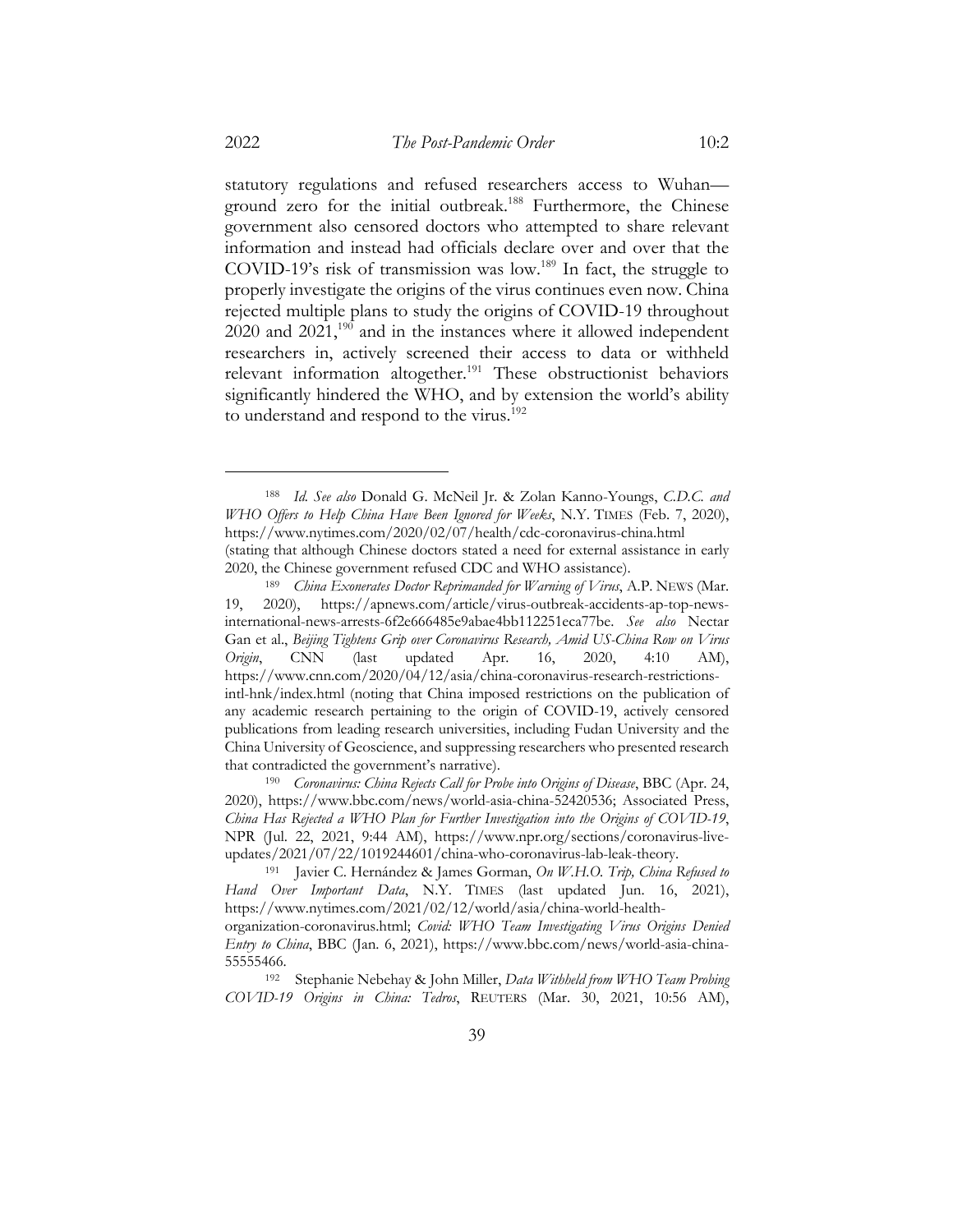statutory regulations and refused researchers access to Wuhan ground zero for the initial outbreak.188 Furthermore, the Chinese government also censored doctors who attempted to share relevant information and instead had officials declare over and over that the COVID-19's risk of transmission was low.<sup>189</sup> In fact, the struggle to properly investigate the origins of the virus continues even now. China rejected multiple plans to study the origins of COVID-19 throughout  $2020$  and  $2021$ ,<sup>190</sup> and in the instances where it allowed independent researchers in, actively screened their access to data or withheld relevant information altogether.<sup>191</sup> These obstructionist behaviors significantly hindered the WHO, and by extension the world's ability to understand and respond to the virus.<sup>192</sup>

<sup>188</sup> *Id. See also* Donald G. McNeil Jr. & Zolan Kanno-Youngs, *C.D.C. and WHO Offers to Help China Have Been Ignored for Weeks*, N.Y. TIMES (Feb. 7, 2020), https://www.nytimes.com/2020/02/07/health/cdc-coronavirus-china.html (stating that although Chinese doctors stated a need for external assistance in early 2020, the Chinese government refused CDC and WHO assistance).

<sup>189</sup> *China Exonerates Doctor Reprimanded for Warning of Virus*, A.P. NEWS (Mar. 19, 2020), https://apnews.com/article/virus-outbreak-accidents-ap-top-newsinternational-news-arrests-6f2e666485e9abae4bb112251eca77be. *See also* Nectar Gan et al., *Beijing Tightens Grip over Coronavirus Research, Amid US-China Row on Virus Origin*, CNN (last updated Apr. 16, 2020, 4:10 AM), https://www.cnn.com/2020/04/12/asia/china-coronavirus-research-restrictionsintl-hnk/index.html (noting that China imposed restrictions on the publication of any academic research pertaining to the origin of COVID-19, actively censored publications from leading research universities, including Fudan University and the China University of Geoscience, and suppressing researchers who presented research that contradicted the government's narrative).

<sup>190</sup> *Coronavirus: China Rejects Call for Probe into Origins of Disease*, BBC (Apr. 24, 2020), https://www.bbc.com/news/world-asia-china-52420536; Associated Press, *China Has Rejected a WHO Plan for Further Investigation into the Origins of COVID-19*, NPR (Jul. 22, 2021, 9:44 AM), https://www.npr.org/sections/coronavirus-liveupdates/2021/07/22/1019244601/china-who-coronavirus-lab-leak-theory.

<sup>191</sup> Javier C. Hernández & James Gorman, *On W.H.O. Trip, China Refused to Hand Over Important Data*, N.Y. TIMES (last updated Jun. 16, 2021), https://www.nytimes.com/2021/02/12/world/asia/china-world-health-

organization-coronavirus.html; *Covid: WHO Team Investigating Virus Origins Denied Entry to China*, BBC (Jan. 6, 2021), https://www.bbc.com/news/world-asia-china-55555466.

<sup>192</sup> Stephanie Nebehay & John Miller, *Data Withheld from WHO Team Probing COVID-19 Origins in China: Tedros*, REUTERS (Mar. 30, 2021, 10:56 AM),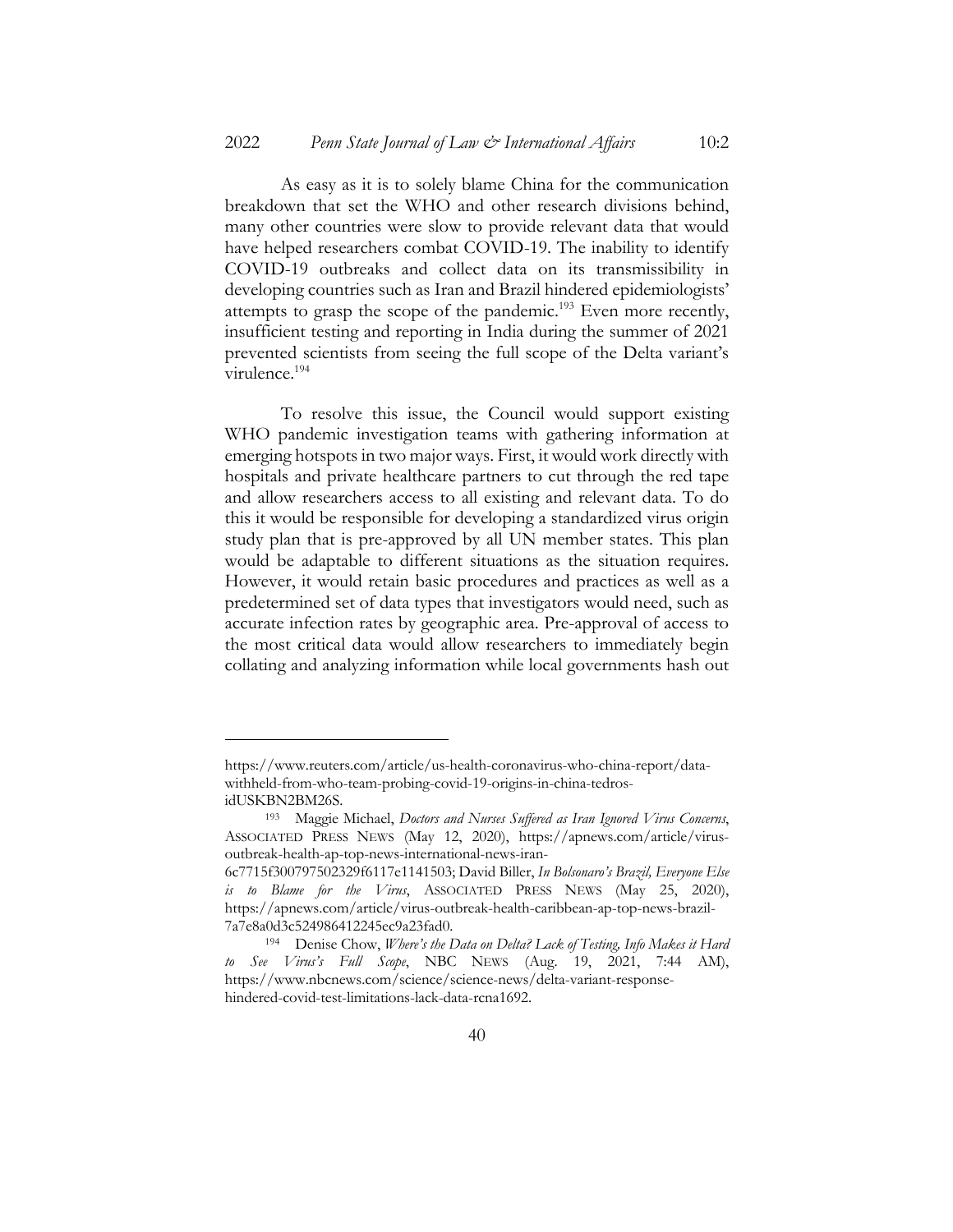As easy as it is to solely blame China for the communication breakdown that set the WHO and other research divisions behind, many other countries were slow to provide relevant data that would have helped researchers combat COVID-19. The inability to identify COVID-19 outbreaks and collect data on its transmissibility in developing countries such as Iran and Brazil hindered epidemiologists' attempts to grasp the scope of the pandemic.<sup>193</sup> Even more recently, insufficient testing and reporting in India during the summer of 2021 prevented scientists from seeing the full scope of the Delta variant's virulence.194

To resolve this issue, the Council would support existing WHO pandemic investigation teams with gathering information at emerging hotspots in two major ways. First, it would work directly with hospitals and private healthcare partners to cut through the red tape and allow researchers access to all existing and relevant data. To do this it would be responsible for developing a standardized virus origin study plan that is pre-approved by all UN member states. This plan would be adaptable to different situations as the situation requires. However, it would retain basic procedures and practices as well as a predetermined set of data types that investigators would need, such as accurate infection rates by geographic area. Pre-approval of access to the most critical data would allow researchers to immediately begin collating and analyzing information while local governments hash out

https://www.reuters.com/article/us-health-coronavirus-who-china-report/datawithheld-from-who-team-probing-covid-19-origins-in-china-tedrosidUSKBN2BM26S.

<sup>193</sup> Maggie Michael, *Doctors and Nurses Suffered as Iran Ignored Virus Concerns*, ASSOCIATED PRESS NEWS (May 12, 2020), https://apnews.com/article/virusoutbreak-health-ap-top-news-international-news-iran-

<sup>6</sup>c7715f300797502329f6117e1141503; David Biller, *In Bolsonaro's Brazil, Everyone Else is to Blame for the Virus*, ASSOCIATED PRESS NEWS (May 25, 2020), https://apnews.com/article/virus-outbreak-health-caribbean-ap-top-news-brazil-7a7e8a0d3c524986412245ec9a23fad0.

<sup>194</sup> Denise Chow, *Where's the Data on Delta? Lack of Testing, Info Makes it Hard to See Virus's Full Scope*, NBC NEWS (Aug. 19, 2021, 7:44 AM), https://www.nbcnews.com/science/science-news/delta-variant-responsehindered-covid-test-limitations-lack-data-rcna1692.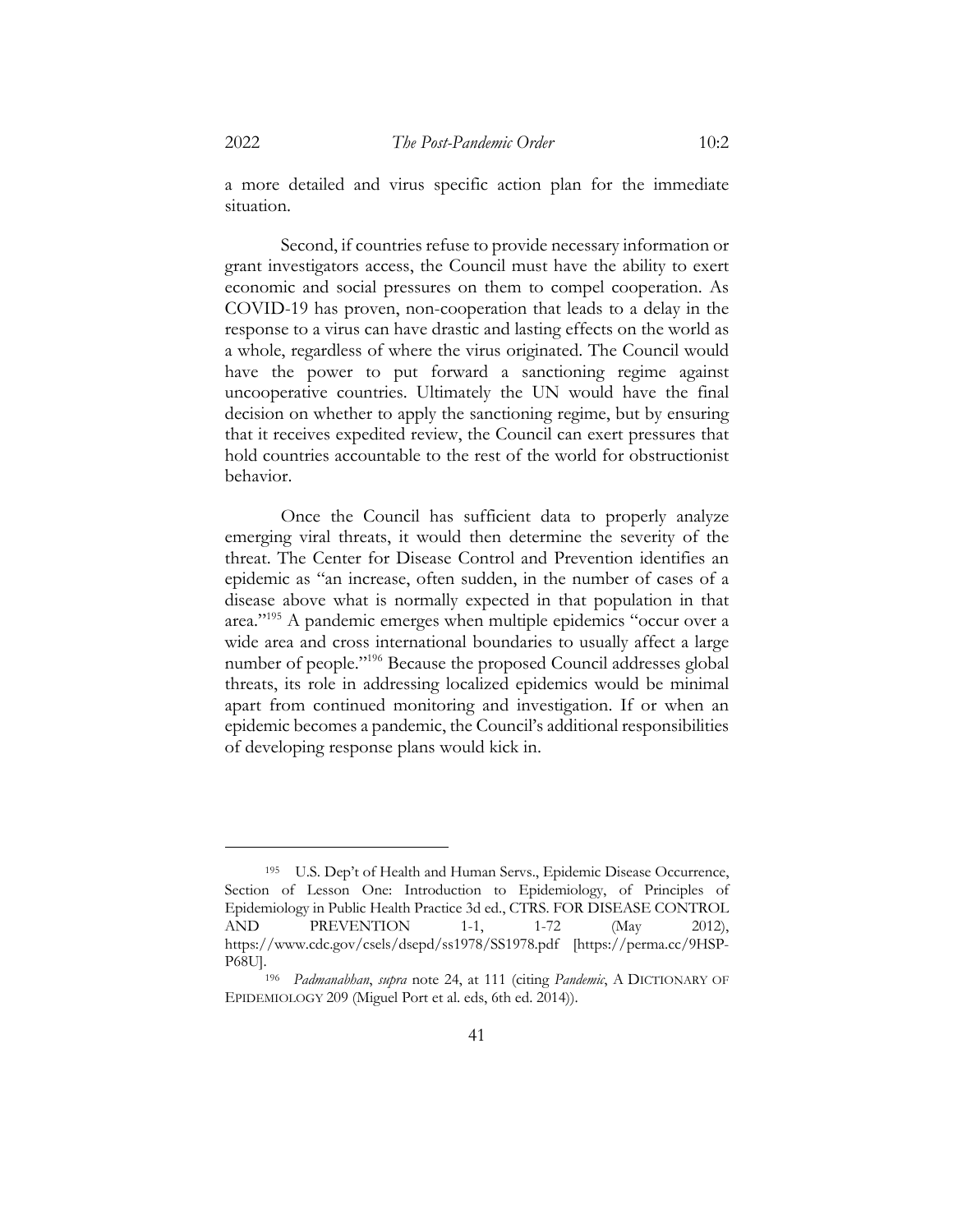a more detailed and virus specific action plan for the immediate situation.

Second, if countries refuse to provide necessary information or grant investigators access, the Council must have the ability to exert economic and social pressures on them to compel cooperation. As COVID-19 has proven, non-cooperation that leads to a delay in the response to a virus can have drastic and lasting effects on the world as a whole, regardless of where the virus originated. The Council would have the power to put forward a sanctioning regime against uncooperative countries. Ultimately the UN would have the final decision on whether to apply the sanctioning regime, but by ensuring that it receives expedited review, the Council can exert pressures that hold countries accountable to the rest of the world for obstructionist behavior.

Once the Council has sufficient data to properly analyze emerging viral threats, it would then determine the severity of the threat. The Center for Disease Control and Prevention identifies an epidemic as "an increase, often sudden, in the number of cases of a disease above what is normally expected in that population in that area."195 A pandemic emerges when multiple epidemics "occur over a wide area and cross international boundaries to usually affect a large number of people."196 Because the proposed Council addresses global threats, its role in addressing localized epidemics would be minimal apart from continued monitoring and investigation. If or when an epidemic becomes a pandemic, the Council's additional responsibilities of developing response plans would kick in.

<sup>195</sup> U.S. Dep't of Health and Human Servs., Epidemic Disease Occurrence, Section of Lesson One: Introduction to Epidemiology, of Principles of Epidemiology in Public Health Practice 3d ed., CTRS. FOR DISEASE CONTROL AND PREVENTION 1-1, 1-72 (May 2012), https://www.cdc.gov/csels/dsepd/ss1978/SS1978.pdf [https://perma.cc/9HSP-

<sup>&</sup>lt;sup>196</sup> *Padmanabhan, supra* note 24, at 111 (citing *Pandemic*, A DICTIONARY OF EPIDEMIOLOGY 209 (Miguel Port et al. eds, 6th ed. 2014)).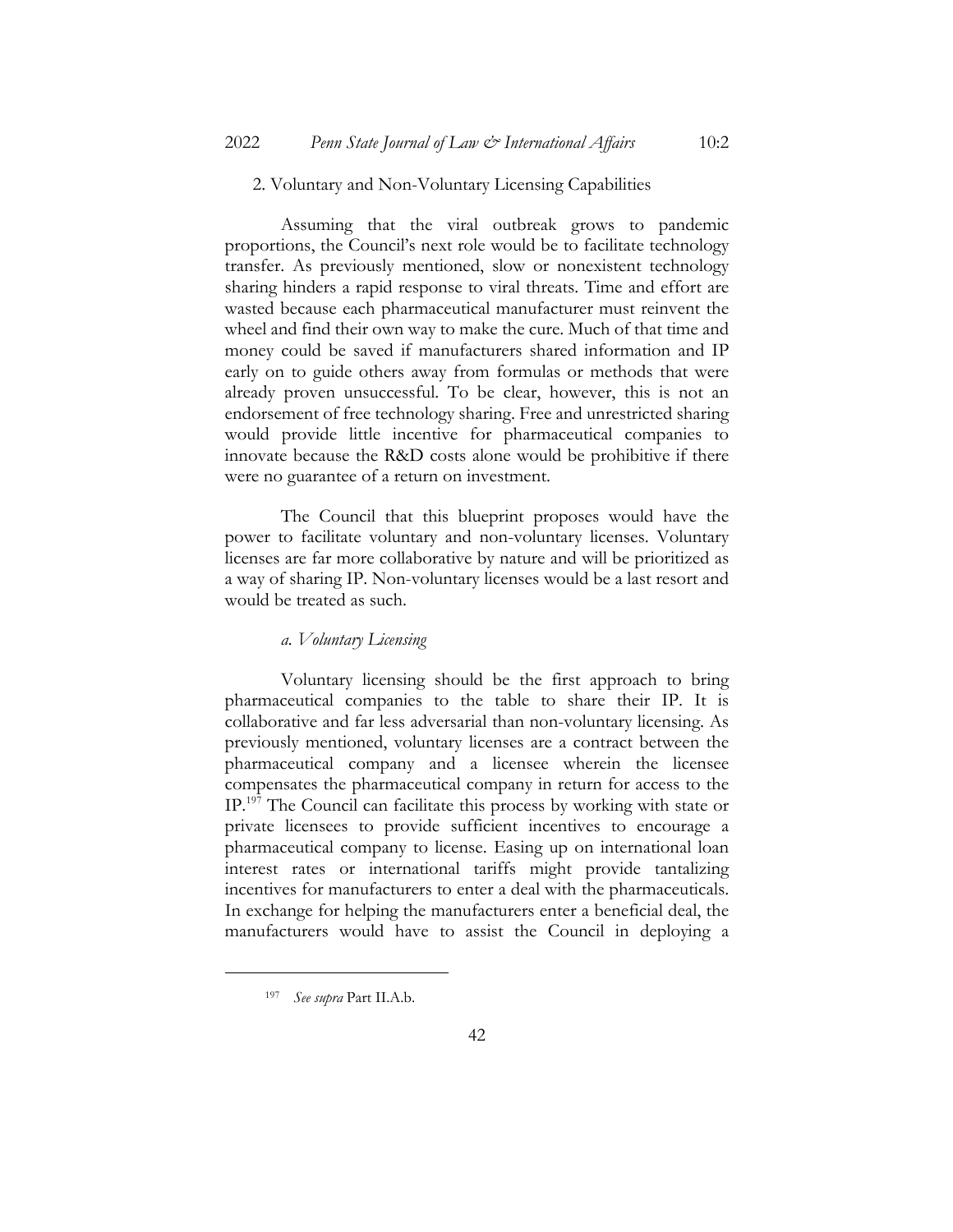#### 2. Voluntary and Non-Voluntary Licensing Capabilities

Assuming that the viral outbreak grows to pandemic proportions, the Council's next role would be to facilitate technology transfer. As previously mentioned, slow or nonexistent technology sharing hinders a rapid response to viral threats. Time and effort are wasted because each pharmaceutical manufacturer must reinvent the wheel and find their own way to make the cure. Much of that time and money could be saved if manufacturers shared information and IP early on to guide others away from formulas or methods that were already proven unsuccessful. To be clear, however, this is not an endorsement of free technology sharing. Free and unrestricted sharing would provide little incentive for pharmaceutical companies to innovate because the R&D costs alone would be prohibitive if there were no guarantee of a return on investment.

The Council that this blueprint proposes would have the power to facilitate voluntary and non-voluntary licenses. Voluntary licenses are far more collaborative by nature and will be prioritized as a way of sharing IP. Non-voluntary licenses would be a last resort and would be treated as such.

# *a. Voluntary Licensing*

Voluntary licensing should be the first approach to bring pharmaceutical companies to the table to share their IP. It is collaborative and far less adversarial than non-voluntary licensing. As previously mentioned, voluntary licenses are a contract between the pharmaceutical company and a licensee wherein the licensee compensates the pharmaceutical company in return for access to the IP.197 The Council can facilitate this process by working with state or private licensees to provide sufficient incentives to encourage a pharmaceutical company to license. Easing up on international loan interest rates or international tariffs might provide tantalizing incentives for manufacturers to enter a deal with the pharmaceuticals. In exchange for helping the manufacturers enter a beneficial deal, the manufacturers would have to assist the Council in deploying a

42

<sup>197</sup> *See supra* Part II.A.b.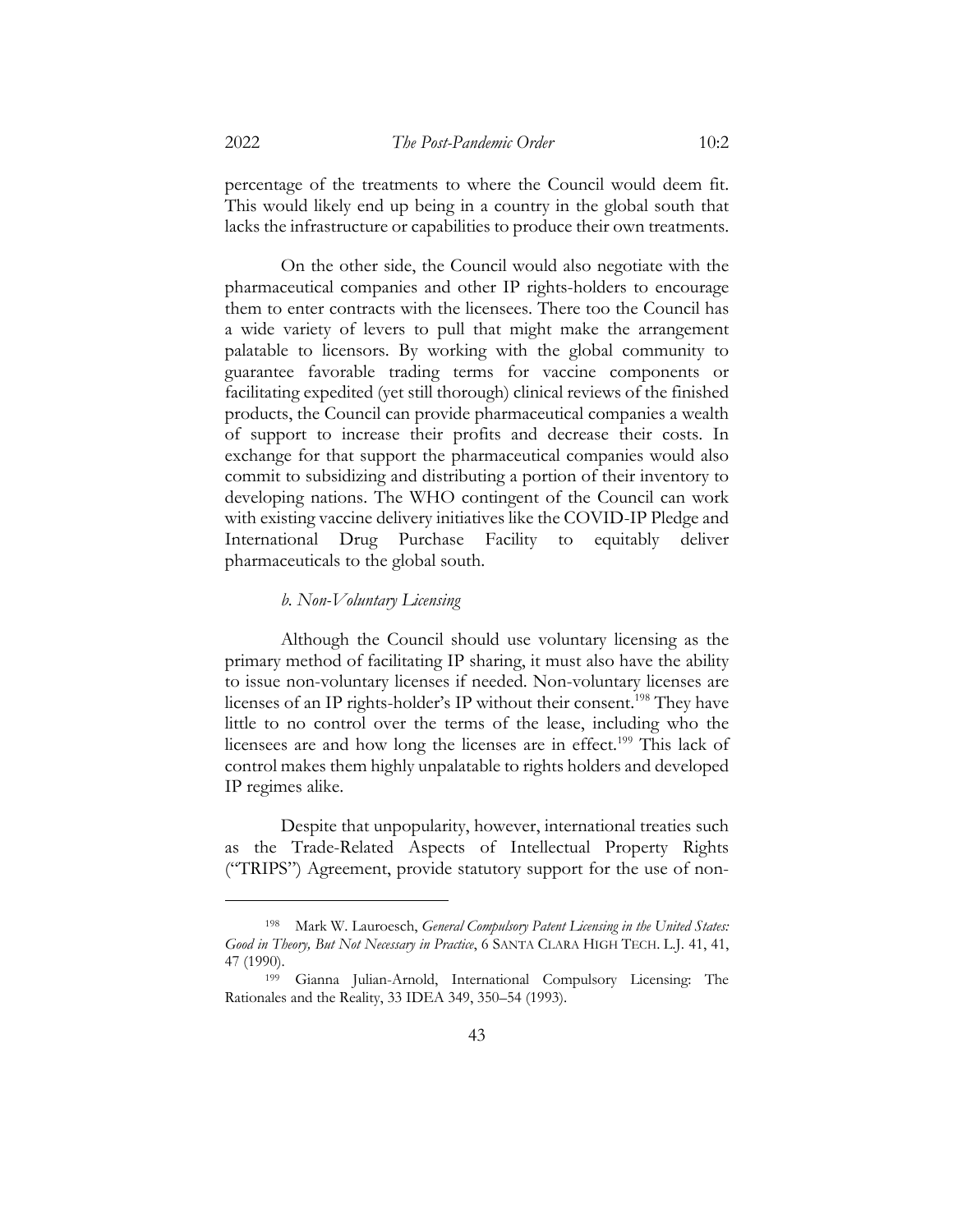percentage of the treatments to where the Council would deem fit. This would likely end up being in a country in the global south that lacks the infrastructure or capabilities to produce their own treatments.

On the other side, the Council would also negotiate with the pharmaceutical companies and other IP rights-holders to encourage them to enter contracts with the licensees. There too the Council has a wide variety of levers to pull that might make the arrangement palatable to licensors. By working with the global community to guarantee favorable trading terms for vaccine components or facilitating expedited (yet still thorough) clinical reviews of the finished products, the Council can provide pharmaceutical companies a wealth of support to increase their profits and decrease their costs. In exchange for that support the pharmaceutical companies would also commit to subsidizing and distributing a portion of their inventory to developing nations. The WHO contingent of the Council can work with existing vaccine delivery initiatives like the COVID-IP Pledge and International Drug Purchase Facility to equitably deliver pharmaceuticals to the global south.

# *b. Non-Voluntary Licensing*

Although the Council should use voluntary licensing as the primary method of facilitating IP sharing, it must also have the ability to issue non-voluntary licenses if needed. Non-voluntary licenses are licenses of an IP rights-holder's IP without their consent.<sup>198</sup> They have little to no control over the terms of the lease, including who the licensees are and how long the licenses are in effect.<sup>199</sup> This lack of control makes them highly unpalatable to rights holders and developed IP regimes alike.

Despite that unpopularity, however, international treaties such as the Trade-Related Aspects of Intellectual Property Rights ("TRIPS") Agreement, provide statutory support for the use of non-

<sup>198</sup> Mark W. Lauroesch, *General Compulsory Patent Licensing in the United States: Good in Theory, But Not Necessary in Practice*, 6 SANTA CLARA HIGH TECH. L.J. 41, 41, 47 (1990).

<sup>199</sup> Gianna Julian-Arnold, International Compulsory Licensing: The Rationales and the Reality, 33 IDEA 349, 350–54 (1993).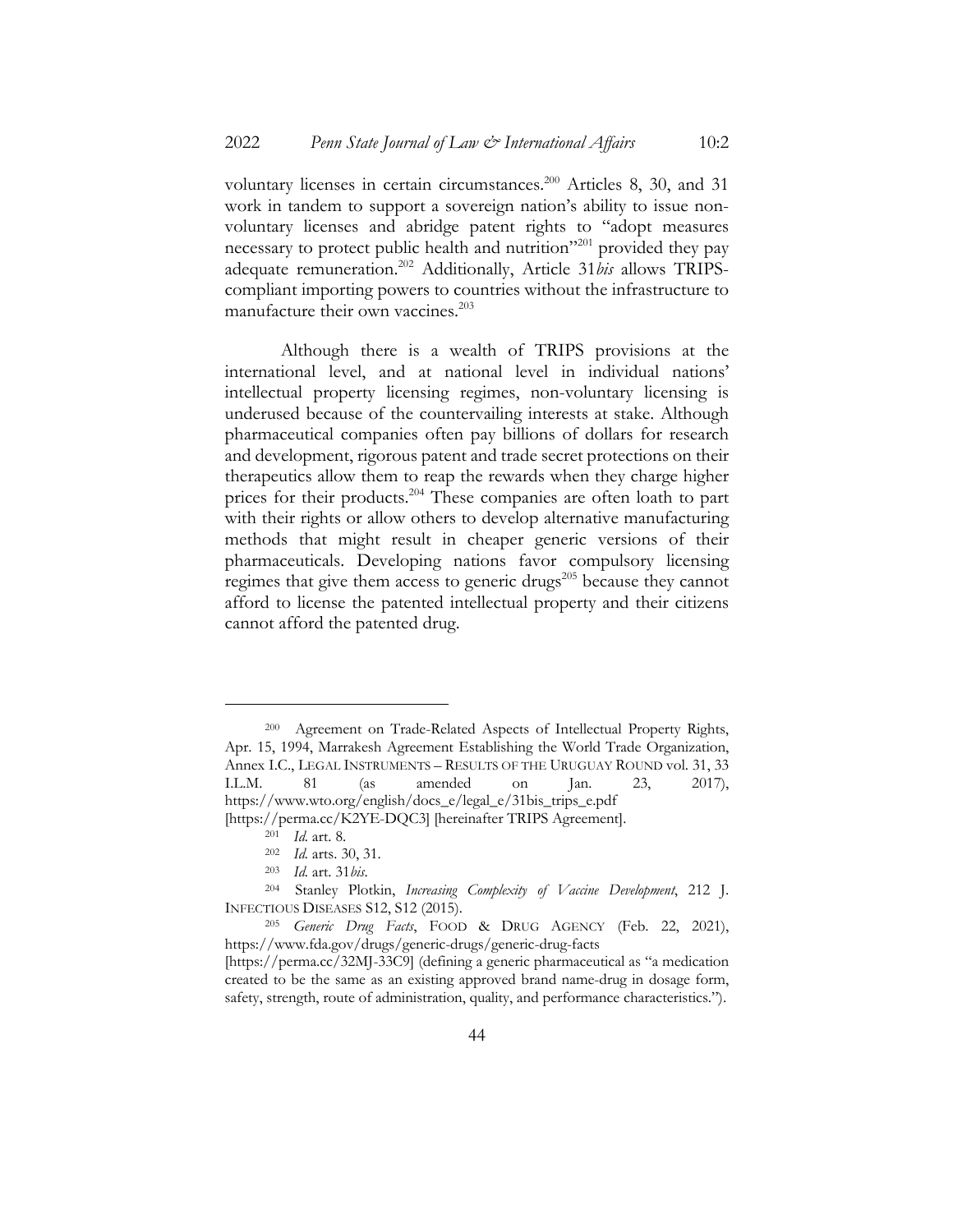voluntary licenses in certain circumstances.<sup>200</sup> Articles 8, 30, and 31 work in tandem to support a sovereign nation's ability to issue nonvoluntary licenses and abridge patent rights to "adopt measures necessary to protect public health and nutrition<sup>"201</sup> provided they pay adequate remuneration.202 Additionally, Article 31*bis* allows TRIPScompliant importing powers to countries without the infrastructure to manufacture their own vaccines.<sup>203</sup>

Although there is a wealth of TRIPS provisions at the international level, and at national level in individual nations' intellectual property licensing regimes, non-voluntary licensing is underused because of the countervailing interests at stake. Although pharmaceutical companies often pay billions of dollars for research and development, rigorous patent and trade secret protections on their therapeutics allow them to reap the rewards when they charge higher prices for their products.<sup>204</sup> These companies are often loath to part with their rights or allow others to develop alternative manufacturing methods that might result in cheaper generic versions of their pharmaceuticals. Developing nations favor compulsory licensing regimes that give them access to generic drugs<sup>205</sup> because they cannot afford to license the patented intellectual property and their citizens cannot afford the patented drug.

<sup>200</sup> Agreement on Trade-Related Aspects of Intellectual Property Rights, Apr. 15, 1994, Marrakesh Agreement Establishing the World Trade Organization, Annex I.C., LEGAL INSTRUMENTS – RESULTS OF THE URUGUAY ROUND vol. 31, 33 I.L.M. 81 (as amended on Jan. 23, 2017), https://www.wto.org/english/docs\_e/legal\_e/31bis\_trips\_e.pdf [https://perma.cc/K2YE-DQC3] [hereinafter TRIPS Agreement].

<sup>201</sup> *Id.* art. 8.

<sup>202</sup> *Id.* arts. 30, 31.

<sup>203</sup> *Id.* art. 31*bis*.

<sup>204</sup> Stanley Plotkin, *Increasing Complexity of Vaccine Development*, 212 J. INFECTIOUS DISEASES S12, S12 (2015).

<sup>205</sup> *Generic Drug Facts*, FOOD & DRUG AGENCY (Feb. 22, 2021), https://www.fda.gov/drugs/generic-drugs/generic-drug-facts

<sup>[</sup>https://perma.cc/32MJ-33C9] (defining a generic pharmaceutical as "a medication created to be the same as an existing approved brand name-drug in dosage form, safety, strength, route of administration, quality, and performance characteristics.").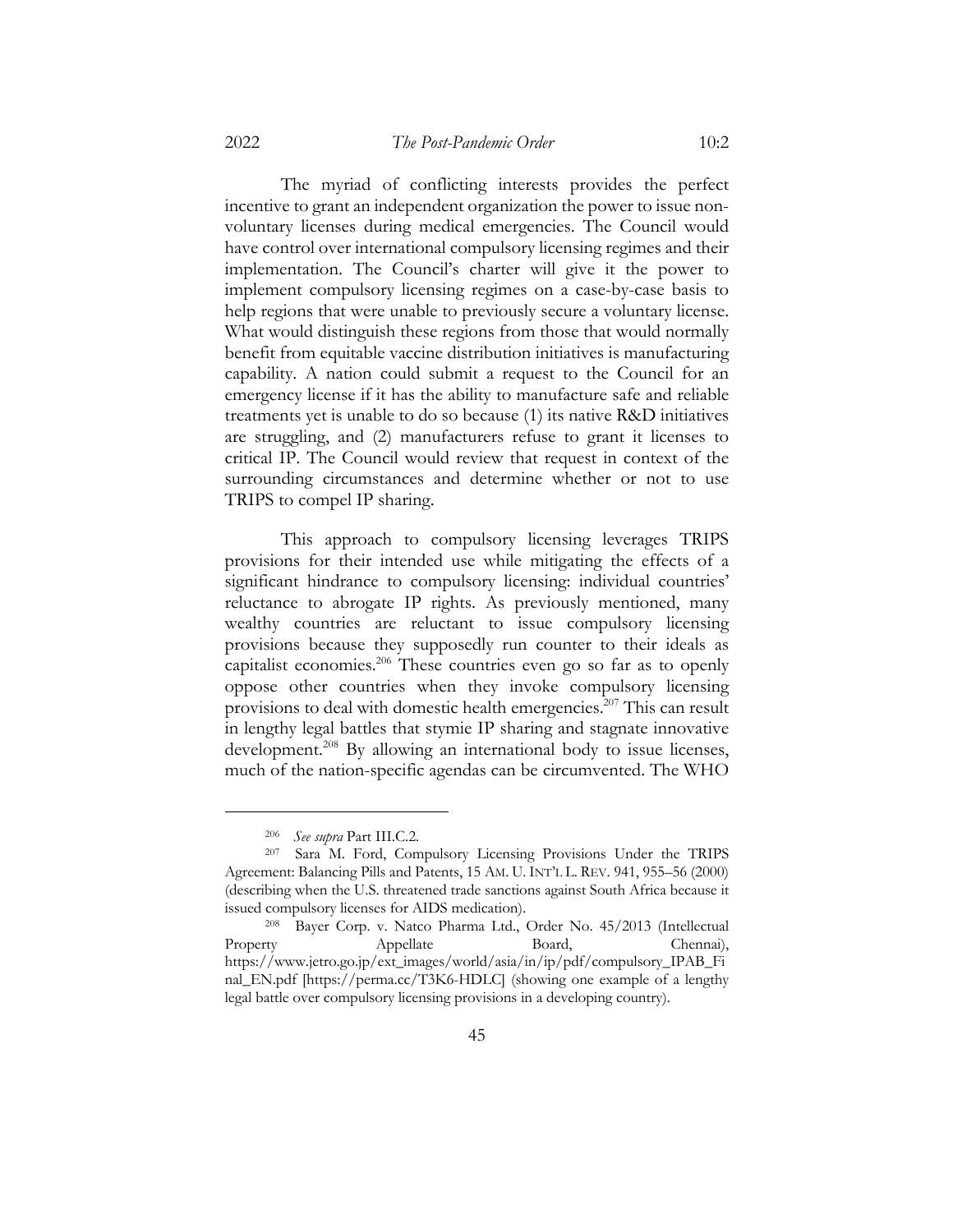The myriad of conflicting interests provides the perfect incentive to grant an independent organization the power to issue nonvoluntary licenses during medical emergencies. The Council would have control over international compulsory licensing regimes and their implementation. The Council's charter will give it the power to implement compulsory licensing regimes on a case-by-case basis to help regions that were unable to previously secure a voluntary license. What would distinguish these regions from those that would normally benefit from equitable vaccine distribution initiatives is manufacturing capability. A nation could submit a request to the Council for an emergency license if it has the ability to manufacture safe and reliable treatments yet is unable to do so because (1) its native R&D initiatives are struggling, and (2) manufacturers refuse to grant it licenses to critical IP. The Council would review that request in context of the surrounding circumstances and determine whether or not to use TRIPS to compel IP sharing.

This approach to compulsory licensing leverages TRIPS provisions for their intended use while mitigating the effects of a significant hindrance to compulsory licensing: individual countries' reluctance to abrogate IP rights. As previously mentioned, many wealthy countries are reluctant to issue compulsory licensing provisions because they supposedly run counter to their ideals as capitalist economies.206 These countries even go so far as to openly oppose other countries when they invoke compulsory licensing provisions to deal with domestic health emergencies.<sup>207</sup> This can result in lengthy legal battles that stymie IP sharing and stagnate innovative development.<sup>208</sup> By allowing an international body to issue licenses, much of the nation-specific agendas can be circumvented. The WHO

<sup>206</sup> *See supra* Part III.C.2.

Sara M. Ford, Compulsory Licensing Provisions Under the TRIPS Agreement: Balancing Pills and Patents, 15 AM. U. INT'L L. REV. 941, 955–56 (2000) (describing when the U.S. threatened trade sanctions against South Africa because it issued compulsory licenses for AIDS medication).

<sup>208</sup> Bayer Corp. v. Natco Pharma Ltd., Order No. 45/2013 (Intellectual Property Appellate Board, Chennai), https://www.jetro.go.jp/ext\_images/world/asia/in/ip/pdf/compulsory\_IPAB\_Fi nal\_EN.pdf [https://perma.cc/T3K6-HDLC] (showing one example of a lengthy legal battle over compulsory licensing provisions in a developing country).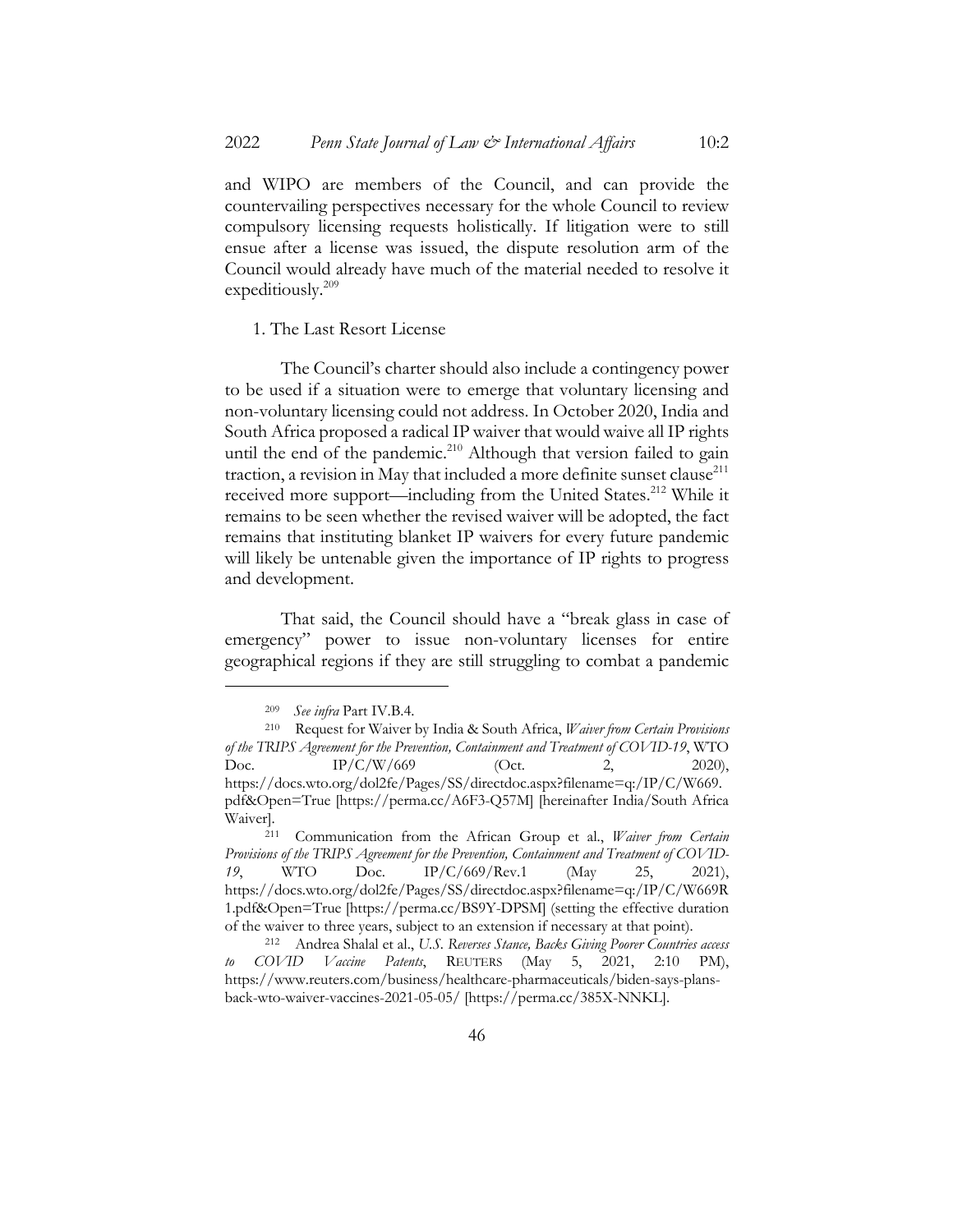and WIPO are members of the Council, and can provide the countervailing perspectives necessary for the whole Council to review compulsory licensing requests holistically. If litigation were to still ensue after a license was issued, the dispute resolution arm of the Council would already have much of the material needed to resolve it expeditiously.<sup>209</sup>

1. The Last Resort License

The Council's charter should also include a contingency power to be used if a situation were to emerge that voluntary licensing and non-voluntary licensing could not address. In October 2020, India and South Africa proposed a radical IP waiver that would waive all IP rights until the end of the pandemic.<sup>210</sup> Although that version failed to gain traction, a revision in May that included a more definite sunset clause $^{211}$ received more support—including from the United States.<sup>212</sup> While it remains to be seen whether the revised waiver will be adopted, the fact remains that instituting blanket IP waivers for every future pandemic will likely be untenable given the importance of IP rights to progress and development.

That said, the Council should have a "break glass in case of emergency" power to issue non-voluntary licenses for entire geographical regions if they are still struggling to combat a pandemic

<sup>209</sup> *See infra* Part IV.B.4.

<sup>210</sup> Request for Waiver by India & South Africa, *Waiver from Certain Provisions of the TRIPS Agreement for the Prevention, Containment and Treatment of COVID-19*, WTO Doc. IP/C/W/669 (Oct. 2, 2020), https://docs.wto.org/dol2fe/Pages/SS/directdoc.aspx?filename=q:/IP/C/W669. pdf&Open=True [https://perma.cc/A6F3-Q57M] [hereinafter India/South Africa Waiver].

<sup>211</sup> Communication from the African Group et al., *Waiver from Certain Provisions of the TRIPS Agreement for the Prevention, Containment and Treatment of COVID-19*, WTO Doc. IP/C/669/Rev.1 (May 25, 2021), https://docs.wto.org/dol2fe/Pages/SS/directdoc.aspx?filename=q:/IP/C/W669R 1.pdf&Open=True [https://perma.cc/BS9Y-DPSM] (setting the effective duration of the waiver to three years, subject to an extension if necessary at that point).

<sup>212</sup> Andrea Shalal et al., *U.S. Reverses Stance, Backs Giving Poorer Countries access to COVID Vaccine Patents*, REUTERS (May 5, 2021, 2:10 PM), https://www.reuters.com/business/healthcare-pharmaceuticals/biden-says-plansback-wto-waiver-vaccines-2021-05-05/ [https://perma.cc/385X-NNKL].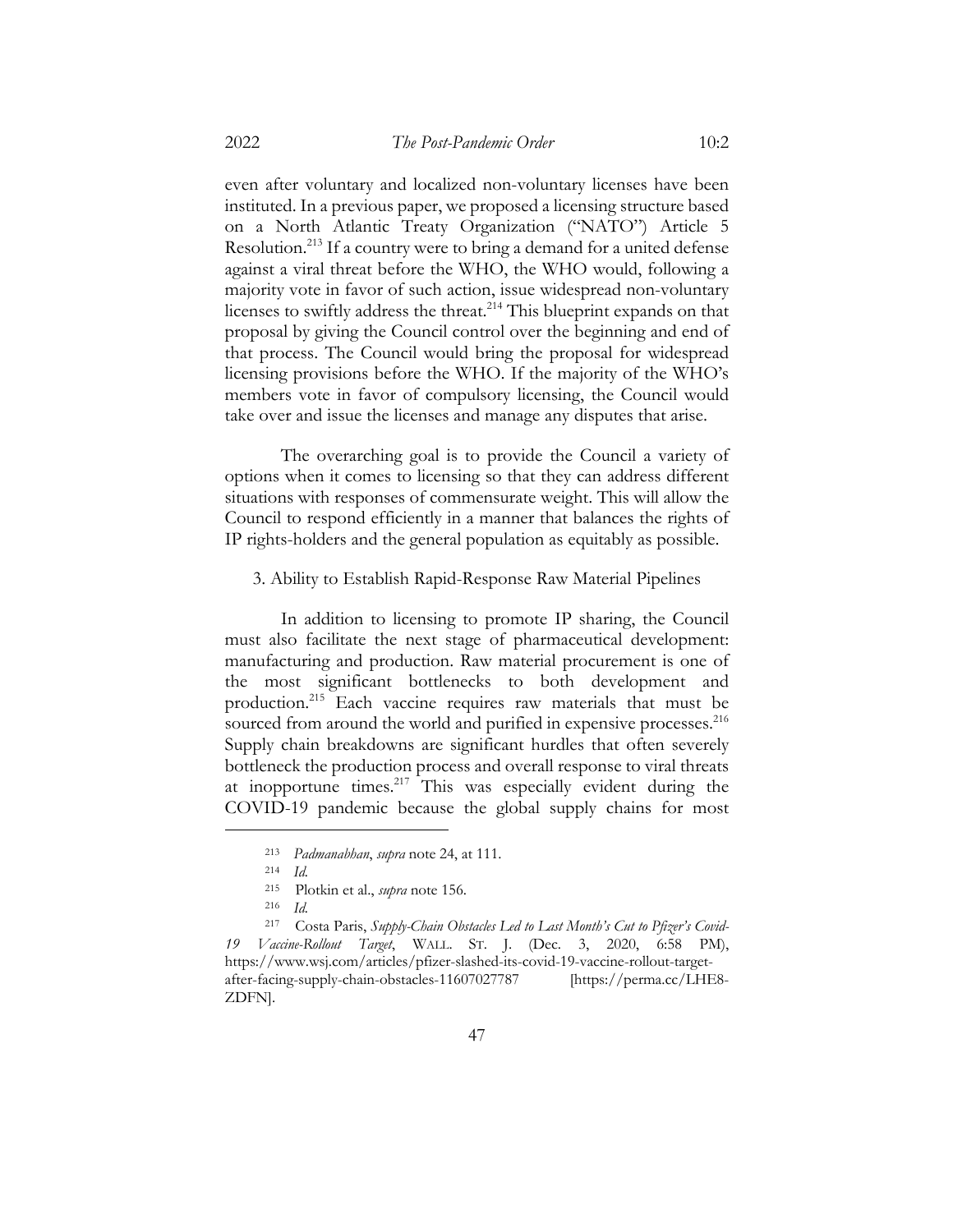even after voluntary and localized non-voluntary licenses have been instituted. In a previous paper, we proposed a licensing structure based on a North Atlantic Treaty Organization ("NATO") Article 5 Resolution.213 If a country were to bring a demand for a united defense against a viral threat before the WHO, the WHO would, following a majority vote in favor of such action, issue widespread non-voluntary licenses to swiftly address the threat.<sup>214</sup> This blueprint expands on that proposal by giving the Council control over the beginning and end of that process. The Council would bring the proposal for widespread licensing provisions before the WHO. If the majority of the WHO's members vote in favor of compulsory licensing, the Council would take over and issue the licenses and manage any disputes that arise.

The overarching goal is to provide the Council a variety of options when it comes to licensing so that they can address different situations with responses of commensurate weight. This will allow the Council to respond efficiently in a manner that balances the rights of IP rights-holders and the general population as equitably as possible.

3. Ability to Establish Rapid-Response Raw Material Pipelines

In addition to licensing to promote IP sharing, the Council must also facilitate the next stage of pharmaceutical development: manufacturing and production. Raw material procurement is one of the most significant bottlenecks to both development and production. <sup>215</sup> Each vaccine requires raw materials that must be sourced from around the world and purified in expensive processes.<sup>216</sup> Supply chain breakdowns are significant hurdles that often severely bottleneck the production process and overall response to viral threats at inopportune times. $217$  This was especially evident during the COVID-19 pandemic because the global supply chains for most

<sup>213</sup> *Padmanabhan*, *supra* note 24, at 111.

<sup>214</sup> *Id.*

<sup>215</sup> Plotkin et al., *supra* note 156.

<sup>216</sup> *Id.*

<sup>217</sup> Costa Paris, *Supply-Chain Obstacles Led to Last Month's Cut to Pfizer's Covid-19 Vaccine-Rollout Target*, WALL. ST. J. (Dec. 3, 2020, 6:58 PM), https://www.wsj.com/articles/pfizer-slashed-its-covid-19-vaccine-rollout-targetafter-facing-supply-chain-obstacles-11607027787 [https://perma.cc/LHE8- ZDFN].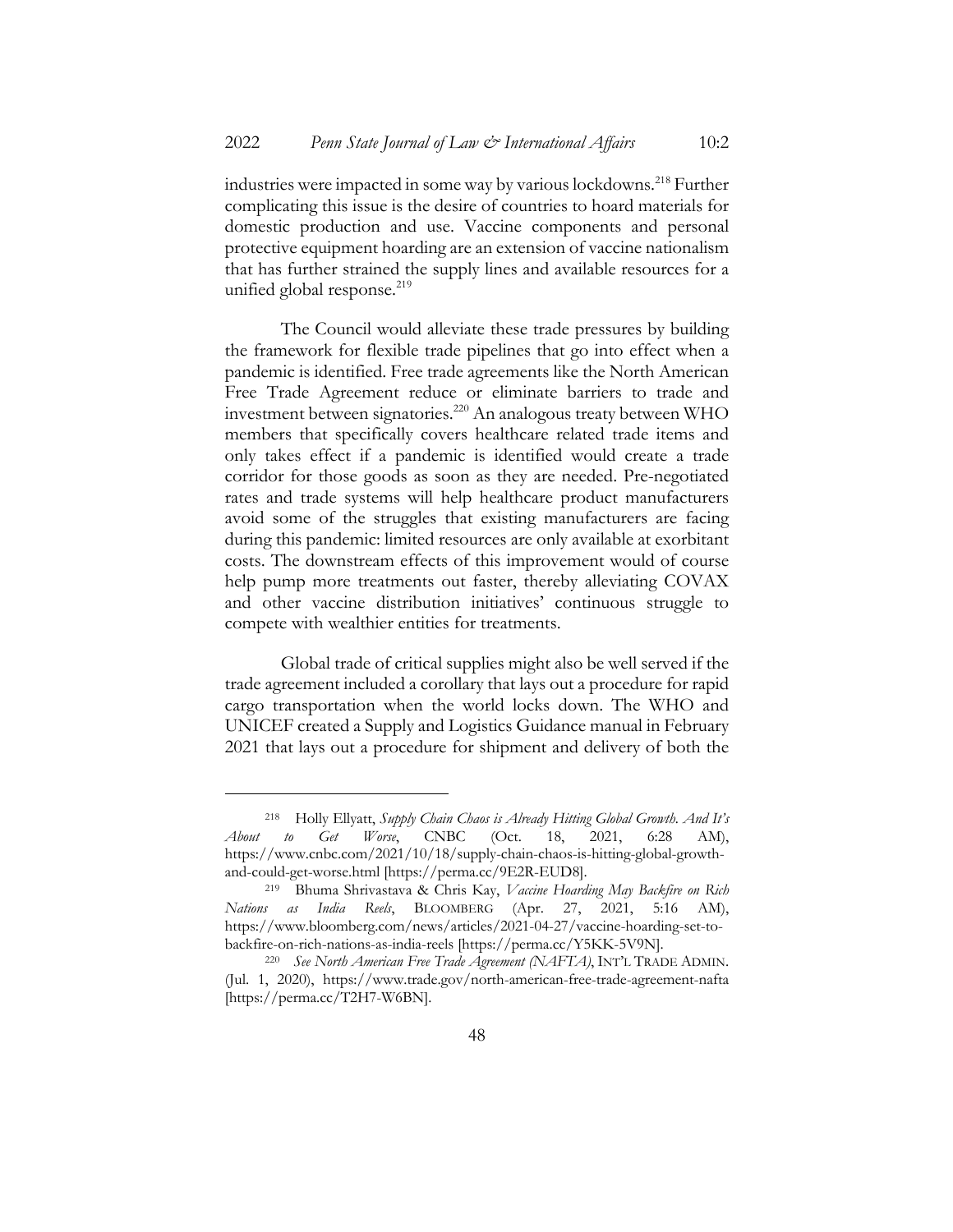industries were impacted in some way by various lockdowns.<sup>218</sup> Further complicating this issue is the desire of countries to hoard materials for domestic production and use. Vaccine components and personal protective equipment hoarding are an extension of vaccine nationalism that has further strained the supply lines and available resources for a unified global response. $^{219}$ 

The Council would alleviate these trade pressures by building the framework for flexible trade pipelines that go into effect when a pandemic is identified. Free trade agreements like the North American Free Trade Agreement reduce or eliminate barriers to trade and investment between signatories.220 An analogous treaty between WHO members that specifically covers healthcare related trade items and only takes effect if a pandemic is identified would create a trade corridor for those goods as soon as they are needed. Pre-negotiated rates and trade systems will help healthcare product manufacturers avoid some of the struggles that existing manufacturers are facing during this pandemic: limited resources are only available at exorbitant costs. The downstream effects of this improvement would of course help pump more treatments out faster, thereby alleviating COVAX and other vaccine distribution initiatives' continuous struggle to compete with wealthier entities for treatments.

Global trade of critical supplies might also be well served if the trade agreement included a corollary that lays out a procedure for rapid cargo transportation when the world locks down. The WHO and UNICEF created a Supply and Logistics Guidance manual in February 2021 that lays out a procedure for shipment and delivery of both the

<sup>218</sup> Holly Ellyatt, *Supply Chain Chaos is Already Hitting Global Growth. And It's About to Get Worse*, CNBC (Oct. 18, 2021, 6:28 AM), https://www.cnbc.com/2021/10/18/supply-chain-chaos-is-hitting-global-growthand-could-get-worse.html [https://perma.cc/9E2R-EUD8].

<sup>219</sup> Bhuma Shrivastava & Chris Kay, *Vaccine Hoarding May Backfire on Rich Nations as India Reels*, BLOOMBERG (Apr. 27, 2021, 5:16 AM), https://www.bloomberg.com/news/articles/2021-04-27/vaccine-hoarding-set-tobackfire-on-rich-nations-as-india-reels [https://perma.cc/Y5KK-5V9N].

<sup>220</sup> *See North American Free Trade Agreement (NAFTA)*, INT'L TRADE ADMIN. (Jul. 1, 2020), https://www.trade.gov/north-american-free-trade-agreement-nafta [https://perma.cc/T2H7-W6BN].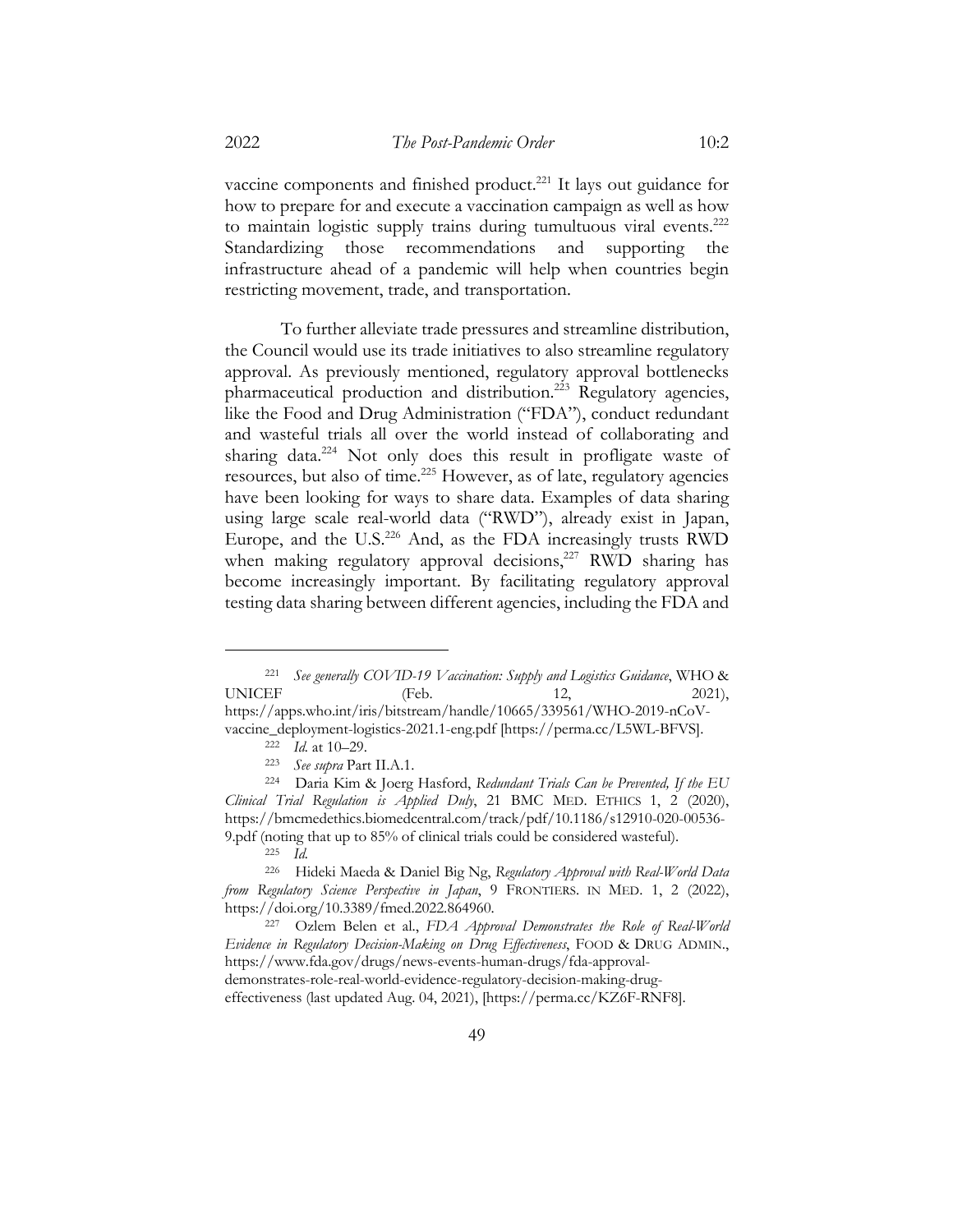vaccine components and finished product.<sup>221</sup> It lays out guidance for how to prepare for and execute a vaccination campaign as well as how to maintain logistic supply trains during tumultuous viral events.<sup>222</sup> Standardizing those recommendations and supporting the infrastructure ahead of a pandemic will help when countries begin restricting movement, trade, and transportation.

To further alleviate trade pressures and streamline distribution, the Council would use its trade initiatives to also streamline regulatory approval. As previously mentioned, regulatory approval bottlenecks pharmaceutical production and distribution.223 Regulatory agencies, like the Food and Drug Administration ("FDA"), conduct redundant and wasteful trials all over the world instead of collaborating and sharing data.<sup>224</sup> Not only does this result in profligate waste of resources, but also of time.<sup>225</sup> However, as of late, regulatory agencies have been looking for ways to share data. Examples of data sharing using large scale real-world data ("RWD"), already exist in Japan, Europe, and the U.S.<sup>226</sup> And, as the FDA increasingly trusts RWD when making regulatory approval decisions, $227$  RWD sharing has become increasingly important. By facilitating regulatory approval testing data sharing between different agencies, including the FDA and

<sup>221</sup> *See generally COVID-19 Vaccination: Supply and Logistics Guidance*, WHO & UNICEF (Feb. 12, 2021), https://apps.who.int/iris/bitstream/handle/10665/339561/WHO-2019-nCoVvaccine\_deployment-logistics-2021.1-eng.pdf [https://perma.cc/L5WL-BFVS].

<sup>222</sup> *Id.* at 10–29.

<sup>223</sup> *See supra* Part II.A.1.

<sup>224</sup> Daria Kim & Joerg Hasford, *Redundant Trials Can be Prevented, If the EU Clinical Trial Regulation is Applied Duly*, 21 BMC MED. ETHICS 1, 2 (2020), https://bmcmedethics.biomedcentral.com/track/pdf/10.1186/s12910-020-00536- 9.pdf (noting that up to 85% of clinical trials could be considered wasteful).

<sup>225</sup> *Id.*

<sup>226</sup> Hideki Maeda & Daniel Big Ng, *Regulatory Approval with Real-World Data from Regulatory Science Perspective in Japan*, 9 FRONTIERS. IN MED. 1, 2 (2022), https://doi.org/10.3389/fmed.2022.864960.

<sup>227</sup> Ozlem Belen et al., *FDA Approval Demonstrates the Role of Real-World Evidence in Regulatory Decision-Making on Drug Effectiveness*, FOOD & DRUG ADMIN., https://www.fda.gov/drugs/news-events-human-drugs/fda-approvaldemonstrates-role-real-world-evidence-regulatory-decision-making-drugeffectiveness (last updated Aug. 04, 2021), [https://perma.cc/KZ6F-RNF8].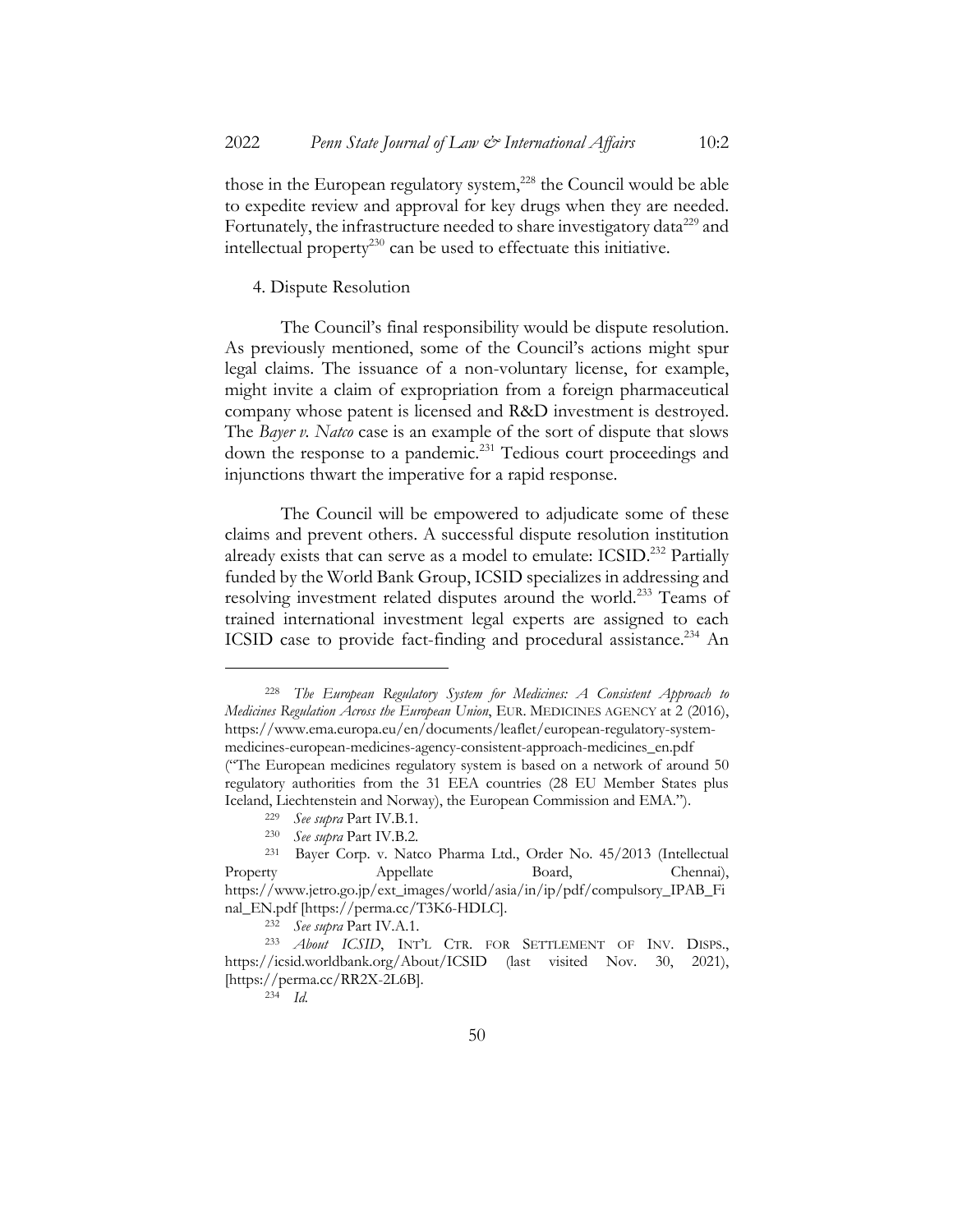those in the European regulatory system,<sup>228</sup> the Council would be able to expedite review and approval for key drugs when they are needed. Fortunately, the infrastructure needed to share investigatory data<sup>229</sup> and intellectual property<sup>230</sup> can be used to effectuate this initiative.

## 4. Dispute Resolution

The Council's final responsibility would be dispute resolution. As previously mentioned, some of the Council's actions might spur legal claims. The issuance of a non-voluntary license, for example, might invite a claim of expropriation from a foreign pharmaceutical company whose patent is licensed and R&D investment is destroyed. The *Bayer v. Natco* case is an example of the sort of dispute that slows down the response to a pandemic.<sup>231</sup> Tedious court proceedings and injunctions thwart the imperative for a rapid response.

The Council will be empowered to adjudicate some of these claims and prevent others. A successful dispute resolution institution already exists that can serve as a model to emulate: ICSID. <sup>232</sup> Partially funded by the World Bank Group, ICSID specializes in addressing and resolving investment related disputes around the world.<sup>233</sup> Teams of trained international investment legal experts are assigned to each ICSID case to provide fact-finding and procedural assistance.<sup>234</sup> An

<sup>228</sup> *The European Regulatory System for Medicines: A Consistent Approach to Medicines Regulation Across the European Union*, EUR. MEDICINES AGENCY at 2 (2016), https://www.ema.europa.eu/en/documents/leaflet/european-regulatory-systemmedicines-european-medicines-agency-consistent-approach-medicines\_en.pdf ("The European medicines regulatory system is based on a network of around 50 regulatory authorities from the 31 EEA countries (28 EU Member States plus Iceland, Liechtenstein and Norway), the European Commission and EMA.").

<sup>229</sup> *See supra* Part IV.B.1.

<sup>230</sup> *See supra* Part IV.B.2.

<sup>231</sup> Bayer Corp. v. Natco Pharma Ltd., Order No. 45/2013 (Intellectual Property Appellate Board, Chennai), https://www.jetro.go.jp/ext\_images/world/asia/in/ip/pdf/compulsory\_IPAB\_Fi nal\_EN.pdf [https://perma.cc/T3K6-HDLC].

<sup>232</sup> *See supra* Part IV.A.1.

<sup>233</sup> *About ICSID*, INT'L CTR. FOR SETTLEMENT OF INV. DISPS., https://icsid.worldbank.org/About/ICSID (last visited Nov. 30, 2021), [https://perma.cc/RR2X-2L6B].

<sup>234</sup> *Id.*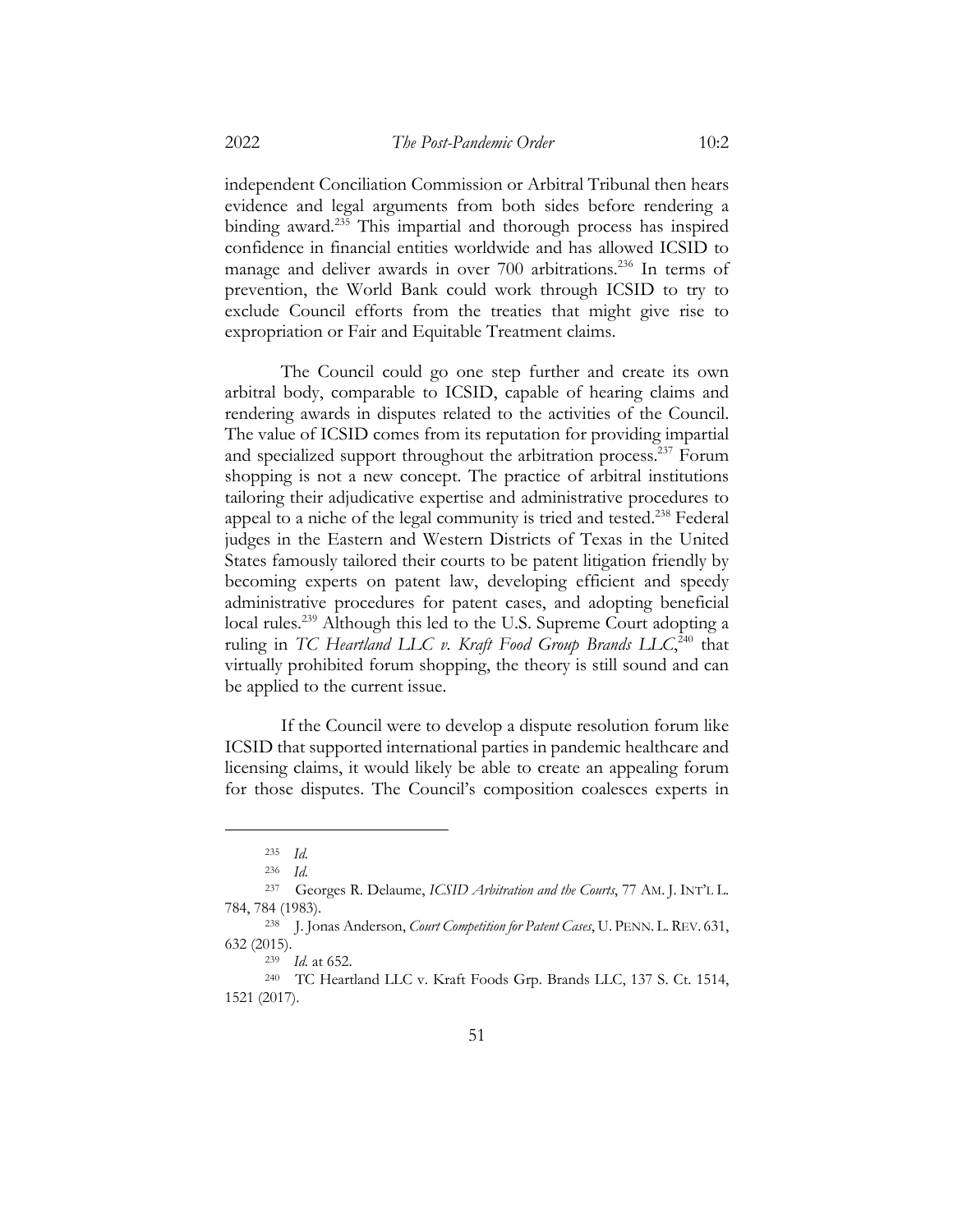independent Conciliation Commission or Arbitral Tribunal then hears evidence and legal arguments from both sides before rendering a binding award.<sup>235</sup> This impartial and thorough process has inspired confidence in financial entities worldwide and has allowed ICSID to manage and deliver awards in over 700 arbitrations.<sup>236</sup> In terms of prevention, the World Bank could work through ICSID to try to exclude Council efforts from the treaties that might give rise to expropriation or Fair and Equitable Treatment claims.

The Council could go one step further and create its own arbitral body, comparable to ICSID, capable of hearing claims and rendering awards in disputes related to the activities of the Council. The value of ICSID comes from its reputation for providing impartial and specialized support throughout the arbitration process.<sup>237</sup> Forum shopping is not a new concept. The practice of arbitral institutions tailoring their adjudicative expertise and administrative procedures to appeal to a niche of the legal community is tried and tested.<sup>238</sup> Federal judges in the Eastern and Western Districts of Texas in the United States famously tailored their courts to be patent litigation friendly by becoming experts on patent law, developing efficient and speedy administrative procedures for patent cases, and adopting beneficial local rules.<sup>239</sup> Although this led to the U.S. Supreme Court adopting a ruling in TC Heartland LLC v. Kraft Food Group Brands LLC,<sup>240</sup> that virtually prohibited forum shopping, the theory is still sound and can be applied to the current issue.

If the Council were to develop a dispute resolution forum like ICSID that supported international parties in pandemic healthcare and licensing claims, it would likely be able to create an appealing forum for those disputes. The Council's composition coalesces experts in

<sup>235</sup> *Id.*

<sup>236</sup> *Id.*

<sup>237</sup> Georges R. Delaume, *ICSID Arbitration and the Courts*, 77 AM. J. INT'L L. 784, 784 (1983).

<sup>238</sup> J. Jonas Anderson, *Court Competition for Patent Cases*, U. PENN. L.REV. 631, 632 (2015).

<sup>239</sup> *Id.* at 652.

<sup>240</sup> TC Heartland LLC v. Kraft Foods Grp. Brands LLC, 137 S. Ct. 1514, 1521 (2017).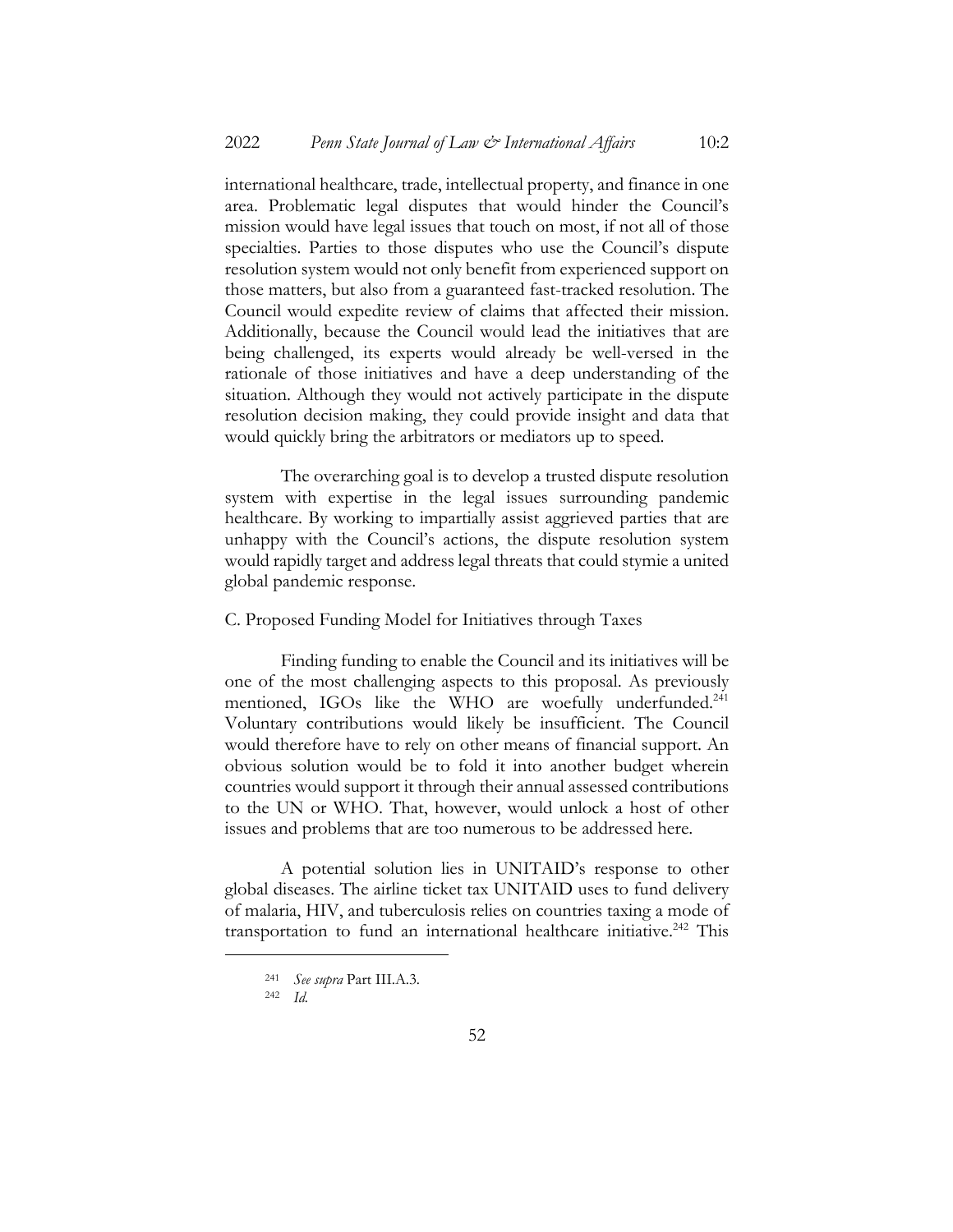international healthcare, trade, intellectual property, and finance in one area. Problematic legal disputes that would hinder the Council's mission would have legal issues that touch on most, if not all of those specialties. Parties to those disputes who use the Council's dispute resolution system would not only benefit from experienced support on those matters, but also from a guaranteed fast-tracked resolution. The Council would expedite review of claims that affected their mission. Additionally, because the Council would lead the initiatives that are being challenged, its experts would already be well-versed in the rationale of those initiatives and have a deep understanding of the situation. Although they would not actively participate in the dispute resolution decision making, they could provide insight and data that would quickly bring the arbitrators or mediators up to speed.

The overarching goal is to develop a trusted dispute resolution system with expertise in the legal issues surrounding pandemic healthcare. By working to impartially assist aggrieved parties that are unhappy with the Council's actions, the dispute resolution system would rapidly target and address legal threats that could stymie a united global pandemic response.

## C. Proposed Funding Model for Initiatives through Taxes

Finding funding to enable the Council and its initiatives will be one of the most challenging aspects to this proposal. As previously mentioned, IGOs like the WHO are woefully underfunded.<sup>241</sup> Voluntary contributions would likely be insufficient. The Council would therefore have to rely on other means of financial support. An obvious solution would be to fold it into another budget wherein countries would support it through their annual assessed contributions to the UN or WHO. That, however, would unlock a host of other issues and problems that are too numerous to be addressed here.

A potential solution lies in UNITAID's response to other global diseases. The airline ticket tax UNITAID uses to fund delivery of malaria, HIV, and tuberculosis relies on countries taxing a mode of transportation to fund an international healthcare initiative.<sup>242</sup> This

<sup>241</sup> *See supra* Part III.A.3.

<sup>242</sup> *Id.*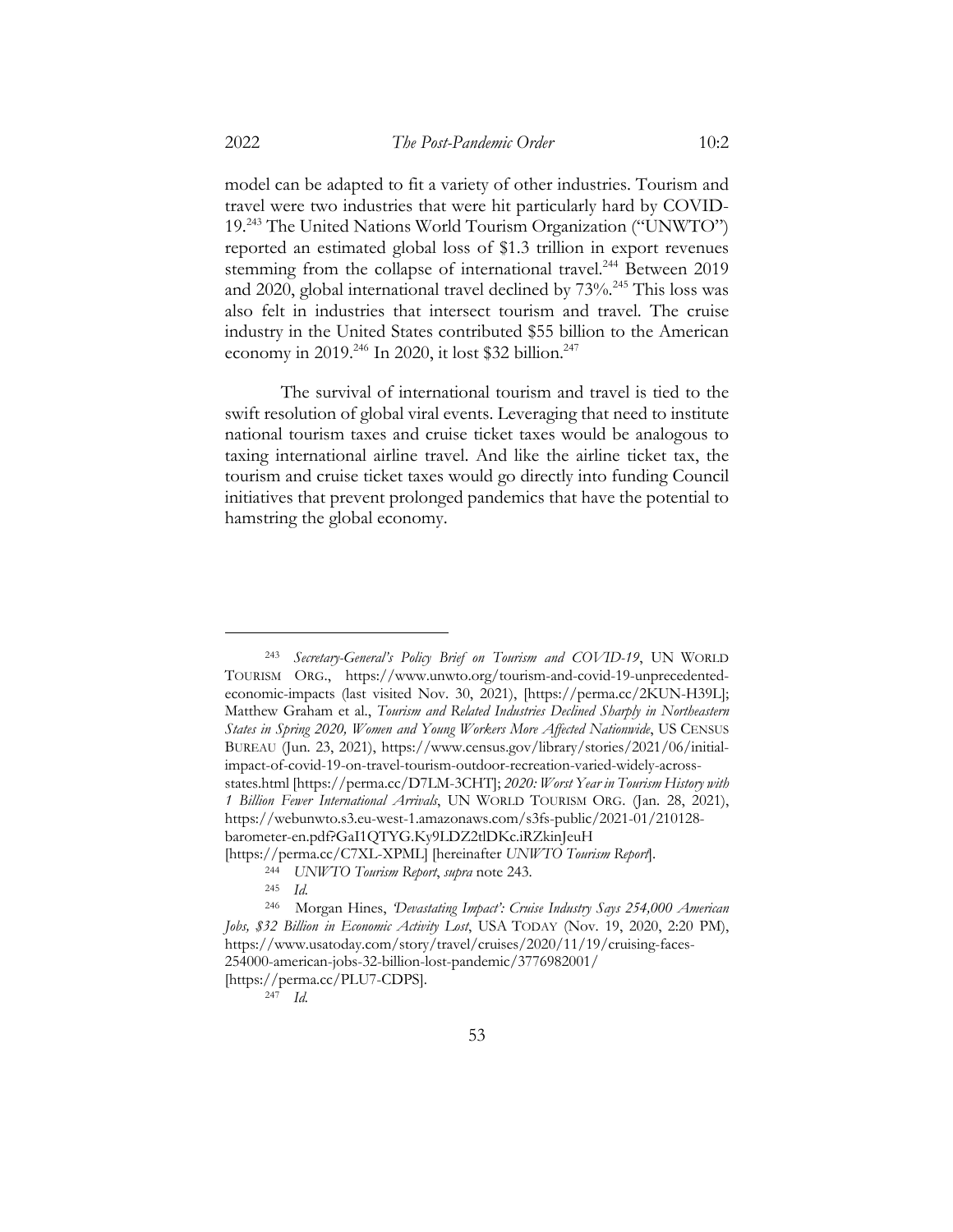model can be adapted to fit a variety of other industries. Tourism and travel were two industries that were hit particularly hard by COVID-19. <sup>243</sup> The United Nations World Tourism Organization ("UNWTO") reported an estimated global loss of \$1.3 trillion in export revenues stemming from the collapse of international travel.<sup>244</sup> Between 2019 and 2020, global international travel declined by 73%.<sup>245</sup> This loss was also felt in industries that intersect tourism and travel. The cruise industry in the United States contributed \$55 billion to the American economy in 2019.<sup>246</sup> In 2020, it lost \$32 billion.<sup>247</sup>

The survival of international tourism and travel is tied to the swift resolution of global viral events. Leveraging that need to institute national tourism taxes and cruise ticket taxes would be analogous to taxing international airline travel. And like the airline ticket tax, the tourism and cruise ticket taxes would go directly into funding Council initiatives that prevent prolonged pandemics that have the potential to hamstring the global economy.

<sup>243</sup> *Secretary-General's Policy Brief on Tourism and COVID-19*, UN WORLD TOURISM ORG., https://www.unwto.org/tourism-and-covid-19-unprecedentedeconomic-impacts (last visited Nov. 30, 2021), [https://perma.cc/2KUN-H39L]; Matthew Graham et al., *Tourism and Related Industries Declined Sharply in Northeastern States in Spring 2020, Women and Young Workers More Affected Nationwide*, US CENSUS BUREAU (Jun. 23, 2021), https://www.census.gov/library/stories/2021/06/initialimpact-of-covid-19-on-travel-tourism-outdoor-recreation-varied-widely-acrossstates.html [https://perma.cc/D7LM-3CHT]; *2020: Worst Year in Tourism History with 1 Billion Fewer International Arrivals*, UN WORLD TOURISM ORG. (Jan. 28, 2021), https://webunwto.s3.eu-west-1.amazonaws.com/s3fs-public/2021-01/210128 barometer-en.pdf?GaI1QTYG.Ky9LDZ2tlDKc.iRZkinJeuH [https://perma.cc/C7XL-XPML] [hereinafter *UNWTO Tourism Report*].

<sup>244</sup> *UNWTO Tourism Report*, *supra* note 243.

<sup>245</sup> *Id.*

<sup>246</sup> Morgan Hines, *'Devastating Impact': Cruise Industry Says 254,000 American Jobs, \$32 Billion in Economic Activity Lost*, USA TODAY (Nov. 19, 2020, 2:20 PM), https://www.usatoday.com/story/travel/cruises/2020/11/19/cruising-faces-254000-american-jobs-32-billion-lost-pandemic/3776982001/

<sup>[</sup>https://perma.cc/PLU7-CDPS].

<sup>247</sup> *Id.*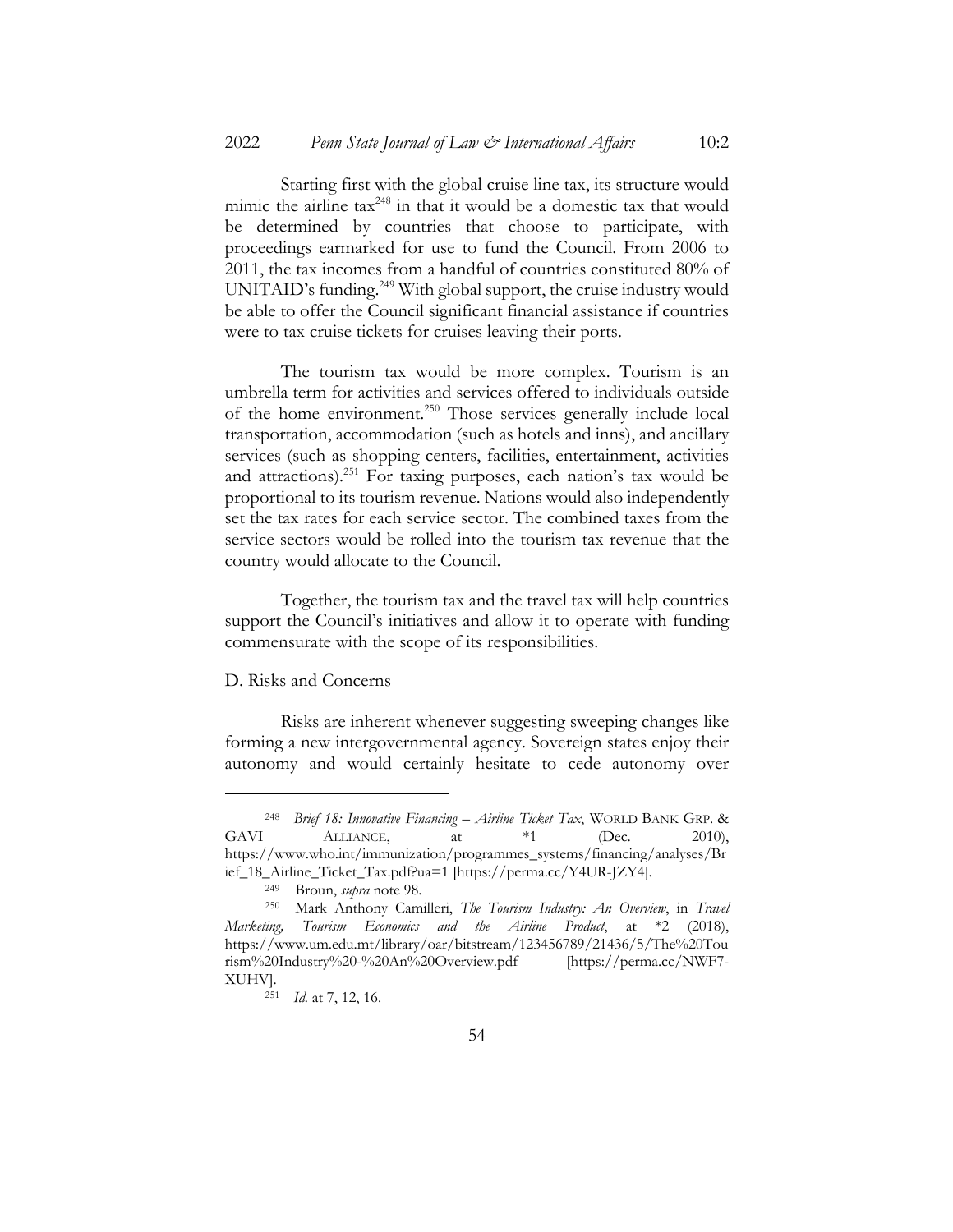Starting first with the global cruise line tax, its structure would mimic the airline tax<sup>248</sup> in that it would be a domestic tax that would be determined by countries that choose to participate, with proceedings earmarked for use to fund the Council. From 2006 to 2011, the tax incomes from a handful of countries constituted 80% of UNITAID's funding.<sup>249</sup> With global support, the cruise industry would be able to offer the Council significant financial assistance if countries were to tax cruise tickets for cruises leaving their ports.

The tourism tax would be more complex. Tourism is an umbrella term for activities and services offered to individuals outside of the home environment.<sup>250</sup> Those services generally include local transportation, accommodation (such as hotels and inns), and ancillary services (such as shopping centers, facilities, entertainment, activities and attractions).<sup>251</sup> For taxing purposes, each nation's tax would be proportional to its tourism revenue. Nations would also independently set the tax rates for each service sector. The combined taxes from the service sectors would be rolled into the tourism tax revenue that the country would allocate to the Council.

Together, the tourism tax and the travel tax will help countries support the Council's initiatives and allow it to operate with funding commensurate with the scope of its responsibilities.

## D. Risks and Concerns

Risks are inherent whenever suggesting sweeping changes like forming a new intergovernmental agency. Sovereign states enjoy their autonomy and would certainly hesitate to cede autonomy over

<sup>248</sup> *Brief 18: Innovative Financing – Airline Ticket Tax*, WORLD BANK GRP. & GAVI ALLIANCE, at  $*1$  (Dec. 2010), https://www.who.int/immunization/programmes\_systems/financing/analyses/Br ief\_18\_Airline\_Ticket\_Tax.pdf?ua=1 [https://perma.cc/Y4UR-JZY4].

<sup>249</sup> Broun, *supra* note 98.

<sup>250</sup> Mark Anthony Camilleri, *The Tourism Industry: An Overview*, in *Travel Marketing, Tourism Economics and the Airline Product*, at \*2 (2018), https://www.um.edu.mt/library/oar/bitstream/123456789/21436/5/The%20Tou rism%20Industry%20-%20An%20Overview.pdf [https://perma.cc/NWF7- XUHV].

<sup>251</sup> *Id.* at 7, 12, 16.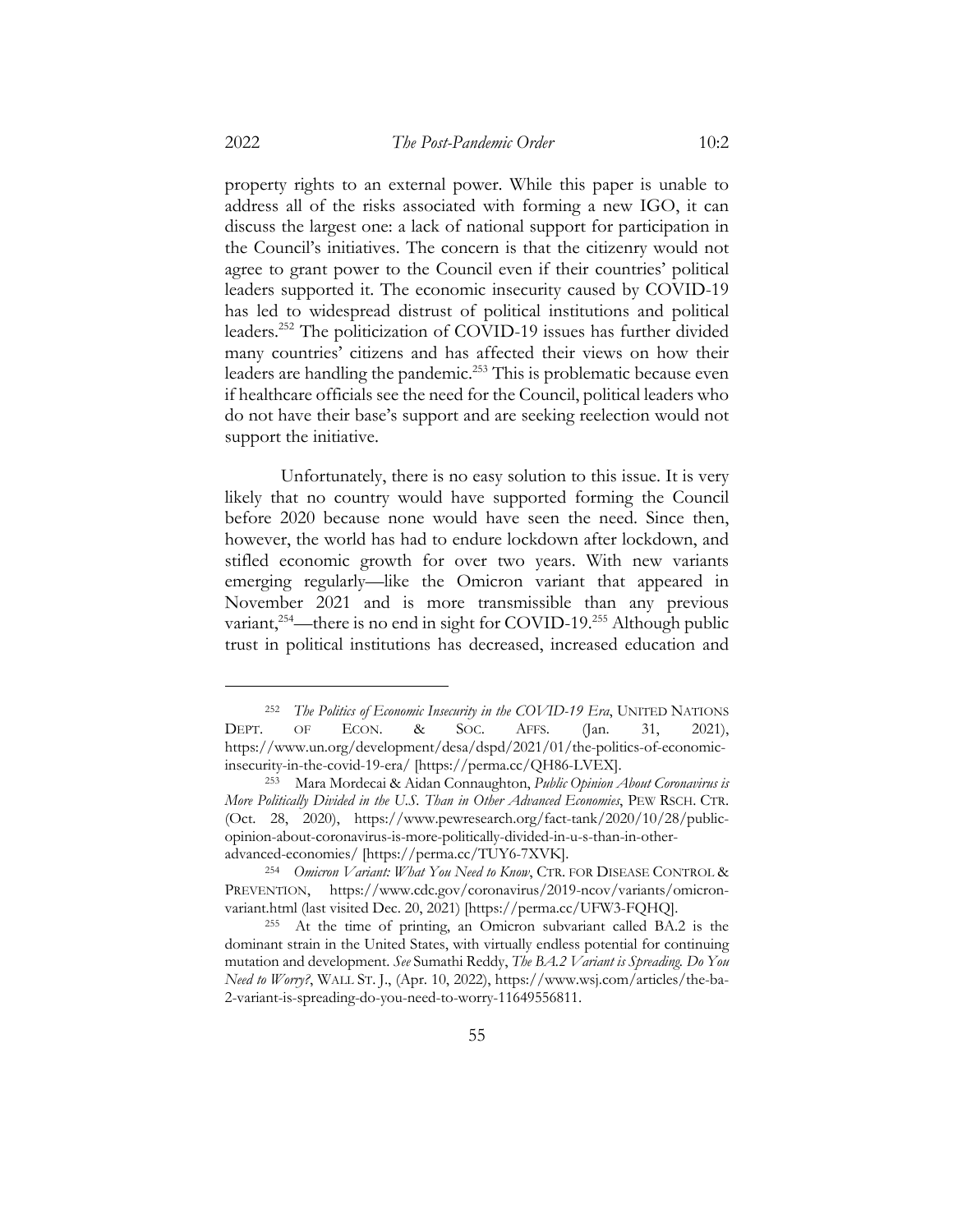property rights to an external power. While this paper is unable to address all of the risks associated with forming a new IGO, it can discuss the largest one: a lack of national support for participation in the Council's initiatives. The concern is that the citizenry would not agree to grant power to the Council even if their countries' political leaders supported it. The economic insecurity caused by COVID-19 has led to widespread distrust of political institutions and political leaders.252 The politicization of COVID-19 issues has further divided many countries' citizens and has affected their views on how their leaders are handling the pandemic.<sup>253</sup> This is problematic because even if healthcare officials see the need for the Council, political leaders who do not have their base's support and are seeking reelection would not support the initiative.

Unfortunately, there is no easy solution to this issue. It is very likely that no country would have supported forming the Council before 2020 because none would have seen the need. Since then, however, the world has had to endure lockdown after lockdown, and stifled economic growth for over two years. With new variants emerging regularly—like the Omicron variant that appeared in November 2021 and is more transmissible than any previous variant,<sup>254</sup>—there is no end in sight for COVID-19.<sup>255</sup> Although public trust in political institutions has decreased, increased education and

<sup>252</sup> *The Politics of Economic Insecurity in the COVID-19 Era*, UNITED NATIONS DEPT. OF ECON. & SOC. AFFS. (Jan. 31, 2021), https://www.un.org/development/desa/dspd/2021/01/the-politics-of-economicinsecurity-in-the-covid-19-era/ [https://perma.cc/QH86-LVEX].

<sup>253</sup> Mara Mordecai & Aidan Connaughton, *Public Opinion About Coronavirus is More Politically Divided in the U.S. Than in Other Advanced Economies*, PEW RSCH. CTR. (Oct. 28, 2020), https://www.pewresearch.org/fact-tank/2020/10/28/publicopinion-about-coronavirus-is-more-politically-divided-in-u-s-than-in-otheradvanced-economies/ [https://perma.cc/TUY6-7XVK].

<sup>254</sup> *Omicron Variant: What You Need to Know*, CTR. FOR DISEASE CONTROL & PREVENTION, https://www.cdc.gov/coronavirus/2019-ncov/variants/omicronvariant.html (last visited Dec. 20, 2021) [https://perma.cc/UFW3-FQHQ].

<sup>255</sup> At the time of printing, an Omicron subvariant called BA.2 is the dominant strain in the United States, with virtually endless potential for continuing mutation and development. *See* Sumathi Reddy, *The BA.2 Variant is Spreading. Do You Need to Worry?*, WALL ST. J., (Apr. 10, 2022), https://www.wsj.com/articles/the-ba-2-variant-is-spreading-do-you-need-to-worry-11649556811.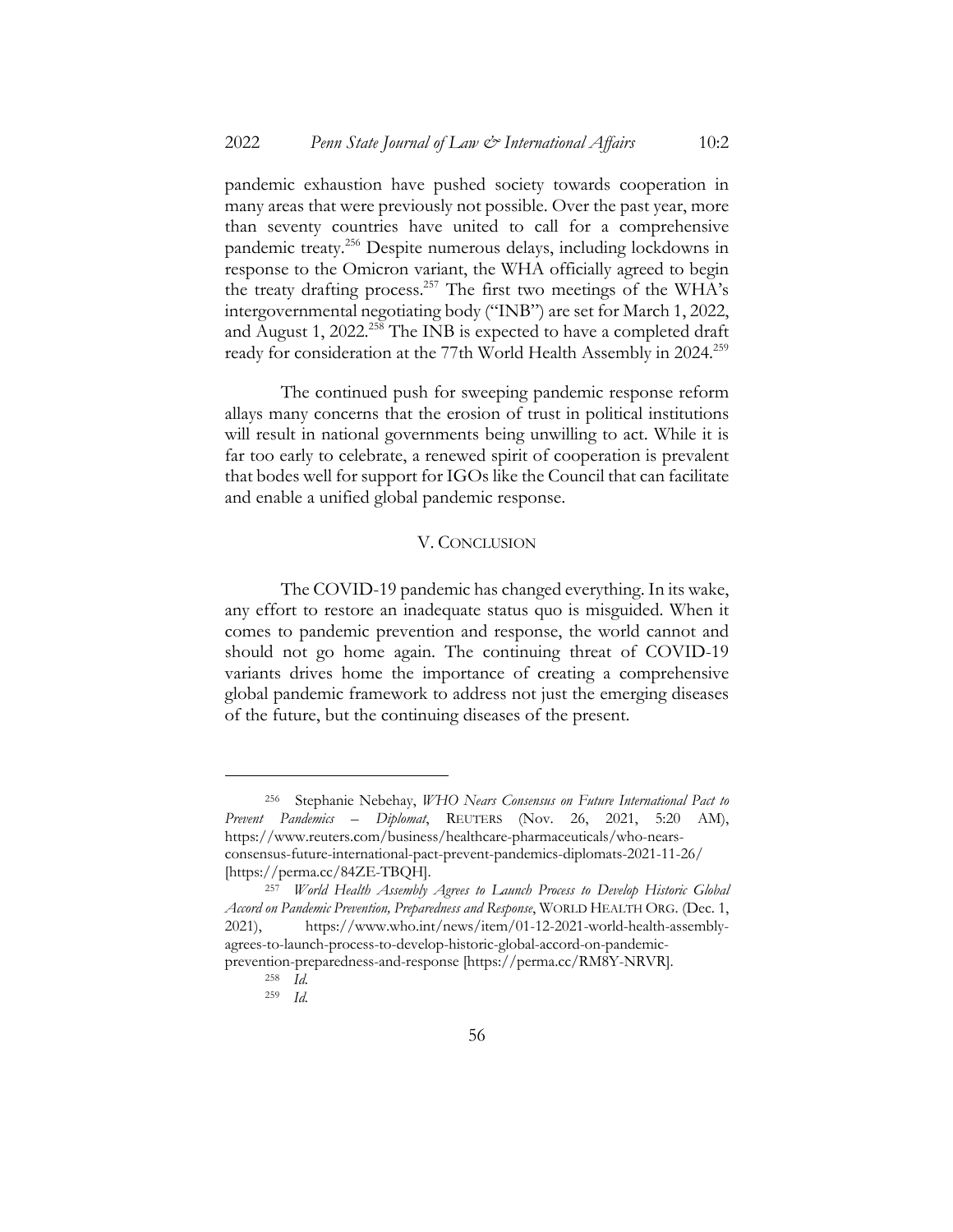pandemic exhaustion have pushed society towards cooperation in many areas that were previously not possible. Over the past year, more than seventy countries have united to call for a comprehensive pandemic treaty.256 Despite numerous delays, including lockdowns in response to the Omicron variant, the WHA officially agreed to begin the treaty drafting process.<sup>257</sup> The first two meetings of the WHA's intergovernmental negotiating body ("INB") are set for March 1, 2022, and August 1, 2022.<sup>258</sup> The INB is expected to have a completed draft ready for consideration at the 77th World Health Assembly in 2024.<sup>259</sup>

The continued push for sweeping pandemic response reform allays many concerns that the erosion of trust in political institutions will result in national governments being unwilling to act. While it is far too early to celebrate, a renewed spirit of cooperation is prevalent that bodes well for support for IGOs like the Council that can facilitate and enable a unified global pandemic response.

# V. CONCLUSION

The COVID-19 pandemic has changed everything. In its wake, any effort to restore an inadequate status quo is misguided. When it comes to pandemic prevention and response, the world cannot and should not go home again. The continuing threat of COVID-19 variants drives home the importance of creating a comprehensive global pandemic framework to address not just the emerging diseases of the future, but the continuing diseases of the present.

<sup>256</sup> Stephanie Nebehay, *WHO Nears Consensus on Future International Pact to Prevent Pandemics – Diplomat*, REUTERS (Nov. 26, 2021, 5:20 AM), https://www.reuters.com/business/healthcare-pharmaceuticals/who-nearsconsensus-future-international-pact-prevent-pandemics-diplomats-2021-11-26/ [https://perma.cc/84ZE-TBQH].

<sup>257</sup> *World Health Assembly Agrees to Launch Process to Develop Historic Global Accord on Pandemic Prevention, Preparedness and Response*, WORLD HEALTH ORG. (Dec. 1, 2021), https://www.who.int/news/item/01-12-2021-world-health-assemblyagrees-to-launch-process-to-develop-historic-global-accord-on-pandemicprevention-preparedness-and-response [https://perma.cc/RM8Y-NRVR].

<sup>258</sup> *Id.*

<sup>259</sup> *Id.*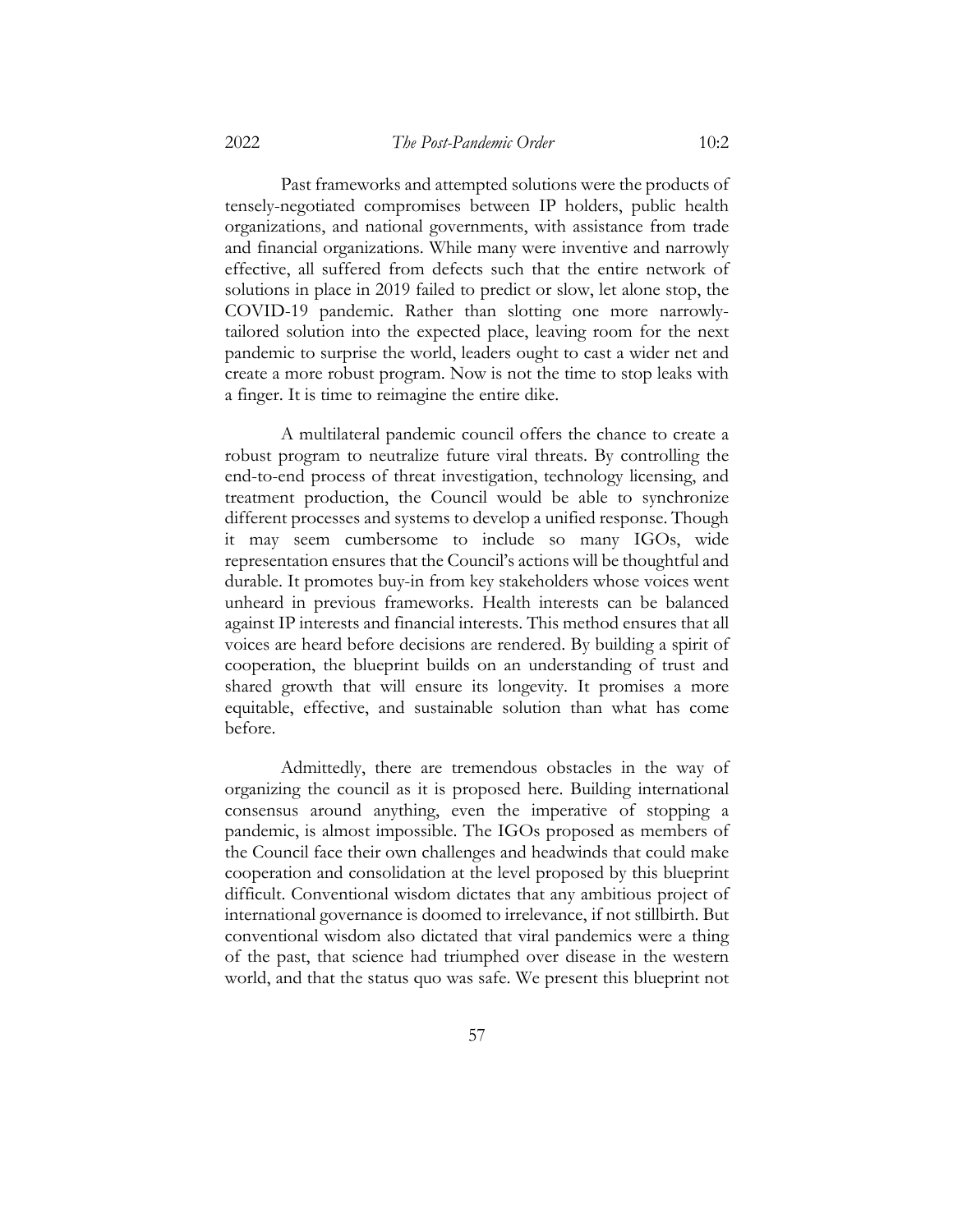Past frameworks and attempted solutions were the products of tensely-negotiated compromises between IP holders, public health organizations, and national governments, with assistance from trade and financial organizations. While many were inventive and narrowly effective, all suffered from defects such that the entire network of solutions in place in 2019 failed to predict or slow, let alone stop, the COVID-19 pandemic. Rather than slotting one more narrowlytailored solution into the expected place, leaving room for the next pandemic to surprise the world, leaders ought to cast a wider net and create a more robust program. Now is not the time to stop leaks with a finger. It is time to reimagine the entire dike.

A multilateral pandemic council offers the chance to create a robust program to neutralize future viral threats. By controlling the end-to-end process of threat investigation, technology licensing, and treatment production, the Council would be able to synchronize different processes and systems to develop a unified response. Though it may seem cumbersome to include so many IGOs, wide representation ensures that the Council's actions will be thoughtful and durable. It promotes buy-in from key stakeholders whose voices went unheard in previous frameworks. Health interests can be balanced against IP interests and financial interests. This method ensures that all voices are heard before decisions are rendered. By building a spirit of cooperation, the blueprint builds on an understanding of trust and shared growth that will ensure its longevity. It promises a more equitable, effective, and sustainable solution than what has come before.

Admittedly, there are tremendous obstacles in the way of organizing the council as it is proposed here. Building international consensus around anything, even the imperative of stopping a pandemic, is almost impossible. The IGOs proposed as members of the Council face their own challenges and headwinds that could make cooperation and consolidation at the level proposed by this blueprint difficult. Conventional wisdom dictates that any ambitious project of international governance is doomed to irrelevance, if not stillbirth. But conventional wisdom also dictated that viral pandemics were a thing of the past, that science had triumphed over disease in the western world, and that the status quo was safe. We present this blueprint not

57